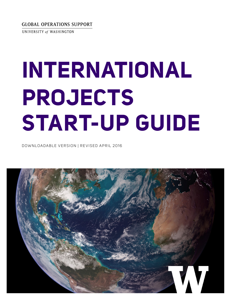GLOBAL OPERATIONS SUPPORT

UNIVERSITY of WASHINGTON

# **INTERNATIONAL PROJECTS START-UP GUIDE**

DOWNLOADABLE VERSION | REVISED APRIL 2016

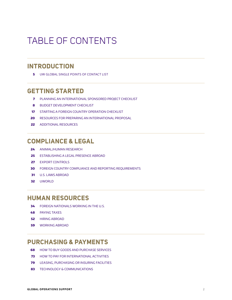# TABLE OF CONTENTS

# **INTRODUCTION**

UW GLOBAL SINGLE POINTS OF CONTACT LIST

# **GETTING STARTED**

- PLANNING AN INTERNATIONAL SPONSORED PROJECT CHECKLIST
- BUDGET DEVELOPMENT CHECKLIST
- STARTING A FOREIGN COUNTRY OPERATION CHECKLIST
- RESOURCES FOR PREPARING AN INTERNATIONAL PROPOSAL
- ADDITIONAL RESOURCES

# **COMPLIANCE & LEGAL**

- ANIMAL/HUMAN RESEARCH
- ESTABLISHING A LEGAL PRESENCE ABROAD
- EXPORT CONTROLS
- FOREIGN COUNTRY COMPLIANCE AND REPORTING REQUIREMENTS
- U.S. LAWS ABROAD
- UWORLD

# **HUMAN RESOURCES**

- FOREIGN NATIONALS WORKING IN THE U.S.
- PAYING TAXES
- HIRING ABROAD
- WORKING ABROAD

# **PURCHASING & PAYMENTS**

- HOW TO BUY GOODS AND PURCHASE SERVICES
- HOW TO PAY FOR INTERNATIONAL ACTIVITIES
- LEASING, PURCHASING OR INSURING FACILITIES
- TECHNOLOGY & COMMUNICATIONS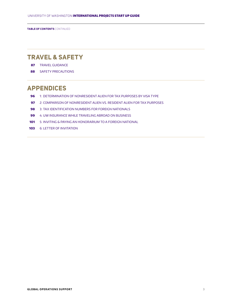**TABLE OF CONTENTS** CONTINUED

# **TRAVEL & SAFETY**

- TRAVEL GUIDANCE
- SAFETY PRECAUTIONS

# **APPENDICES**

- 1: DETERMINATION OF NONRESIDENT ALIEN FOR TAX PURPOSES BY VISA TYPE
- 2: COMPARISON OF NONRESIDENT ALIEN VS. RESIDENT ALIEN FOR TAX PURPOSES
- 3: TAX IDENTIFICATION NUMBERS FOR FOREIGN NATIONALS
- 4: UW INSURANCE WHILE TRAVELING ABROAD ON BUSINESS
- 5: INVITING & PAYING AN HONORARIUM TO A FOREIGN NATIONAL
- 6: LETTER OF INVITATION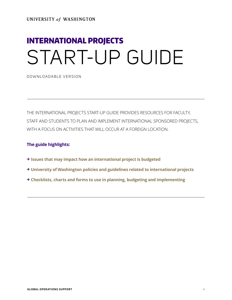UNIVERSITY of WASHINGTON

# INTERNATIONAL PROJECTS START-UP GUIDE

DOWNLOADABLE VERSION

THE INTERNATIONAL PROJECTS START-UP GUIDE PROVIDES RESOURCES FOR FACULTY, STAFF AND STUDENTS TO PLAN AND IMPLEMENT INTERNATIONAL SPONSORED PROJECTS, WITH A FOCUS ON ACTIVITIES THAT WILL OCCUR AT A FOREIGN LOCATION.

### **The guide highlights:**

- **→ Issues that may impact how an international project is budgeted**
- **→ University of Washington policies and guidelines related to international projects**
- **→ Checklists, charts and forms to use in planning, budgeting and implementing**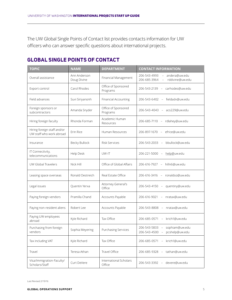The UW Global Single Points of Contact list provides contacts information for UW officers who can answer specific questions about international projects.

# **GLOBAL SINGLE POINTS OF CONTACT**

| <b>TOPIC</b>                                            | <b>NAME</b>                 | <b>DEPARTMENT</b>                | <b>CONTACT INFORMATION</b>                                                                   |
|---------------------------------------------------------|-----------------------------|----------------------------------|----------------------------------------------------------------------------------------------|
| Overall assistance                                      | Ann Anderson<br>Doug Divine | Financial Management             | andera@uw.edu<br>206-543-4993<br>206-685-3964<br>rddivine@uw.edu                             |
| Export control                                          | Carol Rhodes                | Office of Sponsored<br>Programs  | 206-543-2139<br>carhodes@uw.edu                                                              |
| Field advances                                          | Suvi Siriyanonh             | Financial Accounting             | fieldadv@uw.edu<br>206-543-6402                                                              |
| Foreign sponsors or<br>subcontractors                   | Amanda Snyder               | Office of Sponsored<br>Programs  | 206-543-4043<br>acs229@uw.edu<br>$\overline{\phantom{a}}$                                    |
| Hiring foreign faculty                                  | Rhonda Forman               | Academic Human<br>Resources      | rdlahey@uw.edu<br>206-685-7110<br>$\hspace{0.1mm}-\hspace{0.1mm}$                            |
| Hiring foreign staff and/or<br>UW staff who work abroad | Erin Rice                   | Human Resources                  | efrice@uw.edu<br>206-897-1670<br>$\sim$                                                      |
| Insurance                                               | Becky Bullock               | <b>Risk Services</b>             | bbullock@uw.edu<br>206-543-2033<br>$\overline{\phantom{a}}$                                  |
| IT Connectivity,<br>telecommunications                  | Help Desk                   | UW-IT                            | help@uw.edu<br>206-221-5000<br>$\overline{\phantom{a}}$                                      |
| <b>UW Global Travelers</b>                              | Nick Hill                   | Office of Global Affairs         | 206-616-7927<br>hilln6@uw.edu<br>$\overline{\phantom{a}}$                                    |
| Leasing space overseas                                  | Ronald Oestreich            | Real Estate Office               | 206-616-3416 - ronaldso@uw.edu                                                               |
| Legal issues                                            | Quentin Yerxa               | Attorney General's<br>Office     | quentiny@uw.edu<br>206-543-4150 -                                                            |
| Paying foreign vendors                                  | Pramilla Chand              | Accounts Payable                 | 206-616-9021<br>nratax@uw.edu                                                                |
| Paying non-resident aliens                              | Robert Lee                  | Accounts Payable                 | 206-543-8808<br>nratax@uw.edu<br>$\overline{\phantom{a}}$                                    |
| Paying UW employees<br>abroad                           | Kyle Richard                | Tax Office                       | 206-685-0571<br>krich1@uw.edu<br>$\overline{\phantom{a}}$                                    |
| Purchasing from foreign<br>vendors                      | Sophia Meyering             | <b>Purchasing Services</b>       | sophiam@uw.edu<br>206-543-5833<br>pcshelp@uw.edu<br>206-543-4500<br>$\overline{\phantom{0}}$ |
| Tax including VAT                                       | Kyle Richard                | Tax Office                       | krich1@uw.edu<br>$206 - 685 - 0571$ -                                                        |
| Travel                                                  | Teresa Athan                | Travel Office                    | $206 - 685 - 9328$ –<br>tathan@uw.edu                                                        |
| Visa/Immigration-Faculty/<br>Scholars/Staff             | Curt DeVere                 | International Scholars<br>Office | devere@uw.edu<br>$206 - 543 - 3392$ -                                                        |

Last Revised 2/19/16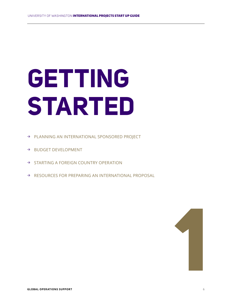# **GETTING STARTED**

- → PLANNING AN INTERNATIONAL SPONSORED PROJECT
- → BUDGET DEVELOPMENT
- → STARTING A FOREIGN COUNTRY OPERATION
- → RESOURCES FOR PREPARING AN INTERNATIONAL PROPOSAL

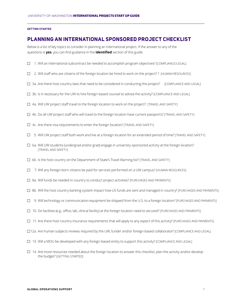#### **GETTING STARTED**

## **PLANNING AN INTERNATIONAL SPONSORED PROJECT CHECKLIST**

Below is a list of key topics to consider in planning an international project. If the answer to any of the questions is **yes**, you can find guidance in the **identified** section of this guide.

- $\Box$  1. Will an international subcontract be needed to accomplish program objectives? [COMPLIANCE/LEGAL]
- $\Box$  2. Will staff who are citizens of the foreign location be hired to work on the project?? [HUMAN RESOURCES]
- $\Box$  3a. Are there host country laws that need to be considered in conducting this project? [COMPLIANCE AND LEGAL]
- $\Box$  3b. Is it necessary for the UW to hire foreign-based counsel to advise the activity? [COMPLIANCE AND LEGAL]
- 4a. Will UW project staff travel to the foreign location to work on the project? [TRAVEL AND SAFETY]
- 4b. Do all UW project staff who will travel to the foreign location have current passports? [TRAVEL AND SAFETY]
- $\Box$  4c. Are there visa requirements to enter the foreign location? [TRAVEL AND SAFETY]
- $\square$  5. Will UW project staff both work and live at a foreign location for an extended period of time? [TRAVEL AND SAFETY]
- $\Box$  6a. Will UW students (undergrad and/or grad) engage in university-sponsored activity at the foreign location? [TRAVEL AND SAFETY]
- $\Box$  6b. Is the host country on the Department of State's Travel Warning list? [TRAVEL AND SAFETY]
- $\Box$  7. Will any foreign-born citizens be paid for services performed on a UW campus? [HUMAN RESOURCES]
- $\Box$  8a. Will funds be needed in-country to conduct project activities? [PURCHASES AND PAYMENTS]
- $\Box$  8b. Will the host country banking system impact how US funds are sent and managed in-country? [PURCHASES AND PAYMENTS]
- $\Box$  9. Will technology or communication equipment be shipped from the U.S. to a foreign location? [PURCHASES AND PAYMENTS]
- $\Box$  10. Do facilities (e.g., office, lab, clinical facility) at the foreign location need to secured? [PURCHASES AND PAYMENTS]
- $\Box$  11. Are there host country insurance requirements that will apply to any aspect of this activity? [PURCHASES AND PAYMENTS]
- 12a. Are human subjects reviews required by the UW, funder and/or foreign-based collaborator? [COMPLIANCE AND LEGAL]
- 13. Will a MOU be developed with any foreign-based entity to support this activity? [COMPLIANCE AND LEGAL]
- $\Box$  14. Are more resources needed about the foreign location to answer this checklist, plan the activity and/or develop the budget? [GETTING STARTED]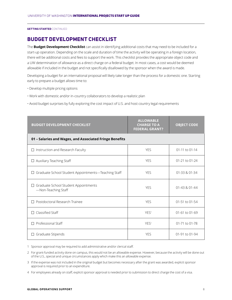# **BUDGET DEVELOPMENT CHECKLIST**

The **Budget Development Checklist** can assist in identifying additional costs that may need to be included for a start-up operation. Depending on the scale and duration of time the activity will be operating in a foreign location, there will be additional costs and fees to support the work. This checklist provides the appropriate object code and a UW determination of allowance as a direct charge on a federal budget. In most cases, a cost would be deemed allowable if included in the budget and not specifically disallowed by the sponsor when the award is made.

Developing a budget for an international proposal will likely take longer than the process for a domestic one. Starting early to prepare a budget allows time to:

- Develop multiple pricing options
- Work with domestic and/or in-country collaborators to develop a realistic plan
- Avoid budget surprises by fully exploring the cost impact of U.S. and host country legal requirements

| <b>BUDGET DEVELOPMENT CHECKLIST</b>                           | <b>ALLOWABLE</b><br><b>CHARGE TO A</b><br><b>FEDERAL GRANT?</b> | <b>OBJECT CODE</b> |
|---------------------------------------------------------------|-----------------------------------------------------------------|--------------------|
| 01 - Salaries and Wages, and Associated Fringe Benefits       |                                                                 |                    |
| $\Box$ Instruction and Research Faculty                       | <b>YES</b>                                                      | 01-11 to 01-14     |
| $\Box$ Auxiliary Teaching Staff                               | <b>YES</b>                                                      | 01-21 to 01-24     |
| □ Graduate School Student Appointments-Teaching Staff         | <b>YES</b>                                                      | 01-33 & 01-34      |
| □ Graduate School Student Appointments<br>-Non-Teaching Staff | <b>YES</b>                                                      | $01-43 & 01-44$    |
| $\Box$ Postdoctoral Research Trainee                          | <b>YES</b>                                                      | 01-51 to 01-54     |
| $\Box$ Classified Staff                                       | YES <sup>1</sup>                                                | 01-61 to 01-69     |
| $\Box$ Professional Staff                                     | YES <sup>1</sup>                                                | 01-71 to 01-78     |
| $\Box$ Graduate Stipends                                      | <b>YES</b>                                                      | 01-91 to 01-94     |

1 Sponsor approval may be required to add administrative and/or clerical staff.

2 For grant-funded activity done on campus, this would not be an allowable expense. However, because the activity will be done out of the U.S., special and unique circumstances apply which make this an allowable expense.

3 If the expense was not included in the original budget but becomes necessary after the grant was awarded, explicit sponsor approval is required prior to an expenditure.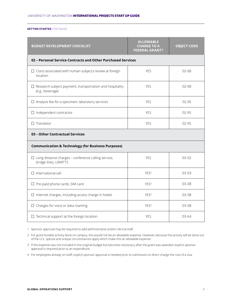| <b>BUDGET DEVELOPMENT CHECKLIST</b>                                                 | <b>ALLOWABLE</b><br><b>CHARGE TO A</b><br><b>FEDERAL GRANT?</b> | <b>OBJECT CODE</b> |  |
|-------------------------------------------------------------------------------------|-----------------------------------------------------------------|--------------------|--|
| 02 - Personal Service Contracts and Other Purchased Services                        |                                                                 |                    |  |
| $\Box$ Costs associated with human subjects review at foreign<br>location           | <b>YES</b>                                                      | $02 - 08$          |  |
| $\Box$ Research subject payment, transportation and hospitality<br>(e.g., beverage) | <b>YES</b>                                                      | $02 - 08$          |  |
| $\Box$ Analysis fee for a specimen; laboratory services                             | <b>YES</b>                                                      | $02 - 30$          |  |
| $\Box$ Independent contractor                                                       | <b>YES</b>                                                      | 02-95              |  |
| $\Box$ Translator                                                                   | <b>YES</b>                                                      | $02 - 95$          |  |
| 03 - Other Contractual Services                                                     |                                                                 |                    |  |
| <b>Communication &amp; Technology (for Business Purposes)</b>                       |                                                                 |                    |  |
| $\Box$ Long distance charges - conference calling service,<br>bridge lines, UWATTS  | <b>YES</b>                                                      | $0.3 - 0.2$        |  |
| $\Box$ International cell                                                           | YES <sup>2</sup>                                                | $03-03$            |  |
| $\Box$ Pre-paid phone cards, SIM card                                               | YES <sup>2</sup>                                                | $03 - 08$          |  |
| $\Box$ Internet charges, including access charge in hotels                          | YES <sup>2</sup>                                                | $03 - 08$          |  |
| $\Box$ Charges for voice or data roaming                                            | YES <sup>2</sup>                                                | $03-08$            |  |
| $\Box$ Technical support at the foreign location                                    | <b>YES</b>                                                      | $03 - 64$          |  |

1 Sponsor approval may be required to add administrative and/or clerical staff.

2 For grant-funded activity done on campus, this would not be an allowable expense. However, because the activity will be done out of the U.S., special and unique circumstances apply which make this an allowable expense.

3 If the expense was not included in the original budget but becomes necessary after the grant was awarded, explicit sponsor approval is required prior to an expenditure.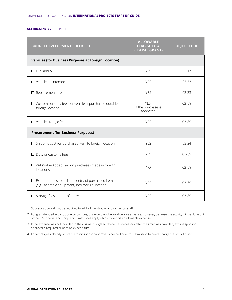| <b>BUDGET DEVELOPMENT CHECKLIST</b>                                                                               | <b>ALLOWABLE</b><br><b>CHARGE TO A</b><br><b>FEDERAL GRANT?</b> | <b>OBJECT CODE</b> |  |
|-------------------------------------------------------------------------------------------------------------------|-----------------------------------------------------------------|--------------------|--|
| <b>Vehicles (for Business Purposes at Foreign Location)</b>                                                       |                                                                 |                    |  |
| $\square$ Fuel and oil                                                                                            | <b>YES</b>                                                      | $03-12$            |  |
| $\Box$ Vehicle maintenance                                                                                        | <b>YES</b>                                                      | $03 - 33$          |  |
| $\Box$ Replacement tires                                                                                          | <b>YES</b>                                                      | $03 - 33$          |  |
| $\Box$ Customs or duty fees for vehicle, if purchased outside the<br>foreign location                             | YES,<br>if the purchase is<br>approved                          | $03 - 69$          |  |
| $\Box$ Vehicle storage fee                                                                                        | <b>YES</b>                                                      | 03-89              |  |
| <b>Procurement (for Business Purposes)</b>                                                                        |                                                                 |                    |  |
| $\Box$ Shipping cost for purchased item to foreign location                                                       | <b>YES</b>                                                      | $03 - 24$          |  |
| $\Box$ Duty or customs fees                                                                                       | <b>YES</b>                                                      | $03-69$            |  |
| □ VAT (Value Added Tax) on purchases made in foreign<br>locations                                                 | N <sub>O</sub>                                                  | $03-69$            |  |
| $\Box$ Expediter fees to facilitate entry of purchased item<br>(e.g., scientific equipment) into foreign location | <b>YES</b>                                                      | $03 - 69$          |  |
| $\square$ Storage fees at port of entry                                                                           | <b>YES</b>                                                      | $03 - 89$          |  |

1 Sponsor approval may be required to add administrative and/or clerical staff.

2 For grant-funded activity done on campus, this would not be an allowable expense. However, because the activity will be done out of the U.S., special and unique circumstances apply which make this an allowable expense.

3 If the expense was not included in the original budget but becomes necessary after the grant was awarded, explicit sponsor approval is required prior to an expenditure.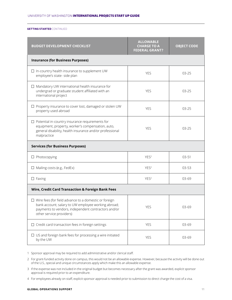| <b>BUDGET DEVELOPMENT CHECKLIST</b>                                                                                                                                                                    | <b>ALLOWABLE</b><br><b>CHARGE TO A</b><br><b>FEDERAL GRANT?</b> | <b>OBJECT CODE</b> |  |
|--------------------------------------------------------------------------------------------------------------------------------------------------------------------------------------------------------|-----------------------------------------------------------------|--------------------|--|
| <b>Insurance (for Business Purposes)</b>                                                                                                                                                               |                                                                 |                    |  |
| $\Box$ In-country health insurance to supplement UW<br>employee's state- side plan                                                                                                                     | <b>YES</b>                                                      | $03 - 25$          |  |
| $\Box$ Mandatory UW international health insurance for<br>undergrad or graduate student affiliated with an<br>international project                                                                    | <b>YES</b>                                                      | $03 - 25$          |  |
| $\Box$ Property insurance to cover lost, damaged or stolen UW<br>property used abroad                                                                                                                  | <b>YES</b>                                                      | $03 - 25$          |  |
| $\Box$ Potential in-country insurance requirements for<br>equipment, property, worker's compensation, auto,<br>general disability, health insurance and/or professional<br>malpractice                 | <b>YES</b>                                                      | $03 - 25$          |  |
| <b>Services (for Business Purposes)</b>                                                                                                                                                                |                                                                 |                    |  |
| $\Box$ Photocopying                                                                                                                                                                                    | YES <sup>2</sup>                                                | $03 - 51$          |  |
| $\Box$ Mailing costs (e.g., FedEx)                                                                                                                                                                     | YES <sup>2</sup>                                                | $03 - 53$          |  |
| $\Box$ Faxing                                                                                                                                                                                          | YES <sup>2</sup>                                                | $03 - 69$          |  |
| Wire, Credit Card Transaction & Foreign Bank Fees                                                                                                                                                      |                                                                 |                    |  |
| $\Box$ Wire fees (for field advance to a domestic or foreign<br>bank account; salary to UW employee working abroad;<br>payments to vendors, independent contractors and/or<br>other service providers) | YES                                                             | 03-69              |  |
| $\Box$ Credit card transaction fees in foreign settings                                                                                                                                                | <b>YES</b>                                                      | 03-69              |  |
| $\Box$ US and foreign bank fees for processing a wire initiated<br>by the UW                                                                                                                           | <b>YES</b>                                                      | 03-69              |  |

1 Sponsor approval may be required to add administrative and/or clerical staff.

2 For grant-funded activity done on campus, this would not be an allowable expense. However, because the activity will be done out of the U.S., special and unique circumstances apply which make this an allowable expense.

3 If the expense was not included in the original budget but becomes necessary after the grant was awarded, explicit sponsor approval is required prior to an expenditure.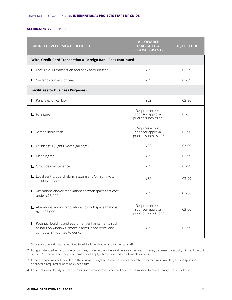| <b>BUDGET DEVELOPMENT CHECKLIST</b>                                                                                                          | <b>ALLOWABLE</b><br><b>CHARGE TO A</b><br><b>FEDERAL GRANT?</b>           | <b>OBJECT CODE</b> |
|----------------------------------------------------------------------------------------------------------------------------------------------|---------------------------------------------------------------------------|--------------------|
| Wire, Credit Card Transaction & Foreign Bank Fees continued                                                                                  |                                                                           |                    |
| $\Box$ Foreign ATM transaction and bank account fees                                                                                         | <b>YES</b>                                                                | $03 - 69$          |
| $\Box$ Currency conversion fees                                                                                                              | <b>YES</b>                                                                | $03 - 69$          |
| <b>Facilities (for Business Purposes)</b>                                                                                                    |                                                                           |                    |
| $\Box$ Rent (e.g., office, lab)                                                                                                              | <b>YES</b>                                                                | 03-80              |
| $\square$ Furniture                                                                                                                          | Requires explicit<br>sponsor approval<br>prior to submission <sup>3</sup> | $03 - 81$          |
| $\Box$ Safe to store cash                                                                                                                    | Requires explicit<br>sponsor approval<br>prior to submission <sup>3</sup> | $03 - 90$          |
| $\Box$ Utilities (e.g., lights, water, garbage)                                                                                              | <b>YES</b>                                                                | 03-99              |
| $\Box$ Cleaning fee                                                                                                                          | <b>YES</b>                                                                | 03-99              |
| $\Box$ Grounds maintenance                                                                                                                   | <b>YES</b>                                                                | 03-99              |
| $\Box$ Local sentry, guard, alarm system and/or night watch<br>security services                                                             | <b>YES</b>                                                                | 03-99              |
| $\Box$ Alterations and/or renovations to work space that cost<br>under \$25,000                                                              | <b>YES</b>                                                                | $03 - 60$          |
| $\Box$ Alterations and/or renovations to work space that cost<br>over\$25,000                                                                | Requires explicit<br>sponsor approval<br>prior to submission <sup>3</sup> | 03-60              |
| $\Box$ Potential building and equipment enhancements such<br>as bars on windows, smoke alarms, dead bolts, and<br>computers mounted to desks | <b>YES</b>                                                                | 03-99              |

1 Sponsor approval may be required to add administrative and/or clerical staff.

2 For grant-funded activity done on campus, this would not be an allowable expense. However, because the activity will be done out of the U.S., special and unique circumstances apply which make this an allowable expense.

3 If the expense was not included in the original budget but becomes necessary after the grant was awarded, explicit sponsor approval is required prior to an expenditure.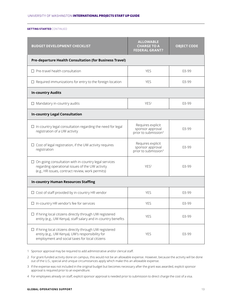| <b>BUDGET DEVELOPMENT CHECKLIST</b>                                                                                                                                | <b>ALLOWABLE</b><br><b>CHARGE TO A</b><br><b>FEDERAL GRANT?</b>           | <b>OBJECT CODE</b> |
|--------------------------------------------------------------------------------------------------------------------------------------------------------------------|---------------------------------------------------------------------------|--------------------|
| <b>Pre-departure Health Consultation (for Business Travel)</b>                                                                                                     |                                                                           |                    |
| $\Box$ Pre-travel health consultation                                                                                                                              | <b>YES</b>                                                                | 03-99              |
| $\Box$ Required immunizations for entry to the foreign location                                                                                                    | <b>YES</b>                                                                | $03-99$            |
| <b>In-country Audits</b>                                                                                                                                           |                                                                           |                    |
| $\Box$ Mandatory in-country audits                                                                                                                                 | YES <sup>2</sup>                                                          | 03-99              |
| <b>In-country Legal Consultation</b>                                                                                                                               |                                                                           |                    |
| $\Box$ In-country legal consultation regarding the need for legal<br>registration of a UW activity                                                                 | Requires explicit<br>sponsor approval<br>prior to submission <sup>3</sup> | 03-99              |
| $\Box$ Cost of legal registration, if the UW activity requires<br>registration                                                                                     | Requires explicit<br>sponsor approval<br>prior to submission <sup>3</sup> | $03-99$            |
| $\Box$ On-going consultation with in-country legal services<br>regarding operational issues of the UW activity<br>(e.g., HR issues, contract review, work permits) | YES <sup>2</sup>                                                          | 03-99              |
| <b>In-country Human Resources Staffing</b>                                                                                                                         |                                                                           |                    |
| $\Box$ Cost of staff provided by in-country HR vendor                                                                                                              | <b>YES</b>                                                                | 03-99              |
| $\Box$ In-country HR vendor's fee for services                                                                                                                     | <b>YES</b>                                                                | 03-99              |
| $\Box$ If hiring local citizens directly through UW registered<br>entity (e.g., UW Kenya), staff salary and in-country benefits                                    | <b>YES</b>                                                                | 03-99              |
| If hiring local citizens directly through UW registered<br>entity (e.g., UW Kenya), UW's responsibility for<br>employment and social taxes for local citizens      | <b>YES</b>                                                                | 03-99              |

1 Sponsor approval may be required to add administrative and/or clerical staff.

- 2 For grant-funded activity done on campus, this would not be an allowable expense. However, because the activity will be done out of the U.S., special and unique circumstances apply which make this an allowable expense.
- 3 If the expense was not included in the original budget but becomes necessary after the grant was awarded, explicit sponsor approval is required prior to an expenditure.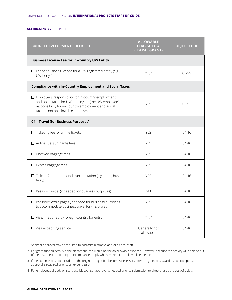| <b>BUDGET DEVELOPMENT CHECKLIST</b>                                                                                                                                                                            | <b>ALLOWABLE</b><br><b>CHARGE TO A</b><br><b>FEDERAL GRANT?</b> | <b>OBJECT CODE</b> |  |
|----------------------------------------------------------------------------------------------------------------------------------------------------------------------------------------------------------------|-----------------------------------------------------------------|--------------------|--|
| <b>Business License Fee for In-country UW Entity</b>                                                                                                                                                           |                                                                 |                    |  |
| $\Box$ Fee for business license for a UW registered entity (e.g.,<br>UW Kenya)                                                                                                                                 | YES <sup>2</sup>                                                | 03-99              |  |
| <b>Compliance with In-Country Employment and Social Taxes</b>                                                                                                                                                  |                                                                 |                    |  |
| Employer's responsibility for in-country employment<br>⊔<br>and social taxes for UW employees (the UW employee's<br>responsibility for in- country employment and social<br>taxes is not an allowable expense) | <b>YES</b>                                                      | 03-93              |  |
| 04 - Travel (for Business Purposes)                                                                                                                                                                            |                                                                 |                    |  |
| $\Box$ Ticketing fee for airline tickets                                                                                                                                                                       | <b>YES</b>                                                      | $04-16$            |  |
| $\Box$ Airline fuel surcharge fees                                                                                                                                                                             | <b>YES</b>                                                      | $04-16$            |  |
| $\Box$ Checked baggage fees                                                                                                                                                                                    | <b>YES</b>                                                      | $04-16$            |  |
| $\Box$ Excess baggage fees                                                                                                                                                                                     | <b>YES</b>                                                      | $04-16$            |  |
| $\Box$ Tickets for other ground transportation (e.g., train, bus,<br>ferry)                                                                                                                                    | <b>YES</b>                                                      | $04-16$            |  |
| $\Box$ Passport, initial (if needed for business purposes)                                                                                                                                                     | <b>NO</b>                                                       | $04-16$            |  |
| $\Box$ Passport, extra pages (if needed for business purposes<br>to accommodate business travel for this project)                                                                                              | <b>YES</b>                                                      | $04-16$            |  |
| $\Box$ Visa, if required by foreign country for entry                                                                                                                                                          | YES <sup>4</sup>                                                | $04-16$            |  |
| $\Box$ Visa expediting service                                                                                                                                                                                 | Generally not<br>allowable                                      | 04-16              |  |

1 Sponsor approval may be required to add administrative and/or clerical staff.

2 For grant-funded activity done on campus, this would not be an allowable expense. However, because the activity will be done out of the U.S., special and unique circumstances apply which make this an allowable expense.

3 If the expense was not included in the original budget but becomes necessary after the grant was awarded, explicit sponsor approval is required prior to an expenditure.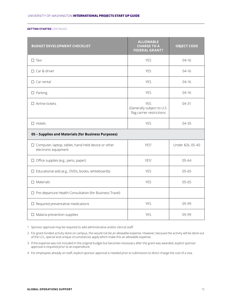| <b>BUDGET DEVELOPMENT CHECKLIST</b>                                                | <b>ALLOWABLE</b><br><b>CHARGE TO A</b><br><b>FEDERAL GRANT?</b>       | <b>OBJECT CODE</b> |
|------------------------------------------------------------------------------------|-----------------------------------------------------------------------|--------------------|
| $\Box$ Taxi                                                                        | <b>YES</b>                                                            | $04-16$            |
| □ Car & driver                                                                     | <b>YES</b>                                                            | $04-16$            |
| $\Box$ Car rental                                                                  | <b>YES</b>                                                            | $04-16$            |
| $\Box$ Parking                                                                     | <b>YES</b>                                                            | $04-16$            |
| $\Box$ Airline tickets                                                             | <b>YES</b><br>(Generally subject to U.S.<br>flag carrier restrictions | 04-31              |
| $\Box$ Hotels                                                                      | <b>YES</b>                                                            | 04-35              |
| 05 - Supplies and Materials (for Business Purposes)                                |                                                                       |                    |
| $\Box$ Computer, laptop, tablet, hand-held device or other<br>electronic equipment | YES <sup>2</sup>                                                      | Under \$2k, 05-40  |
| $\Box$ Office supplies (e.g., pens, paper)                                         | YES <sup>2</sup>                                                      | $05 - 64$          |
| $\Box$ Educational aids (e.g., DVDs, books, whiteboards)                           | <b>YES</b>                                                            | $05 - 65$          |
| $\square$ Materials                                                                | <b>YES</b>                                                            | $05 - 65$          |
| $\Box$ Pre-departure Health Consultation (for Business Travel)                     |                                                                       |                    |
| $\Box$ Required preventative medications                                           | <b>YES</b>                                                            | 05-99              |
| $\Box$ Malaria prevention supplies                                                 | <b>YES</b>                                                            | 05-99              |

1 Sponsor approval may be required to add administrative and/or clerical staff.

2 For grant-funded activity done on campus, this would not be an allowable expense. However, because the activity will be done out of the U.S., special and unique circumstances apply which make this an allowable expense.

3 If the expense was not included in the original budget but becomes necessary after the grant was awarded, explicit sponsor approval is required prior to an expenditure.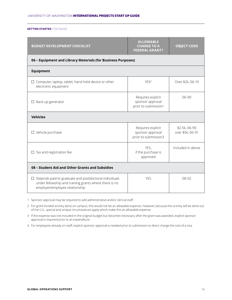| <b>BUDGET DEVELOPMENT CHECKLIST</b>                                                                                                                       | <b>ALLOWABLE</b><br><b>CHARGE TO A</b><br><b>FEDERAL GRANT?</b>           | <b>OBJECT CODE</b>                |
|-----------------------------------------------------------------------------------------------------------------------------------------------------------|---------------------------------------------------------------------------|-----------------------------------|
| 06 - Equipment and Library Materials (for Business Purposes)                                                                                              |                                                                           |                                   |
| <b>Equipment</b>                                                                                                                                          |                                                                           |                                   |
| $\Box$ Computer, laptop, tablet, hand-held device or other<br>electronic equipment                                                                        | YES <sup>2</sup>                                                          | Over \$2k, 06-10                  |
| $\Box$ Back-up generator                                                                                                                                  | Requires explicit<br>sponsor approval<br>prior to submission <sup>3</sup> | $06-90$                           |
| <b>Vehicles</b>                                                                                                                                           |                                                                           |                                   |
| $\Box$ Vehicle purchase                                                                                                                                   | Requires explicit<br>sponsor approval<br>prior to submission3             | \$2-5k, 06-90<br>over \$5k, 06-91 |
| $\Box$ Tax and registration fee                                                                                                                           | YES,<br>if the purchase is<br>approved                                    | Included in above                 |
| 08 - Student Aid and Other Grants and Subsidies                                                                                                           |                                                                           |                                   |
| $\Box$ Stipends paid to graduate and postdoctoral individuals<br>under fellowship and training grants where there is no<br>employer/employee relationship | <b>YES</b>                                                                | $08 - 02$                         |

1 Sponsor approval may be required to add administrative and/or clerical staff.

2 For grant-funded activity done on campus, this would not be an allowable expense. However, because the activity will be done out of the U.S., special and unique circumstances apply which make this an allowable expense.

3 If the expense was not included in the original budget but becomes necessary after the grant was awarded, explicit sponsor approval is required prior to an expenditure.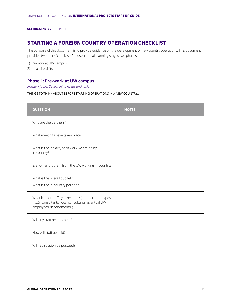# **STARTING A FOREIGN COUNTRY OPERATION CHECKLIST**

The purpose of this document is to provide guidance on the development of new country operations. This document provides two quick "checklists" to use in initial planning stages two phases:

1) Pre-work at UW campus 2) Initial site visits

#### **Phase 1: Pre-work at UW campus**

*Primary focus: Determining needs and tasks*

THINGS TO THINK ABOUT BEFORE STARTING OPERATIONS IN A NEW COUNTRY:.

| <b>QUESTION</b>                                                                                                                       | <b>NOTES</b> |
|---------------------------------------------------------------------------------------------------------------------------------------|--------------|
| Who are the partners?                                                                                                                 |              |
| What meetings have taken place?                                                                                                       |              |
| What is the initial type of work we are doing<br>in-country?                                                                          |              |
| Is another program from the UW working in-country?                                                                                    |              |
| What is the overall budget?<br>What is the in-country portion?                                                                        |              |
| What kind of staffing is needed? (numbers and types<br>- U.S. consultants, local consultants, eventual UW<br>employees, secondments?) |              |
| Will any staff be relocated?                                                                                                          |              |
| How will staff be paid?                                                                                                               |              |
| Will registration be pursued?                                                                                                         |              |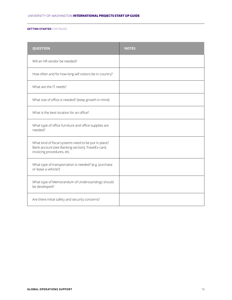| <b>QUESTION</b>                                                                                                                          | <b>NOTES</b> |
|------------------------------------------------------------------------------------------------------------------------------------------|--------------|
| Will an HR vendor be needed?                                                                                                             |              |
| How often and for how long will visitors be in-country?                                                                                  |              |
| What are the IT needs?                                                                                                                   |              |
| What size of office is needed? (keep growth in mind)                                                                                     |              |
| What is the best location for an office?                                                                                                 |              |
| What type of office furniture and office supplies are<br>needed?                                                                         |              |
| What kind of fiscal systems need to be put in place?<br>Bank account (see Banking section), TravelEx card,<br>invoicing procedures, etc. |              |
| What type of transportation is needed? (e.g. purchase<br>or lease a vehicle?)                                                            |              |
| What type of Memorandum of Understandings should<br>be developed?                                                                        |              |
| Are there initial safety and security concerns?                                                                                          |              |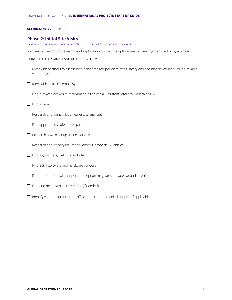#### **Phase 2: Initial Site Visits**

*Primary focus: Assessment, research and survey of local service providers*

Involves on the ground research and exploration of what the options are for meeting identified program needs.

#### THINGS TO THINK ABOUT AND DO DURING SITE VISITS:

- $\Box$  Meet with partners to assess local salary ranges, per diem rates, safety and security issues, local issues, reliable vendors, etc.
- $\Box$  Meet with local U.S. embassy
- $\Box$  Find a lawyer (or two) to recommend as a Special Assistant Attorney General to UW
- $\Box$  Find a bank
- $\Box$  Research and identify local real estate agencies
- $\Box$  Find appropriate, safe office space
- $\Box$  Research how to set up utilities for office
- $\Box$  Research and identify insurance vendors (property & vehicles)
- $\Box$  Find a good, safe, well located hotel
- $\Box$  Find 2-3 IT software and hardware vendors
- $\square$  Determine safe local transportation options (e.g. taxis; private car and driver)
- $\Box$  Find and meet with an HR vendor (if needed)
- $\Box$  Identify vendors for furniture, office supplies, and medical supplies if applicable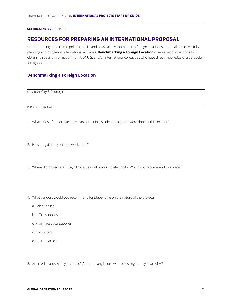### **RESOURCES FOR PREPARING AN INTERNATIONAL PROPOSAL**

Understanding the cultural, political, social and physical environment in a foreign location is essential to successfully planning and budgeting international activities. **Benchmarking a Foreign Location** offers a set of questions for obtaining specific information from UW, U.S. and/or international colleagues who have direct knowledge of a particular foreign location.

#### **Benchmarking a Foreign Location**

LOCATION (City & Country)

PERSON INTERVIEWED

- 1. What kinds of projects (e.g., research, training, student programs) were done at this location?
- 2. How long did project staff work there?
- 3. Where did project staff stay? Any issues with access to electricity? Would you recommend this place?
- 4. What vendors would you recommend for (depending on the nature of the projects):
	- a. Lab supplies
	- b. Office supplies
	- c. Pharmaceutical supplies
	- d. Computers
	- e. Internet access
- 5. Are credit cards widely accepted? Are there any issues with accessing money at an ATM?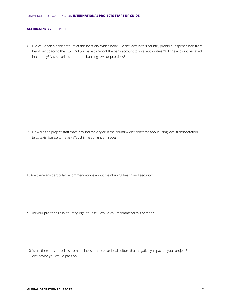6. Did you open a bank account at this location? Which bank? Do the laws in this country prohibit unspent funds from being sent back to the U.S.? Did you have to report the bank account to local authorities? Will the account be taxed in-country? Any surprises about the banking laws or practices?

7. How did the project staff travel around the city or in the country? Any concerns about using local transportation (e.g., taxis, buses) to travel? Was driving at night an issue?

8. Are there any particular recommendations about maintaining health and security?

9. Did your project hire in-country legal counsel? Would you recommend this person?

10. Were there any surprises from business practices or local culture that negatively impacted your project? Any advice you would pass on?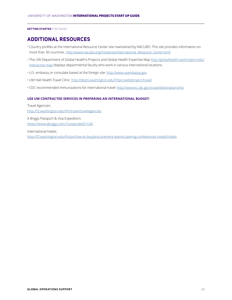# **ADDITIONAL RESOURCES**

- Country profiles at the International Resource Center site maintained by NACUBO. This site provides information on more than 30 countries. http://www.nacubo.org/Initiatives/International\_Resource\_Center.html
- The UW Department of Global Health's Projects and Global Health Expertise Map http://globalhealth.washington.edu/ interactive-map displays departmental faculty who work in various international locations.
- U.S. embassy or consulate based at the foreign site: http://www.usembassy.gov
- UW Hall Health Travel Clinic: http://depts.washington.edu/hhpccweb/project/travel
- CDC recommended immunizations for international travel: http://wwwnc.cdc.gov/travel/destinations/list

#### **USE UW CONTRACTED SERVICES IN PREPARING AN INTERNATIONAL BUDGET:**

Travel Agencies: http://f2.washington.edu/fm/travel/travelagencies

A Briggs Passport & Visa Expeditors: https://www.abriggs.com/?corporateID=UW

International hotels: http://f2.washington.edu/fm/ps/how-to-buy/procurement-teams/catering-conferences-hotels/hotels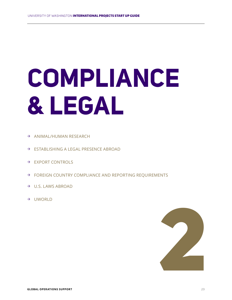# **COMPLIANCE & LEGAL**

- → ANIMAL/HUMAN RESEARCH
- → ESTABLISHING A LEGAL PRESENCE ABROAD
- → EXPORT CONTROLS
- → FOREIGN COUNTRY COMPLIANCE AND REPORTING REQUIREMENTS
- $\rightarrow$  U.S. LAWS ABROAD
- → UWORLD

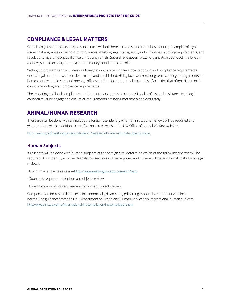# **COMPLIANCE & LEGAL MATTERS**

Global program or projects may be subject to laws both here in the U.S. and in the host country. Examples of legal issues that may arise in the host country are establishing legal status; entity or tax filing and auditing requirements; and regulations regarding physical office or housing rentals. Several laws govern a U.S. organization's conduct in a foreign country, such as export, anti-boycott and money laundering controls.

Setting up programs and activities in a foreign country often triggers local reporting and compliance requirements once a legal structure has been determined and established. Hiring local workers, long-term working arrangements for home-country employees, and opening offices or other locations are all examples of activities that often trigger localcountry reporting and compliance requirements.

The reporting and local compliance requirements vary greatly by country. Local professional assistance (e.g., legal counsel) must be engaged to ensure all requirements are being met timely and accurately.

# **ANIMAL/HUMAN RESEARCH**

If research will be done with animals at the foreign site, identify whether institutional reviews will be required and whether there will be additional costs for those reviews. See the UW Office of Animal Welfare website:

http://www.grad.washington.edu/students/research/human-animal-subjects.shtml

#### **Human Subjects**

If research will be done with human subjects at the foreign site, determine which of the following reviews will be required. Also, identify whether translation services will be required and if there will be additional costs for foreign reviews.

- UW human subjects review —http://www.washington.edu/research/hsd/
- Sponsor's requirement for human subjects review
- Foreign collaborator's requirement for human subjects review

Compensation for research subjects in economically disadvantaged settings should be consistent with local norms. See guidance from the U.S. Department of Health and Human Services on international human subjects: http://www.hhs.gov/ohrp/international/intlcompilation/intlcompilation.html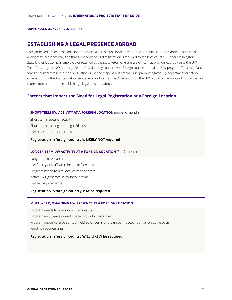# **ESTABLISHING A LEGAL PRESENCE ABROAD**

Foreign-based projects that anticipate such activities as hiring local citizens directly, signing contracts and/or establishing a long-term presence may find that some form of legal registration is required by the host country. Under Washington State law, only attorneys employed or retained by the state Attorney General's Office may provide legal advice to the UW. Therefore, only the UW Attorney General's Office may contract with foreign counsel to advise a UW program. The cost of any foreign counsel retained by the AG's Office will be the responsibility of the Principal Investigator (PI), department or school/ college. Consult the Assistant Attorney General for International Operations on the UW Global Single Points of Contact list for more information about establishing a legal presence abroad.

#### **Factors that Impact the Need for Legal Registration at a Foreign Location**

#### **SHORT-TERM UW ACTIVITY AT A FOREIGN LOCATION** (under 6 months)

Short-term research activity Short-term training of foreign citizens UW study abroad programs

#### **Registration in foreign country is LIKELY NOT required**

#### **LONGER-TERM UW ACTIVITY AT A FOREIGN LOCATION** (6 - 12 months)

Longer-term research UW faculty or staff will relocate to foreign site Program needs to hire local citizens as staff Activity will generate in-country income Funder requirements

#### **Registration in foreign country MAY be required**

#### **MULTI-YEAR, ON-GOING UW PRESENCE AT A FOREIGN LOCATION**

Program needs to hire local citizens as staff Program must lease or rent space to conduct activities Program deposits large sums of field advances in a foreign bank account on an on-going basis Funding requirements

#### **Registration in foreign country WILL LIKELY be required**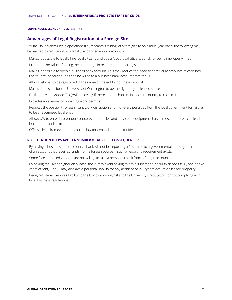#### **Advantages of Legal Registration at a Foreign Site**

For faculty PI's engaging in operations (i.e., research, training) at a foreign site on a multi-year basis, the following may be realized by registering as a legally recognized entity in-country:

- Makes it possible to legally hire local citizens and doesn't put local citizens at risk for being improperly hired.
- Promotes the value of "doing the right thing" in resource-poor settings.
- Makes it possible to open a business bank account. This may reduce the need to carry large amounts of cash into the country because funds can be wired to a business bank account from the U.S.
- Allows vehicles to be registered in the name of the entity, not the individual.
- Makes it possible for the University of Washington to be the signatory on leased space.
- Facilitates Value Added Tax (VAT) recovery, if there is a mechanism in place in-country to reclaim it.
- Provides an avenue for obtaining work permits.
- Reduces the possibility of significant work disruption and monetary penalties from the local government for failure to be a recognized legal entity.
- Allows UW to enter into vendor contracts for supplies and service of equipment that, in most instances, can lead to better rates and terms.
- Offers a legal framework that could allow for expanded opportunities.

#### **REGISTRATION HELPS AVOID A NUMBER OF ADVERSE CONSEQUENCES:**

- By having a business bank account, a bank will not be reporting a PI's name to a governmental ministry as a holder of an account that receives funds from a foreign source, if such a reporting requirement exists.
- Some foreign-based vendors are not willing to take a personal check from a foreign account.
- By having the UW as signer on a lease, the PI may avoid having to pay a substantial security deposit (e.g., one or two years of rent). The PI may also avoid personal liability for any accident or injury that occurs on leased property.
- Being registered reduces liability to the UW by avoiding risks to the University's reputation for not complying with local business regulations.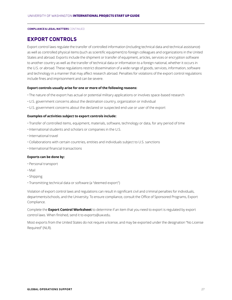# **EXPORT CONTROLS**

Export control laws regulate the transfer of controlled information (including technical data and technical assistance) as well as controlled physical items (such as scientific equipment) to foreign colleagues and organizations in the United States and abroad. Exports include the shipment or transfer of equipment, articles, services or encryption software to another country as well as the transfer of technical data or information to a foreign national, whether it occurs in the U.S. or abroad. These regulations restrict dissemination of a wide range of goods, services, information, software and technology in a manner that may affect research abroad. Penalties for violations of the export control regulations include fines and imprisonment and can be severe.

#### **Export controls usually arise for one or more of the following reasons:**

- The nature of the export has actual or potential military applications or involves space-based research
- U.S. government concerns about the destination country, organization or individual
- U.S. government concerns about the declared or suspected end use or user of the export

#### **Examples of activities subject to export controls include:**

- Transfer of controlled items, equipment, materials, software, technology or data, for any period of time
- •International students and scholars or companies in the U.S.
- •International travel
- Collaborations with certain countries, entities and individuals subject to U.S. sanctions
- •International financial transactions

#### **Exports can be done by:**

- Personal transport
- Mail
- Shipping
- Transmitting technical data or software (a "deemed export")

Violation of export control laws and regulations can result in significant civil and criminal penalties for individuals, departments/schools, and the University. To ensure compliance, consult the Office of Sponsored Programs, Export Compliance.

Complete the **Export Control Worksheet** to determine if an item that you need to export is regulated by export control laws. When finished, send it to exports@uw.edu.

Most exports from the United States do not require a license, and may be exported under the designation "No License Required" (NLR).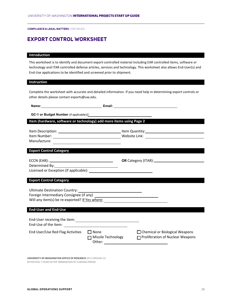# **EXPORT CONTROL WORKSHEET**

# **Introduction Introduction**

This worksheet is to identify and document export-controlled material including EAR controlled items, software or technology and ITAR controlled defense articles, services and technology. This worksheet also allows End-User(s) and technology and ITAR controlled defense articles, services and technology. This worksheet also allows End-User(s) and<br>End-Use applications to be identified and screened prior to shipment. End-Use applications to be identified and screened prior to shipment.

**Export Control Worksheet**

# **Instruction Instruction**

Complete the worksheet with accurate and detailed information. If you need help in determining export controls or<br>also details also accepted a social Correct other details please contact exports@uw.edu. other details please contact exports@uw.edu.

| Item (hardware, software or technology) add more items using Page 2                                             |                                                                   |                                                                             |
|-----------------------------------------------------------------------------------------------------------------|-------------------------------------------------------------------|-----------------------------------------------------------------------------|
|                                                                                                                 |                                                                   |                                                                             |
| <b>Export Control Category</b>                                                                                  |                                                                   |                                                                             |
|                                                                                                                 |                                                                   |                                                                             |
| <b>Export Control Category</b>                                                                                  |                                                                   |                                                                             |
| Will any item(s) be re-exported? If Yes where: _________________________________<br><b>End-User and End-Use</b> |                                                                   |                                                                             |
|                                                                                                                 |                                                                   |                                                                             |
|                                                                                                                 |                                                                   |                                                                             |
| End User/Use Red Flag Activities                                                                                | $\Box$ None<br>Missile Technology<br>Other: <u>______________</u> | $\Box$ Chemical or Biological Weapons<br>□ Proliferation of Nuclear Weapons |

**UNIVERSITY OF WASHINGTON OFFICE OF RESEARCH** 2012 VERSION 2.0 RETENTION: 5 YEARS AFTER TERMINATION OF FUNDING PERIOD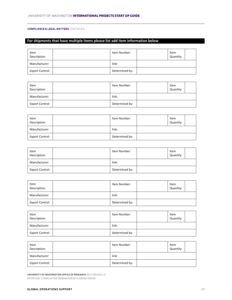#### **For shipments that have multiple items please list add item information below For shipments that have multiple items please list add item information below**

| Item<br>Description:   | Item Number:   | Item<br>Quantity: |  |
|------------------------|----------------|-------------------|--|
| Manufacturer:          | link:          |                   |  |
| <b>Export Control:</b> | Determined by: |                   |  |

| Item<br>Description: | Item Number:   | Item<br>Quantity: |  |
|----------------------|----------------|-------------------|--|
| Manufacturer:        | link:          |                   |  |
| Export Control:      | Determined by: |                   |  |

| Item<br>Description:   | Item Number:   | Item<br>Quantity: |  |
|------------------------|----------------|-------------------|--|
| Manufacturer:          | link:          |                   |  |
| <b>Export Control:</b> | Determined by: |                   |  |

| Item<br>Description:   | Item Number:   | Item<br>Quantity: |  |
|------------------------|----------------|-------------------|--|
| Manufacturer:          | link:          |                   |  |
| <b>Export Control:</b> | Determined by: |                   |  |

| Item<br>Description:   | Item Number:   | Item<br>Quantity: |  |
|------------------------|----------------|-------------------|--|
| Manufacturer:          | link:          |                   |  |
| <b>Export Control:</b> | Determined by: |                   |  |

| Item<br>Description:   | Item Number:   | Item<br>Quantity: |  |
|------------------------|----------------|-------------------|--|
| Manufacturer:          | link:          |                   |  |
| <b>Export Control:</b> | Determined by: |                   |  |

| Item<br>Description:   | Item Number:   | Item<br>Quantity: |  |
|------------------------|----------------|-------------------|--|
| Manufacturer:          | link:          |                   |  |
| <b>Export Control:</b> | Determined by: |                   |  |

**UNIVERSITY OF WASHINGTON OFFICE OF RESEARCH** 2012 VERSION 2.0 RETENTION: 5 YEARS AFTER TERMINATION OF FUNDING PERIOD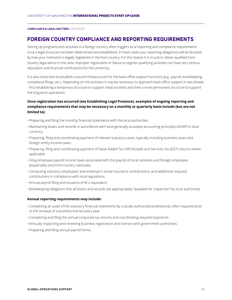# **FOREIGN COUNTRY COMPLIANCE AND REPORTING REQUIREMENTS**

Setting up programs and activities in a foreign country often triggers local reporting and compliance requirements once a legal structure has been determined and established. In most cases your reporting obligations will be dictated by how your institution is legally registered in the host country. For this reason it is crucial to obtain qualified hostcountry legal advice in this area. Improper registration or failure to register qualifying activities can have very serious reputation and financial ramifications for the University.

It is also important to establish a sound infrastructure for the back-office support functions (e.g., payroll, bookkeeping, compliance filings, etc.). Depending on the activities it may be necessary to approach back-office support in two phases - first establishing a temporary structure to support initial activities and then a more permanent structure to support the long-term operations.

#### **Once registration has occurred (see Establishing Legal Presence), examples of ongoing reporting and compliance requirements that may be necessary on a monthly or quarterly basis include (but are not limited to):**

- Preparing and filing the monthly financial statements with the local authorities.
- Maintaining books and records in accordance with local generally accepted accounting principles (GAAP) in local currency.
- Preparing, filing and coordinating payment of relevant statutory taxes, typically including business taxes and foreign-entity income taxes.
- Preparing, filing and coordinating payment of Value Added Tax (VAT)/Goods and Services Tax (GST) returns where applicable.
- Filing employee payroll income taxes associated with the payroll of local nationals and foreign employees (expatriates and third-country nationals).
- Computing statutory employees' and employer's social insurance contributions, and additional required contributions in compliance with local regulations.
- Annual payroll filing and issuance of W-2 equivalent.
- Bookkeeping obligation that all books and records are appropriately "available for inspection" by local authorities.

#### **Annual reporting requirements may include:**

- Completing an audit of the statutory financial statements by a locally authorized professional, often required prior to the renewal of a business license every year.
- Completing and filing the annual corporate tax returns and coordinating required payments.
- Annually inspecting and renewing business registration and licenses with government authorities.
- Preparing and filing annual payroll forms.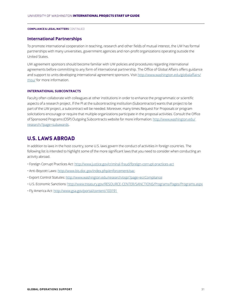#### **International Partnerships**

To promote international cooperation in teaching, research and other fields of mutual interest, the UW has formal partnerships with many universities, government agencies and non-profit organizations operating outside the United States.

UW agreement sponsors should become familiar with UW policies and procedures regarding international agreements before committing to any form of international partnership. The Office of Global Affairs offers guidance and support to units developing international agreement sponsors. Visit http://www.washington.edu/globalaffairs/ mou/ for more information.

#### **INTERNATIONAL SUBCONTRACTS**

Faculty often collaborate with colleagues at other institutions in order to enhance the programmatic or scientific aspects of a research project. If the PI at the subcontracting institution (Subcontractor) wants that project to be part of the UW project, a subcontract will be needed. Moreover, many times Request For Proposals or program solicitations encourage or require that multiple organizations participate in the proposal activities. Consult the Office of Sponsored Programs (OSP) Outgoing Subcontracts website for more information: http://www.washington.edu/ research/?page=subawards.

### **U.S. LAWS ABROAD**

In addition to laws in the host country, some U.S. laws govern the conduct of activities in foreign countries. The following list is intended to highlight some of the more significant laws that you need to consider when conducting an activity abroad.

- Foreign Corrupt Practices Act: http://www.justice.gov/criminal-fraud/foreign-corrupt-practices-act
- Anti-Boycott Laws: http://www.bis.doc.gov/index.php/enforcement/oac
- Export Control Statutes: http://www.washington.edu/research/osp/?page=ecrCompliance
- U.S. Economic Sanctions: http://www.treasury.gov/RESOURCE-CENTER/SANCTIONS/Programs/Pages/Programs.aspx
- Fly America Act: http://www.gsa.gov/portal/content/103191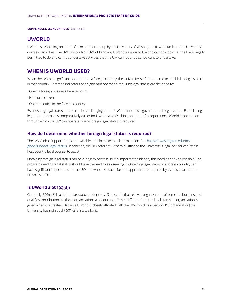# **UWORLD**

UWorld is a Washington nonprofit corporation set up by the University of Washington (UW) to facilitate the University's overseas activities. The UW fully controls UWorld and any UWorld subsidiary. UWorld can only do what the UW is legally permitted to do and cannot undertake activities that the UW cannot or does not want to undertake.

# **WHEN IS UWORLD USED?**

When the UW has significant operations in a foreign country, the University is often required to establish a legal status in that country. Common indicators of a significant operation requiring legal status are the need to:

- Open a foreign business bank account
- Hire local citizens
- Open an office in the foreign country

Establishing legal status abroad can be challenging for the UW because it is a governmental organization. Establishing legal status abroad is comparatively easier for UWorld as a Washington nonprofit corporation. UWorld is one option through which the UW can operate where foreign legal status is required.

#### **How do I determine whether foreign legal status is required?**

The UW Global Support Project is available to help make this determination. See http://f2.washington.edu/fm/ globalsupport/legal-status. In addition, the UW Attorney General's Office as the University's legal advisor can retain host country legal counsel to assist.

Obtaining foreign legal status can be a lengthy process so it is important to identify this need as early as possible. The program needing legal status should take the lead role in seeking it. Obtaining legal status in a foreign country can have significant implications for the UW as a whole. As such, further approvals are required by a chair, dean and the Provost's Office.

#### **Is UWorld a 501(c)(3)?**

Generally, 501(c)(3) is a federal tax status under the U.S. tax code that relieves organizations of some tax burdens and qualifies contributions to these organizations as deductible. This is different from the legal status an organization is given when it is created. Because UWorld is closely affiliated with the UW, (which is a Section 115 organization) the University has not sought 501(c) (3) status for it.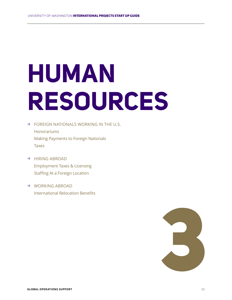# **HUMAN RESOURCES**

- $\rightarrow$  FOREIGN NATIONALS WORKING IN THE U.S. Honorariums Making Payments to Foreign Nationals Taxes
- → HIRING ABROAD Employment Taxes & Licensing Staffing At a Foreign Location
- → WORKING ABROAD International Relocation Benefits

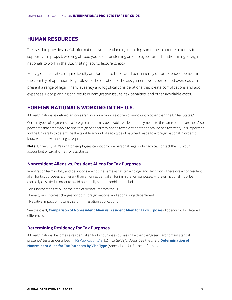## **HUMAN RESOURCES**

This section provides useful information if you are planning on hiring someone in another country to support your project, working abroad yourself, transferring an employee abroad, and/or hiring foreign nationals to work in the U.S. (visiting faculty, lecturers, etc.)

Many global activities require faculty and/or staff to be located permanently or for extended periods in the country of operation. Regardless of the duration of the assignment, work performed overseas can present a range of legal, financial, safety and logistical considerations that create complications and add expenses. Poor planning can result in immigration issues, tax penalties, and other avoidable costs.

# **FOREIGN NATIONALS WORKING IN THE U.S.**

A foreign national is defined simply as "an individual who is a citizen of any country other than the United States."

Certain types of payments to a foreign national may be taxable, while other payments to the same person are not. Also, payments that are taxable to one foreign national may not be taxable to another because of a tax treaty. It is important for the University to determine the taxable amount of each type of payment made to a foreign national in order to know whether withholding is required.

**Note:** University of Washington employees cannot provide personal, legal or tax advice. Contact the IRS, your accountant or tax attorney for assistance.

#### **Nonresident Aliens vs. Resident Aliens for Tax Purposes**

Immigration terminology and definitions are not the same as tax terminology and definitions, therefore a nonresident alien for tax purposes is different than a nonresident alien for immigration purposes. A foreign national must be correctly classified in order to avoid potentially serious problems including:

- An unexpected tax bill at the time of departure from the U.S.
- Penalty and interest charges for both foreign national and sponsoring department
- Negative impact on future visa or immigration applications

See the chart, **Comparison of Nonresident Alien vs. Resident Alien for Tax Purposes** (Appendix 2) for detailed differences.

#### **Determining Residency for Tax Purposes**

A foreign national becomes a resident alien for tax purposes by passing either the "green card" or "substantial presence" tests as described in IRS Publication 519, *U.S. Tax Guide for Aliens*. See the chart, **Determination of Nonresident Alien for Tax Purposes by Visa Type** (Appendix 1) for further information.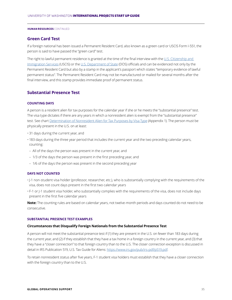#### **HUMAN RESOURCES** CONTINUED

#### **Green Card Test**

If a foreign national has been issued a Permanent Resident Card, also known as a green card or USCIS Form I-551, the person is said to have passed the "green card" test.

The right to lawful permanent residence is granted at the time of the final interview with the U.S. Citizenship and Immigration Services (USCIS) or the U.S. Department of State (DOS) officials and can be evidenced not only by the Permanent Resident Card but also by a stamp in the applicant's passport which states "temporary evidence of lawful permanent status". The Permanent Resident Card may not be manufactured or mailed for several months after the final interview, and this stamp provides immediate proof of permanent status.

#### **Substantial Presence Test**

#### **COUNTING DAYS**

A person is a resident alien for tax purposes for the calendar year if she or he meets the "substantial presence" test. The visa type dictates if there are any years in which a nonresident alien is exempt from the "substantial presence" test. See chart Determination of Nonresident Alien for Tax Purposes by Visa Type (Appendix 1). The person must be physically present in the U.S. on at least:

- 31 days during the current year, and
- 183 days during the three year period that includes the current year and the two preceding calendar years, counting:
- All of the days the person was present in the current year, and
- 1/3 of the days the person was present in the first preceding year, and
- 1/6 of the days the person was present in the second preceding year

#### **DAYS NOT COUNTED**

- •J-1 non-student visa holder (professor, researcher, etc.), who is substantially complying with the requirements of the visa, does not count days present in the first two calendar years
- F-1 or J-1 student visa holder, who substantially complies with the requirements of the visa, does not include days present in the first five calendar years

**Note:** The counting rules are based on calendar years, not twelve-month periods and days counted do not need to be consecutive.

#### **SUBSTANTIAL PRESENCE TEST EXAMPLES**

#### **Circumstances that Disqualify Foreign Nationals from the Substantial Presence Test**

A person will not meet the substantial presence test if (1) they are present in the U.S. on fewer than 183 days during the current year, and (2) if they establish that they have a tax home in a foreign country in the current year, and (3) that they have a "closer connection" to that foreign country than to the U.S. The closer connection exception is discussed in detail in IRS Publication 519, U.S. Tax Guide for Aliens: https://www.irs.gov/pub/irs-pdf/p519.pdf.

To retain nonresident status after five years, F-1 student visa holders must establish that they have a closer connection with the foreign country than to the U.S.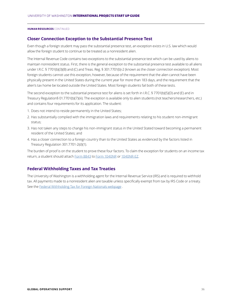#### **HUMAN RESOURCES** CONTINUED

#### **Closer Connection Exception to the Substantial Presence Test**

Even though a foreign student may pass the substantial presence test, an exception exists in U.S. law which would allow the foreign student to continue to be treated as a nonresident alien.

The Internal Revenue Code contains two exceptions to the substantial presence test which can be used by aliens to maintain nonresident status. First, there is the general exception to the substantial presence test available to all aliens under I.R.C. § 7701(b)(3)(B) and (C) and Treas. Reg. § 301.7701(b)-2 (known as the closer connection exception). Most foreign students cannot use this exception, however, because of the requirement that the alien cannot have been physically present in the United States during the current year for more than 183 days, and the requirement that the alien's tax home be located outside the United States. Most foreign students fail both of these tests.

The second exception to the substantial presence test for aliens is set forth in I.R.C. § 7701(b)(5)(D) and (E) and in Treasury Regulation§ 01.7701(b)(7)(iii). The exception is available only to alien students (not teachers/researchers, etc.) and contains four requirements for its application. The student:

- 1. Does not intend to reside permanently in the United States;
- 2. Has substantially complied with the immigration laws and requirements relating to his student non-immigrant status;
- 3. Has not taken any steps to change his non-immigrant status in the United Stated toward becoming a permanent resident of the United States; and
- 4. Has a closer connection to a foreign country than to the United States as evidenced by the factors listed in Treasury Regulation 301.7701-2(d)(1).

The burden of proof is on the student to prove these four factors. To claim the exception for students on an income tax return, a student should attach Form 8843 to Form 1040NR or 1040NR-EZ.

#### **Federal Withholding Taxes and Tax Treaties**

The University of Washington is a withholding agent for the Internal Revenue Service (IRS) and is required to withhold tax. All payments made to a nonresident alien are taxable unless specifically exempt from tax by IRS Code or a treaty. See the Federal Withholding Tax for Foreign Nationals webpage .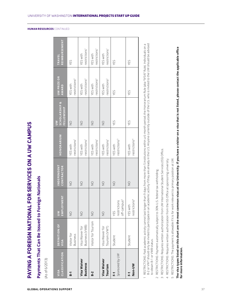## Payments That Can Be Issued to Foreign Nationals **Payments That Can Be Issued to Foreign Nationals**

(As of 6/2013) (As of 6/2013)

| CLASSIFICATION<br>VISA         | DEFINITION OF<br>VISA             | EMPLOYMENT<br>$\geq$                           | <b>INDEPENDENT</b><br>CONTRACTOR | HONORARIUM                            | <b>SCHOLARSHIP &amp;</b><br>FELLOWSHIP<br>$\geq$ | <b>UW PRIZE OR</b><br>AWARD           | REIMBURSEMENT<br><b>TRAVEL</b>        |
|--------------------------------|-----------------------------------|------------------------------------------------|----------------------------------|---------------------------------------|--------------------------------------------------|---------------------------------------|---------------------------------------|
| 5-1                            | Visitor for<br>Business           | $\frac{0}{2}$                                  | $\frac{1}{2}$                    | restrictions <sup>1</sup><br>YES with | $\frac{1}{2}$                                    | restrictions <sup>2</sup><br>YES with | YES                                   |
| Visa Waiver<br><b>Business</b> | Business (VWB)<br>Visa Waiver for | $\frac{0}{2}$                                  | $\frac{1}{2}$                    | restrictions <sup>1</sup><br>YES with | $\frac{1}{2}$                                    | restrictions <sup>2</sup><br>YES with | restrictions <sup>1</sup><br>YES with |
| $B-2$                          | Visitor for Tourism               | $\frac{1}{2}$                                  | $\frac{0}{2}$                    | restrictions <sup>1</sup><br>YES with | $\frac{1}{2}$                                    | restrictions <sup>2</sup><br>YES with | restrictions <sup>1</sup><br>YES with |
| Visa Waiver<br>Tourism         | Visa Waiver for<br>Tourism (VWT)  | $\frac{0}{2}$                                  | $\frac{1}{2}$                    | restrictions <sup>1</sup><br>YES with | $\frac{1}{2}$                                    | restrictions <sup>2</sup><br>YES with | restrictions <sup>1</sup><br>YES with |
| Sponsored by UW<br>J           | Student                           | off-campus <sup>3</sup><br>restrictions<br>YES | $\frac{1}{2}$                    | restrictions <sup>3</sup><br>YES with | YES                                              | YES                                   | YES                                   |
| Non-UW<br>J.                   | Student                           | restrictions <sup>4</sup><br>YES with          | $\frac{1}{2}$                    | restrictions <sup>4</sup><br>YES with | YES                                              | YES                                   | YES                                   |
|                                |                                   |                                                |                                  |                                       |                                                  |                                       |                                       |

B-2 or VWT should only be invited to participate in an academic activity if they are already in the U.S. Anyone currently outside of the U.S. who is invited to the UW should be advised RESTRICTIONS: Paid academic activity cannot last longer than 9 days from more than 5 institutions within a 6-month period; the Honorarium Rule (aka "9/5/6" Rule). Individuals on a RESTRICTIONS: Paid academic activity cannot last longer than 9 days from more than 5 institutions within a 6-month period; the Honorarium Rule (aka "9/5/6" Rule). Individuals on a B-2 or VWT should only be invited to participate in an academic activity if they are already in the U.S. Anyone currently outside of the U.S. who is invited to the UW should be advised to obtain B-1 or VWB status. to obtain B-1 or VWB status.

RESTRICTIONS: Payment automatically subject to 30% U.S. federal tax withholding. RESTRICTIONS: Payment automatically subject to 30% U.S. federal tax withholding.  $\sim$ 

 $\overline{\phantom{0}}$ 

RESTRICTIONS: Requires written authorization from UW International Student Services (ISS) Office. RESTRICTIONS: Requires written authorization from UW International Student Services (ISS) Office.  $\infty$ 

 RESTRICTIONS: Requires written authorization from the ISS Office at sponsoring university. RESTRICTIONS: Requires written authorization from the ISS Office at sponsoring university.  $\overline{4}$ 

5 RESTRICTIONS: The payment is allowable if it is for work relevant to primary position at UW. RESTRICTIONS: The payment is allowable if it is for work relevant to primary position at UW.

**The visa types listed on this chart are the most common visas at the University. If you have a visitor on a visa that is not listed, please contact the applicable office**  The visa types listed on this chart are the most common visas at the University. If you have a visitor on a visa that is not listed, please contact the applicable office for more information. **for more information.**

**HUMAN RESOURCES** CONTINUED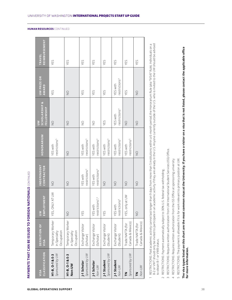|                                    | PAYMENTS THAT CAN BE ISSUED TO FOREIGN         | <b>NATIONALS</b> CONTINUED               |                                              |                                              |                                                  |                                       |                                |
|------------------------------------|------------------------------------------------|------------------------------------------|----------------------------------------------|----------------------------------------------|--------------------------------------------------|---------------------------------------|--------------------------------|
| CLASSIFICATION<br>VISA             | DEFINITION OF<br>VISA                          | EMPLOYMENT<br>$\geq$                     | <b>INDEPENDENT</b><br>CONTRACTOR             | HONORARIUM                                   | <b>SCHOLARSHIP &amp;</b><br>FELLOWSHIP<br>$\geq$ | UW PRIZE OR<br>AWARD                  | <b>REIMBURSEMENT</b><br>TRAVEL |
| Sponsored by UW<br>H1-B, O-1 & E-3 | Temporary Worker<br>Occupation<br>in Specialty | YES, ONLY AT UW                          | $\frac{1}{2}$                                | restrictions <sup>5</sup><br>YES with        | $\frac{1}{2}$                                    | YES                                   | YES                            |
| H1-B, 0-1 & E-3<br>Non-UW          | Temporary Worker<br>Occupation<br>in Specialty | $\frac{0}{2}$                            | $\frac{1}{2}$                                | $\frac{0}{2}$                                | $\frac{1}{2}$                                    | $\frac{0}{2}$                         | YES                            |
| Sponsored by UW<br>J-1 Scholar     | Exchange Visitor<br>(Scholar)                  | YES                                      | estrictions <sup>3</sup><br><b>YES with</b>  | restrictions <sup>3</sup><br>YES with        | $\frac{0}{2}$                                    | YES                                   | YES                            |
| J-1 Scholar<br>Non-UW              | Exchange Visitor<br>(Scholar)                  | restrictions <sup>3</sup> ,4<br>YES with | restrictions <sup>4</sup><br><b>YES with</b> | restrictions <sup>4</sup><br>YES with        | $\frac{1}{2}$                                    | YES                                   | YES                            |
| Sponsored by UW<br>J-1 Student     | Exchange Visitor<br>(Student)                  | YES                                      | $\frac{1}{2}$                                | restrictions <sup>3</sup><br>YES with        | YES                                              | YES                                   | YES                            |
| J-1 Student<br>Non-UW              | Exchange Visitor<br>(Student)                  | restrictions <sup>4</sup><br>YES with    | $\frac{1}{2}$                                | restrictions <sup>4</sup><br>YES with        | restrictions <sup>4</sup><br>YES with            | restrictions <sup>4</sup><br>YES with | YES                            |
| Sponsored by UW<br>M               | Canada & Mexico)<br>Trade NAFTA (for           | YES, only at UW                          | $\frac{0}{2}$                                | restrictions <sup>5</sup><br><b>YES with</b> | $\frac{0}{2}$                                    | YES                                   | YES                            |
| Non-UW<br>M                        | Canada & Mexico)<br>Trade NAFTA (for           | $\frac{0}{2}$                            | $\frac{1}{2}$                                | $\frac{1}{2}$                                | $\frac{1}{2}$                                    | $\frac{1}{2}$                         | YES                            |
|                                    |                                                |                                          |                                              |                                              |                                                  |                                       |                                |

RESTRICTIONS: Paid academic activity cannot last longer than 9 days from more than 5 institutions within a 6-month period; the Honorarium Rule (aka "9/5/6" Rule). Individuals on a<br>B-2 or VWT should only be invited to parti B-2 or VWT should only be invited to participate in an academic activity if they are already in the U.S. Anyone currently outside of the U.S. who is invited to the UW should be advised RESTRICTIONS: Paid academic activity cannot last longer than 9 days from more than 5 institutions within a 6-month period; the Honorarium Rule (aka "9/5/6" Rule). Individuals on a to obtain B-1 or VWB status.

RESTRICTIONS: Payment automatically subject to 30% U.S. federal tax withholding. RESTRICTIONS: Payment automatically subject to 30% U.S. federal tax withholding.  $\sim$ 

 $\overline{\phantom{0}}$ 

RESTRICTIONS: Requires written authorization from UW International Student Services (ISS) Office. RESTRICTIONS: Requires written authorization from UW International Student Services (ISS) Office.  $\infty$ 

 RESTRICTIONS: Requires written authorization from the ISS Office at sponsoring university. RESTRICTIONS: Requires written authorization from the ISS Office at sponsoring university.  $\overline{4}$ 

RESTRICTIONS: The payment is allowable if it is for work relevant to primary position at UW. RESTRICTIONS: The payment is allowable if it is for work relevant to primary position at UW.  $\overline{5}$ 

# **The visa types listed on this chart are the most common visas at the University. If you have a visitor on a visa that is not listed, please contact the applicable office**  The visa types listed on this chart are the most common visas at the University. If you have a visitor on a visa that is not listed, please contact the applicable office for more information. **for more information.**

**HUMAN RESOURCES** CONTINUED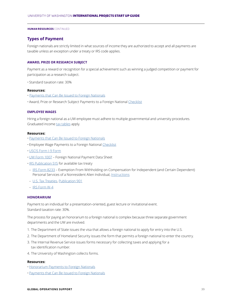### **Types of Payment**

Foreign nationals are strictly limited in what sources of income they are authorized to accept and all payments are taxable unless an exception under a treaty or IRS code applies.

### **AWARD, PRIZE OR RESEARCH SUBJECT**

Payment as a reward or recognition for a special achievement such as winning a judged competition or payment for participation as a research subject.

• Standard taxation rate: 30%

### **Resources:**

- Payments that Can Be Issued to Foreign Nationals
- Award, Prize or Research Subject Payments to a Foreign National Checklist

### **EMPLOYEE WAGES**

Hiring a foreign national as a UW employee must adhere to multiple governmental and university procedures. Graduated income tax tables apply.

### **Resources:**

- Payments that Can Be Issued to Foreign Nationals
- Employee Wage Payments to a Foreign National Checklist
- USCIS Form I-9 Form
- UW Form 1007 Foreign National Payment Data Sheet
- •IRS Publication 515 for available tax treaty
- IRS Form 8233 Exemption From Withholding on Compensation for Independent (and Certain Dependent) Personal Services of a Nonresident Alien Individual, Instructions
- U.S. Tax Treaties, Publication 901
- IRS Form W-4

### **HONORARIUM**

Payment to an individual for a presentation-oriented, guest lecture or invitational event. Standard taxation rate: 30%.

The process for paying an honorarium to a foreign national is complex because three separate government departments and the UW are involved.

- 1. The Department of State issues the visa that allows a foreign national to apply for entry into the U.S.
- 2. The Department of Homeland Security issues the form that permits a foreign national to enter the country.
- 3. The Internal Revenue Service issues forms necessary for collecting taxes and applying for a tax identification number.
- 4. The University of Washington collects forms.

### **Resources:**

- Honorarium Payments to Foreign Nationals
- Payments that Can Be Issued to Foreign Nationals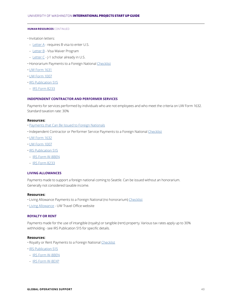- •Invitation letters:
- Letter A requires B visa to enter U.S.
- Letter B Visa Waiver Program
- Letter C J-1 scholar already in U.S.
- Honorarium Payments to a Foreign National Checklist
- UW Form 1631
- UW Form 1007
- •IRS Publication 515
- IRS Form 8233

### **INDEPENDENT CONTRACTOR AND PERFORMER SERVICES**

Payments for services performed by individuals who are not employees and who meet the criteria on UW Form 1632. Standard taxation rate: 30%

### **Resources:**

- Payments that Can Be Issued to Foreign Nationals
- •Independent Contractor or Performer Service Payments to a Foreign National Checklist
- UW Form 1632
- UW Form 1007
- •IRS Publication 515
- IRS Form W-8BEN
- IRS Form 8233

### **LIVING ALLOWANCES**

Payments made to support a foreign national coming to Seattle. Can be issued without an honorarium. Generally not considered taxable income.

### **Resources:**

- Living Allowance Payments to a Foreign National (no honorarium) Checklist
- Living Allowance UW Travel Office website

### **ROYALTY OR RENT**

Payments made for the use of intangible (royalty) or tangible (rent) property. Various tax rates apply up to 30% withholding - see IRS Publication 515 for specific details.

### **Resources:**

- Royalty or Rent Payments to a Foreign National Checklist
- •IRS Publication 515
- IRS Form W-8BEN
- IRS Form W-8EXP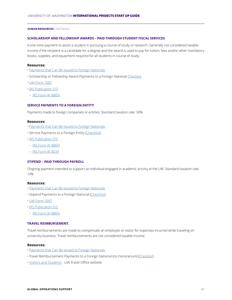### **SCHOLARSHIP AND FELLOWSHIP AWARDS – PAID THROUGH STUDENT FISCAL SERVICES**

A one-time payment to assist a student in pursuing a course of study or research. Generally not considered taxable income if the recipient is a candidate for a degree and the award is used to pay for tuition, fees and/or other mandatory books, supplies, and equipment required for all students in course of study.

### **Resources:**

- Payments that Can Be Issued to Foreign Nationals
- Scholarship or Fellowship Award Payments to a Foreign National Checklist
- UW Form 1007
- •IRS Publication 515
- IRS Form W-8BEN

### **SERVICE PAYMENTS TO A FOREIGN ENTITY**

Payments made to foreign companies or entities. Standard taxation rate: 30%

### **Resources:**

- Payments that Can Be Issued to Foreign Nationals
- Service Payments to a Foreign Entity (Checklist)
- •IRS Publication 515
- IRS Form W-8BEN
- IRS Form W-8EXP

### **STIPEND – PAID THROUGH PAYROLL**

Ongoing payment intended to support an individual engaged in academic activity at the UW. Standard taxation rate: 14%

### **Resources:**

- Payments that Can Be Issued to Foreign Nationals
- Stipend Payments to a Foreign National (Checklist)
- UW Form 1007
- •IRS Publication 515
- IRS Form W-8BEN

### **TRAVEL REIMBURSEMENT.**

Travel reimbursements are made to compensate an employee or visitor for expenses incurred while traveling on university business. Travel reimbursements are not considered taxable income.

### **Resources:**

- Payments that Can Be Issued to Foreign Nationals
- Travel Reimbursement Payments to a Foreign National (no honorarium) (Checklist)
- Visitors and Students UW Travel Office website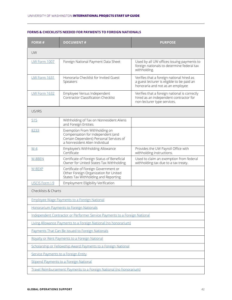| FORM#                                                                      | <b>DOCUMENT#</b>                                                                                                                                | <b>PURPOSE</b>                                                                                                              |  |  |  |
|----------------------------------------------------------------------------|-------------------------------------------------------------------------------------------------------------------------------------------------|-----------------------------------------------------------------------------------------------------------------------------|--|--|--|
| UW                                                                         |                                                                                                                                                 |                                                                                                                             |  |  |  |
| <b>UW Form 1007</b>                                                        | Foreign National Payment Data Sheet                                                                                                             | Used by all UW offices issuing payments to<br>foreign nationals to determine federal tax<br>withholding.                    |  |  |  |
| <b>UW Form 1631</b>                                                        | Honoraria Checklist for Invited Guest<br>Speakers                                                                                               | Verifies that a foreign national hired as<br>a guest lecturer is eligible to be paid an<br>honoraria and not as an employee |  |  |  |
| <b>UW Form 1632</b>                                                        | Employee Versus Independent<br><b>Contractor Classification Checklist</b>                                                                       | Verifies that a foreign national is correctly<br>hired as an independent contractor for<br>non-lecturer type services.      |  |  |  |
| US/IRS                                                                     |                                                                                                                                                 |                                                                                                                             |  |  |  |
| 515                                                                        | Withholding of Tax on Nonresident Aliens<br>and Foreign Entities                                                                                |                                                                                                                             |  |  |  |
| 8233                                                                       | Exemption From Withholding on<br>Compensation for Independent (and<br>Certain Dependent) Personal Services of<br>a Nonresident Alien Individual |                                                                                                                             |  |  |  |
| $W-4$                                                                      | Employee's Withholding Allowance<br>Certificate                                                                                                 | Provides the UW Payroll Office with<br>withholding instructions.                                                            |  |  |  |
| W-8BEN                                                                     | Certificate of Foreign Status of Beneficial<br>Owner for United States Tax Withholding                                                          | Used to claim an exemption from federal<br>withholding tax due to a tax treaty.                                             |  |  |  |
| W-8EXP                                                                     | Certificate of Foreign Government or<br>Other Foreign Organization for United<br>States Tax Withholding and Reporting                           |                                                                                                                             |  |  |  |
| USCIS Form I-9                                                             | Employment Eligibility Verification                                                                                                             |                                                                                                                             |  |  |  |
| Checklists & Charts                                                        |                                                                                                                                                 |                                                                                                                             |  |  |  |
| <b>Employee Wage Payments to a Foreign National</b>                        |                                                                                                                                                 |                                                                                                                             |  |  |  |
| Honorarium Payments to Foreign Nationals                                   |                                                                                                                                                 |                                                                                                                             |  |  |  |
| Independent Contractor or Performer Service Payments to a Foreign National |                                                                                                                                                 |                                                                                                                             |  |  |  |
| Living Allowance Payments to a Foreign National (no honorarium)            |                                                                                                                                                 |                                                                                                                             |  |  |  |
| Payments That Can Be Issued to Foreign Nationals                           |                                                                                                                                                 |                                                                                                                             |  |  |  |
|                                                                            | Royalty or Rent Payments to a Foreign National                                                                                                  |                                                                                                                             |  |  |  |
|                                                                            | Scholarship or Fellowship Award Payments to a Foreign National                                                                                  |                                                                                                                             |  |  |  |
|                                                                            | Service Payments to a Foreign Entity                                                                                                            |                                                                                                                             |  |  |  |
|                                                                            | Stipend Payments to a Foreign National                                                                                                          |                                                                                                                             |  |  |  |
|                                                                            | Travel Reimbursement Payments to a Foreign National (no honorarium)                                                                             |                                                                                                                             |  |  |  |

### **FORMS & CHECKLISTS NEEDED FOR PAYMENTS TO FOREIGN NATIONALS**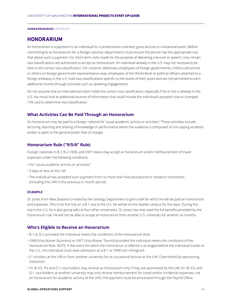### **HONORARIUM**

An honorarium is a payment to an individual for a presentation-oriented, guest lecture or invitational event. Before committing to an honorarium for a foreign national, departments must ensure the person has the appropriate visa that allows such a payment. For short-term visits made for the purpose of delivering a lecture or speech, only certain visa classifications are authorized to accept an honorarium. An individual already in the U.S. may not necessarily be here in the correct visa classification. For instance, diplomats, employees of foreign governments, military personnel, or others on foreign government representative visas, employees of the World Bank or political officers attached to a foreign embassy in the U.S. hold visa classifications specific to the duties of their posts and are not permitted to earn additional income through activities such as speaking engagements.

Do not assume that an international visitor holds the correct visa classification, especially if he or she is already in the U.S. You must look at additional sources of information that could include the individual's passport visa or stamped I-94 card to determine visa classification.

### **What Activities Can Be Paid Through an Honorarium**

An honorarium may be paid to a foreign national for "usual academic activity or activities." These activities include lecturing, teaching and sharing of knowledge or performance (when the audience is composed of non-paying students and/or is open to the general public free of charge).

### **Honorarium Rule ("9/5/6" Rule)**

Foreign nationals in B-1, B-2, VWB, and VWT status may accept an honorarium and/or reimbursement of travel expenses under the following conditions:

- For "usual academic activity or activities"
- 9 days or less at the UW
- The individual has accepted such payment from no more than five educational or research institutions (including the UW) in the previous 6-month period.

### **EXAMPLE**

Dr. Jones from New Zealand is invited by the Geology Department to give a talk for which he will be paid an honorarium and expenses. This is his first trip on a B-1 visa to the U.S. He will be on the Seattle campus for five days. During this trip in the U.S. he is also giving talks at four other universities. Dr. Jones has now used the full benefits provided by the honorarium rule. He will not be able to accept an honorarium from another U.S. university for another six months.

### **Who's Eligible to Receive an Honorarium**

- B-1 or B-2 provided the individual meets the conditions of the Honorarium Rule.
- VWB (Visa Waiver Business) or VWT (Visa Waiver Tourist) provided the individual meets the conditions of the Honorarium Rule. NOTE: If the event for which the honorarium is offered is arranged before the individual travels to the U.S., the individual must seek admission as a B-1 or VWB non-immigrant.
- •J-1 scholars at the UW or from another university for an occasional lecture at the UW, if permitted by sponsoring institution.
- H1-B, E3, TN and O-1 visa holders may receive an honorarium only if they are sponsored by the UW. (H-1B, E3, and O-1 visa holders at another university may only receive reimbursement for travel and/or incidental expenses, not an honorarium for academic activity at the UW.) The payment must be processed through the Payroll Office.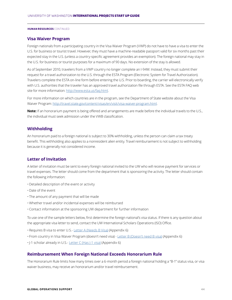### **Visa Waiver Program**

Foreign nationals from a participating country in the Visa Waiver Program (VWP) do not have to have a visa to enter the U.S. for business or tourist travel. However, they must have a machine-readable passport valid for six months past their expected stay in the U.S. (unless a country-specific agreement provides an exemption). The foreign national may stay in the U.S. for business or tourist purposes for a maximum of 90 days. No extension of the stay is allowed.

As of September 2010, travelers from a VWP country no longer complete an I-94W. Instead, they must submit their request for a travel authorization to the U.S. through the ESTA Program (Electronic System for Travel Authorization). Travelers complete the ESTA on-line form before entering the U.S. Prior to boarding, the carrier will electronically verify with U.S. authorities that the traveler has an approved travel authorization file through ESTA. See the ESTA FAQ web site for more information: http://www.esta.us/faq.html.

For more information on which countries are in the program, see the Department of State website about the Visa Waiver Program: http://travel.state.gov/content/visas/en/visit/visa-waiver-program.html.

**Note:** If an honorarium payment is being offered and arrangements are made before the individual travels to the U.S., the individual must seek admission under the VWB classification.

### **Withholding**

An honorarium paid to a foreign national is subject to 30% withholding, unless the person can claim a tax treaty benefit. This withholding also applies to a nonresident alien entity. Travel reimbursement is not subject to withholding because it is generally not considered income.

### **Letter of Invitation**

A letter of invitation must be sent to every foreign national invited to the UW who will receive payment for services or travel expenses. The letter should come from the department that is sponsoring the activity. The letter should contain the following information:

- Detailed description of the event or activity
- Date of the event
- The amount of any payment that will be made
- Whether travel and/or incidental expenses will be reimbursed
- Contact information at the sponsoring UW department for further information

To use one of the sample letters below, first determine the foreign national's visa status. If there is any question about the appropriate visa letter to send, contact the UW International Scholars Operations (ISO) Office.

- Requires B visa to enter U.S.- Letter A (Needs B Visa) (Appendix 6)
- From country in Visa Waiver Program (doesn't need visa) Letter B (Doesn't need B visa) (Appendix 6)
- •J-1 scholar already in U.S.- Letter C (Has J-1 visa) (Appendix 6)

### **Reimbursement When Foreign National Exceeds Honorarium Rule**

The Honorarium Rule limits how many times over a 6-month period a foreign national holding a "B-1" status visa, or visa waiver business, may receive an honorarium and/or travel reimbursement.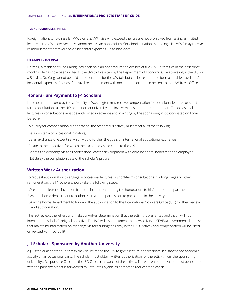Foreign nationals holding a B-1/VWB or B-2/VWT visa who exceed the rule are not prohibited from giving an invited lecture at the UW. However, they cannot receive an honorarium. Only foreign nationals holding a B-1/VWB may receive reimbursement for travel and/or incidental expenses, up to nine days.

### **EXAMPLE - B-1 VISA**

Dr. Yang, a resident of Hong Kong, has been paid an honorarium for lectures at five U.S. universities in the past three months. He has now been invited to the UW to give a talk by the Department of Economics. He's traveling in the U.S. on a B-1 visa. Dr. Yang cannot be paid an honorarium for the UW talk but can be reimbursed for reasonable travel and/or incidental expenses. Request for travel reimbursement with documentation should be sent to the UW Travel Office.

### **Honorarium Payment to J-1 Scholars**

J-1 scholars sponsored by the University of Washington may receive compensation for occasional lectures or shortterm consultations at the UW or at another university that involve wages or other remuneration. The occasional lectures or consultations must be authorized in advance and in writing by the sponsoring institution listed on Form DS-2019.

To qualify for compensation authorization, the off-campus activity must meet all of the following:

•Be short-term or occasional in nature;

•Be an exchange of expertise which would further the goals of international educational exchange;

•Relate to the objectives for which the exchange visitor came to the U.S.;

•Benefit the exchange visitor's professional career development with only incidental benefits to the employer; •Not delay the completion date of the scholar's program.

### **Written Work Authorization**

To request authorization to engage in occasional lectures or short-term consultations involving wages or other remuneration, the J-1 scholar should take the following steps:

1.Present the letter of invitation from the institution offering the honorarium to his/her home department.

2.Ask the home department to authorize in writing permission to participate in the activity.

3.Ask the home department to forward the authorization to the International Scholars Office (ISO) for their review and authorization.

The ISO reviews the letters and makes a written determination that the activity is warranted and that it will not interrupt the scholar's original objective. The ISO will also document the new activity in SEVIS (a government database that maintains information on exchange visitors during their stay in the U.S.). Activity and compensation will be listed on revised Form DS-2019.

### **J-1 Scholars-Sponsored by Another University**

A J-1 scholar at another university may be invited to the UW to give a lecture or participate in a sanctioned academic activity on an occasional basis. The scholar must obtain written authorization for the activity from the sponsoring university's Responsible Officer in the ISO Office in advance of the activity. The written authorization must be included with the paperwork that is forwarded to Accounts Payable as part of the request for a check.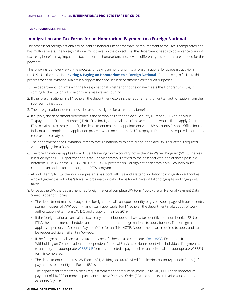### **Immigration and Tax Forms for an Honorarium Payment to a Foreign National**

The process for foreign nationals to be paid an honorarium and/or travel reimbursement at the UW is complicated and has multiple facets. The foreign national must travel on the correct visa; the department needs to do advance planning; tax treaty benefits may impact the tax rate for the honorarium; and, several different types of forms are needed for the payment.

The following is an overview of the process for paying an honorarium to a foreign national for academic activity in the U.S. Use the checklist, **Inviting & Paying an Honorarium to a Foreign National**, (Appendix 4), to facilitate this process for each invitation. Maintain a copy of the checklist in department files for audit purposes.

- 1. The department confirms with the foreign national whether or not he or she meets the Honorarium Rule, if coming to the U.S. on a B visa or from a visa waiver country.
- 2. If the foreign national is a J-1 scholar, the department explains the requirement for written authorization from the sponsoring institution.
- 3. The foreign national determines if he or she is eligible for a tax treaty benefit.
- 4. If eligible, the department determines if the person has either a Social Security Number (SSN) or Individual Taxpayer Identification Number (ITIN). If the foreign national doesn't have either and would like to apply for an ITIN to claim a tax treaty benefit, the department makes an appointment with UW Accounts Payable Office for the individual to complete the application process when on campus. A U.S. taxpayer ID number is required in order to receive a tax treaty benefit.
- 5. The department sends invitation letter to foreign national with details about the activity. This letter is required when applying for a B visa.
- 6. The foreign national applies for a B visa if traveling from a country not in the Visa Waiver Program (VWP). The visa is issued by the U.S. Department of State. The visa stamp is affixed to the passport with one of these possible notations: B-1; B-2 or the B-1/B-2 (NOTE: B-1 is UW preference). Foreign nationals from a VWP country must complete an on-line form through the ESTA program.
- 7. At port of entry to U.S., the individual presents passport with visa and a letter of invitation to immigration authorities who will gather the individual's travel records electronically. The visitor will have digital photographs and fingerprints taken.
- 8. Once at the UW, the department has foreign national complete UW Form 1007, Foreign National Payment Data Sheet. (Appendix Forms).
	- The department makes a copy of the foreign national's passport identity page, passport page with port of entry stamp (if citizen of VWP country) and visa, if applicable. For J-1 scholar, the department makes copy of work authorization letter from UW ISO and a copy of their DS 2019.
	- If the foreign national can claim a tax treaty benefit but doesn't have a tax identification number (i.e., SSN or ITIN), the department schedules an appointment for the foreign national to apply for one. The foreign national applies, in person, at Accounts Payable Office for an ITIN. NOTE: Appointments are required to apply and can be requested via email at itin@uw.edu.
	- If the foreign national can claim a tax treaty benefit, he/she also completes Form 8233, Exemption from Withholding on Compensation for Independent Personal Services of Nonresident Alien Individual. If payment is to an entity, the appropriate W-8BEN-E form is completed. If payment is to an individual, the appropriate W-8BEN form is completed.
	- The department completes UW Form 1631, Visiting Lecturer/Invited Speaker/Instructor (Appendix Forms). If payment is to an entity, no Form 1631 is needed.
	- The department completes a check request form for honorarium payment (up to \$10,000). For an honorarium payment of \$10,000 or more, department creates a Purchase Order (PO) and submits an invoice voucher through Accounts Payable.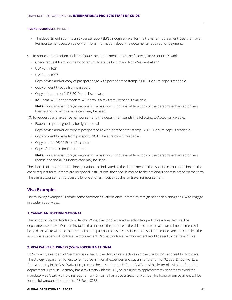- The department submits an expense report (ER) through eTravel for the travel reimbursement. See the Travel Reimbursement section below for more information about the documents required for payment.
- 9. To request honorarium under \$10,000: the department sends the following to Accounts Payable:
	- Check request form for the honorarium. In status box, mark "Non-Resident Alien."
	- UW Form 1631
	- UW Form 1007
	- Copy of visa and/or copy of passport page with port of entry stamp. NOTE: Be sure copy is readable.
	- Copy of identity page from passport
	- Copy of the person's DS 2019 for J-1 scholars
	- IRS Form 8233 or appropriate W-8 form, if a tax treaty benefit is available.

**Note:** For Canadian foreign nationals, if a passport is not available, a copy of the person's enhanced driver's license and social insurance card may be used.

10. To request travel expense reimbursement, the department sends the following to Accounts Payable:

- Expense report signed by foreign national
- Copy of visa and/or or copy of passport page with port of entry stamp. NOTE: Be sure copy is readable.
- Copy of identify page from passport. NOTE: Be sure copy is readable.
- Copy of their DS 2019 for J-1 scholars
- Copy of their I-20 for F-1 students

**Note:** For Canadian foreign nationals, if a passport is not available, a copy of the person's enhanced driver's license and social insurance card may be used.

The check is distributed to the foreign national as indicated by the department in the "Special Instructions" box on the check request form. If there are no special instructions, the check is mailed to the national's address noted on the form. The same disbursement process is followed for an invoice voucher or travel reimbursement.

### **Visa Examples**

The following examples illustrate some common situations encountered by foreign nationals visiting the UW to engage in academic activities.

### **1. CANADIAN FOREIGN NATIONAL**

The School of Drama decides to invite John White, director of a Canadian acting troupe, to give a guest lecture. The department sends Mr. White an invitation that includes the purpose of the visit and states that travel reimbursement will be paid. Mr. White will need to present either his passport or his driver's license and social insurance card and complete the appropriate paperwork for travel reimbursement. Request for travel reimbursement would be sent to the Travel Office.

### **2. VISA WAIVER BUSINESS (VWB) FOREIGN NATIONAL**

Dr. Schwartz, a resident of Germany, is invited to the UW to give a lecture in molecular biology and visit for two days. The Biology department offers to reimburse him for all expenses and pay an honorarium of \$2,000. Dr. Schwartz is from a country in the Visa Waiver Program, so he may enter the U.S. as a VWB or with a letter of invitation from the department. Because Germany has a tax treaty with the U.S., he is eligible to apply for treaty benefits to avoid the mandatory 30% tax withholding requirement. Since he has a Social Security Number, his honorarium payment will be for the full amount if he submits IRS Form 8233.

### **GLOBAL OPERATIONS SUPPORT** 47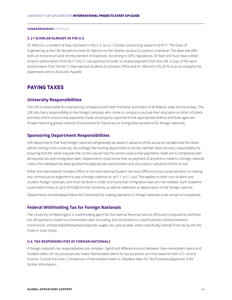### **3. J-1 SCHOLAR ALREADY IN THE U.S.**

Dr. Marconi, a resident of Italy, has been in the U.S. as a J-1 scholar conducting research at M.I.T. The Dean of Engineering at the UW decides to invite Dr. Marconi to the Seattle campus to conduct a seminar. The dean will offer both an honorarium and reimbursement of expenses. According to DHS regulations, Dr. Marconi must have a letter of work authorization from M.I.T. (his J-1 visa sponsor) in order to receive payment from the UW. A copy of the work authorization from the M.I.T. International Students & Scholars Office and Dr. Marconi's DS 2019 must accompany the paperwork sent to Accounts Payable

### **PAYING TAXES**

### **University Responsibilities**

The UW is responsible for maintaining compliance with both the letter and intent of all federal, state and local laws. The UW also has a responsibility to the foreign nationals who come to campus to pursue their education or other scholarly activities and to ensure that payments made are properly reported to the appropriate federal and state agencies. Proper reporting greatly reduces the potential for future tax or immigration problems for foreign nationals.

### **Sponsoring Department Responsibilities**

UW departments that host foreign nationals will generally be aware in advance of the actual arrival date that the visitor will be coming to the university. Accordingly, the hosting department or faculty member bears primary responsibility for ensuring that the visitor acquires the correct visa (or has the correct visa) so that payments made are in compliance with all requisite tax and immigration laws. Departments must insure that no payment of any kind is made to a foreign national unless the individual has been granted the appropriate authorization and visa status in advance of their arrival.

Either the International Scholars Office or the International Student Services Office must be contacted prior to making any contractual arrangement to pay a foreign national on an F-1 or J-1 visa. This applies to both non-student and student foreign nationals, and must be done in order to ensure that immigration laws are not violated. Such violations could lead to fines of up to \$10,000 for the University as well as detention or deportation of the foreign national.

Departments should always follow the checklist(s) for making payments to foreign nationals to be certain of compliance.

### **Federal Withholding Tax for Foreign Nationals**

The University of Washington is a withholding agent for the Internal Revenue Service (IRS) and is required to withhold tax. All payments made to a nonresident alien (including, but not limited to, travel/business reimbursements, honorarium, scholarships/fellowships/stipends, wages, etc.) are taxable unless specifically exempt from tax by the IRS Code or a tax treaty.

### **U.S. TAX RESPONSIBILITIES OF FOREIGN NATIONALS**

A foreign national's tax responsibilities are complex. Significant differences exist between how nonresident aliens and resident aliens for tax purposes are taxed. Nonresident aliens for tax purposes are only taxed on their U.S. source income. Consult the chart, Comparison of Nonresident Alien vs. Resident Alien for Tax Purposes (Appendix 2) for further information.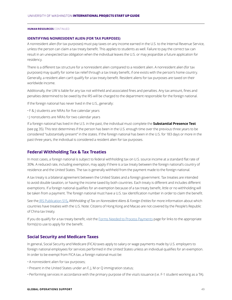### **IDENTIFYING NONRESIDENT ALIEN (FOR TAX PURPOSES)**

A nonresident alien (for tax purposes) must pay taxes on any income earned in the U.S. to the Internal Revenue Service, unless the person can claim a tax treaty benefit. This applies to students as well. Failure to pay the correct tax can result in an unexpected tax obligation when the individual leaves the U.S. or may jeopardize a future application for residency.

There is a different tax structure for a nonresident alien compared to a resident alien. A nonresident alien (for tax purposes) may qualify for some tax relief through a tax treaty benefit, if one exists with the person's home country. Generally, a resident alien can't qualify for a tax treaty benefit. Resident aliens for tax purposes are taxed on their worldwide income.

Additionally, the UW is liable for any tax not withheld and associated fines and penalties. Any tax amount, fines and penalties determined to be owed by the IRS will be charged to the department responsible for the foreign national.

If the foreign national has never lived in the U.S., generally:

- F & J students are NRAs for five calendar years
- •J nonstudents are NRAs for two calendar years

If a foreign national has lived in the U.S. in the past, the individual must complete the **Substantial Presence Test**  (see pg 35). This test determines if the person has been in the U.S. enough time over the previous three years to be considered "substantially present" in the states. If the foreign national has been in the U.S. for 183 days or more in the past three years, the individual is considered a resident alien for tax purposes.

### **Federal Withholding Tax & Tax Treaties**

In most cases, a foreign national is subject to federal withholding tax on U.S. source income at a standard flat rate of 30%. A reduced rate, including exemption, may apply if there is a tax treaty between the foreign national's country of residence and the United States. The tax is generally withheld from the payment made to the foreign national.

A tax treaty is a bilateral agreement between the United States and a foreign government. Tax treaties are intended to avoid double taxation, or having the income taxed by both countries. Each treaty is different and includes different exemptions. If a foreign national qualifies for an exemption because of a tax treaty benefit, little or no withholding will be taken from a payment. The foreign national must have a U.S. tax identification number in order to claim the benefit.

See the IRS Publication 515**,** *Withholding of Tax on Nonresident Aliens & Foreign Entities* for more information about which countries have treaties with the U.S. Note: Citizens of Hong Kong and Macao are not covered by the People's Republic of China tax treaty.

If you do qualify for a tax treaty benefit, visit the Forms Needed to Process Payments page for links to the appropriate form(s) to use to apply for the benefit.

### **Social Security and Medicare Taxes**

In general, Social Security and Medicare (FICA) taxes apply to salary or wage payments made by U.S. employers to foreign national employees for services performed in the United States unless an individual qualifies for an exemption. In order to be exempt from FICA tax, a foreign national must be:

- A nonresident alien for tax purposes;
- Present in the United States under an F, J, M or Q immigration status;
- Performing services in accordance with the primary purpose of the visa's issuance (i.e. F-1 student working as a TA).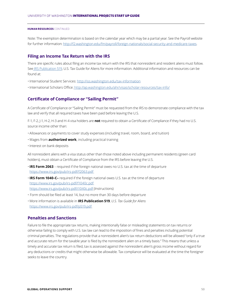Note: The exemption determination is based on the calendar year which may be a partial year. See the Payroll website for further information: http://f2.washington.edu/fm/payroll/foreign-nationals/social-security-and-medicare-taxes.

### **Filing an Income Tax Return with the IRS**

There are specific rules about filing an income tax return with the IRS that nonresident and resident aliens must follow. See IRS Publication 519, U.S. Tax Guide for Aliens for more information. Additional information and resources can be found at:

- •International Student Services: http://iss.washington.edu/tax-information
- •International Scholars Office: http://ap.washington.edu/ahr/visas/scholar-resources/tax-info/

### **Certificate of Compliance or "Sailing Permit"**

A Certificate of Compliance or "Sailing Permit" must be requested from the IRS to demonstrate compliance with the tax law and verify that all required taxes have been paid before leaving the U.S.

F-1, F-2, J-1, H-2, H-3 and H-4 visa holders are **not** required to obtain a Certificate of Compliance if they had no U.S. source income other than:

- Allowances or payments to cover study expenses (including travel, room, board, and tuition)
- Wages from **authorized work**, including practical training
- •Interest on bank deposits

All nonresident aliens with a visa status other than those noted above including permanent residents (green card holders), must obtain a Certificate of Compliance from the IRS before leaving the U.S.

- •**IRS Form 2063** required if the foreign national owes no U.S. tax at the time of departure https://www.irs.gov/pub/irs-pdf/f2063.pdf
- •**IRS Form 1040-C–** required if the foreign national owes U.S. tax at the time of departure https://www.irs.gov/pub/irs-pdf/f1040c.pdf https://www.irs.gov/pub/irs-pdf/i1040c.pdf (Instructions)
- Form should be filed at least 14, but no more than 30 days before departure
- More information is available in **IRS Publication 519**, *U.S. Tax Guide for Aliens* https://www.irs.gov/pub/irs-pdf/p519.pdf

### **Penalties and Sanctions**

Failure to file the appropriate tax returns, making intentionally false or misleading statements on tax returns or otherwise failing to comply with U.S. tax law can lead to the imposition of fines and penalties including potential criminal penalties. The regulations provide that a nonresident alien's tax return deductions will be allowed "only if a true and accurate return for the taxable year is filed by the nonresident alien on a timely basis." This means that unless a timely and accurate tax return is filed, tax is assessed against the nonresident alien's gross income without regard for any deductions or credits that might otherwise be allowable. Tax compliance will be evaluated at the time the foreigner seeks to leave the country.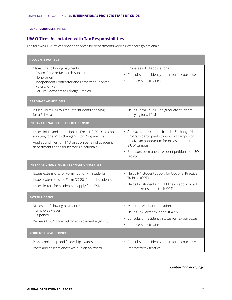### **UW Offices Associated with Tax Responsibilities**

The following UW offices provide services for departments working with foreign nationals.

| <b>ACCOUNTS PAYABLE</b>                                                                                                                                                                                                 |                                                                                                                                                                                                                                |
|-------------------------------------------------------------------------------------------------------------------------------------------------------------------------------------------------------------------------|--------------------------------------------------------------------------------------------------------------------------------------------------------------------------------------------------------------------------------|
| · Makes the following payments:<br>- Award, Prize or Research Subjects<br>- Honorarium<br>- Independent Contractor and Performer Services<br>- Royalty or Rent<br>- Service Payments to Foreign Entities                | • Processes ITIN applications<br>· Consults on residency status for tax purposes<br>· Interprets tax treaties                                                                                                                  |
| <b>GRADUATE ADMISSIONS</b>                                                                                                                                                                                              |                                                                                                                                                                                                                                |
| · Issues Form I-20 to graduate students applying<br>for a F-1 visa                                                                                                                                                      | · Issues Form DS-2019 to graduate students<br>applying for a J-1 visa                                                                                                                                                          |
| <b>INTERNATIONAL SCHOLARS OFFICE (ISO)</b>                                                                                                                                                                              |                                                                                                                                                                                                                                |
| . Issues initial and extensions to Form DS-2019 to scholars<br>applying for a J-1 Exchange Visitor Program visa<br>• Applies and files for H-1B visas on behalf of academic<br>departments sponsoring foreign nationals | • Approves applications from J-1 Exchange Visitor<br>Program participants to work off campus or<br>receive an honorarium for occasional lecture on<br>a UW campus<br>· Sponsors permanent resident petitions for UW<br>faculty |
| INTERNATIONAL STUDENT SERVICES OFFICE (ISS)                                                                                                                                                                             |                                                                                                                                                                                                                                |
| · Issues extensions for Form I-20 for F-1 students<br>· Issues extensions for Form DS-2019 for J-1 students<br>· Issues letters for students to apply for a SSN                                                         | • Helps F-1 students apply for Optional Practical<br>Training (OPT)<br>• Helps F-1 students in STEM fields apply for a 17<br>month extension of their OPT                                                                      |
| <b>PAYROLL OFFICE</b>                                                                                                                                                                                                   |                                                                                                                                                                                                                                |
| · Makes the following payments:<br>- Employee wages<br>- Stipends<br>· Reviews USCIS Form I-9 for employment eligibility                                                                                                | • Monitors work authorization status<br>• Issues IRS Forms W-2 and 1042-S<br>· Consults on residency status for tax purposes<br>· Interprets tax treaties                                                                      |
| <b>STUDENT FISCAL SERVICES</b>                                                                                                                                                                                          |                                                                                                                                                                                                                                |
| · Pays scholarship and fellowship awards<br>• Posts and collects any taxes due on an award                                                                                                                              | · Consults on residency status for tax purposes<br>· Interprets tax treaties                                                                                                                                                   |

*Contiued on next page*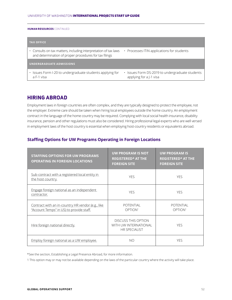| <b>TAX OFFICE</b>                                                                                                               |                                                                            |
|---------------------------------------------------------------------------------------------------------------------------------|----------------------------------------------------------------------------|
| $\cdot$ Consults on tax matters, including interpretation of tax laws<br>and determination of proper procedures for tax filings | $\cdot$ Processes ITIN applications for students                           |
| <b>UNDERGRADUATE ADMISSIONS</b>                                                                                                 |                                                                            |
| Issues Form I-20 to undergraduate students applying for<br>a F-1 visa                                                           | · Issues Form DS-2019 to undergraduate students<br>applying for a J-1 visa |

### **HIRING ABROAD**

Employment laws in foreign countries are often complex, and they are typically designed to protect the employee, not the employer. Extreme care should be taken when hiring local employees outside the home country. An employment contract in the language of the home country may be required. Complying with local social health insurance, disability insurance, pension and other regulations must also be considered. Hiring professional legal experts who are well versed in employment laws of the host country is essential when employing host-country residents or equivalents abroad.

### **Staffing Options for UW Programs Operating in Foreign Locations**

| <b>STAFFING OPTIONS FOR UW PROGRAMS</b><br><b>OPERATING IN FOREIGN LOCATIONS</b>              | <b>UW PROGRAM IS NOT</b><br><b>REGISTERED* AT THE</b><br><b>FOREIGN SITE</b> | <b>UW PROGRAM IS</b><br><b>REGISTERED* AT THE</b><br><b>FOREIGN SITE</b> |
|-----------------------------------------------------------------------------------------------|------------------------------------------------------------------------------|--------------------------------------------------------------------------|
| Sub-contract with a registered local entity in<br>the host country.                           | <b>YES</b>                                                                   | <b>YES</b>                                                               |
| Engage foreign national as an independent<br>contractor.                                      | <b>YES</b>                                                                   | <b>YES</b>                                                               |
| Contract with an in-country HR vendor (e.g., like<br>"Account Temps" in US) to provide staff. | POTENTIAL<br>OPTION <sup>1</sup>                                             | <b>POTENTIAL</b><br>OPTION <sup>1</sup>                                  |
| Hire foreign national directly.                                                               | <b>DISCUSS THIS OPTION</b><br>WITH UW INTERNATIONAL<br><b>HR SPECIALIST</b>  | <b>YES</b>                                                               |
| Employ foreign national as a UW employee.                                                     | NO                                                                           | <b>YFS</b>                                                               |

\*See the section, Establishing a Legal Presence Abroad, for more information.

1 This option may or may not be available depending on the laws of the particular country where the activity will take place.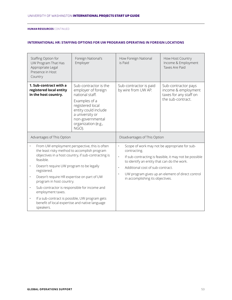|           | Staffing Option for<br>UW Program That Has<br>Appropriate Legal<br>Presence in Host<br>Country                                                                                                                                                                                                                                   | Foreign National's<br>Employer                                                                                                                                                                      | How Foreign National<br>is Paid                                                                                                                                                                                                                                                                                                           | How Host Country<br>Income & Employment<br>Taxes Are Paid                                 |
|-----------|----------------------------------------------------------------------------------------------------------------------------------------------------------------------------------------------------------------------------------------------------------------------------------------------------------------------------------|-----------------------------------------------------------------------------------------------------------------------------------------------------------------------------------------------------|-------------------------------------------------------------------------------------------------------------------------------------------------------------------------------------------------------------------------------------------------------------------------------------------------------------------------------------------|-------------------------------------------------------------------------------------------|
|           | 1. Sub-contract with a<br>registered local entity<br>in the host country.                                                                                                                                                                                                                                                        | Sub-contractor is the<br>employer of foreign<br>national staff.<br>Examples of a<br>registered local<br>entity could include<br>a university or<br>non-governmental<br>organization (e.g.,<br>NGO). | Sub-contractor is paid<br>by wire from UW AP.                                                                                                                                                                                                                                                                                             | Sub-contractor pays<br>income & employment<br>taxes for any staff on<br>the sub-contract. |
|           | Advantages of This Option                                                                                                                                                                                                                                                                                                        |                                                                                                                                                                                                     | Disadvantages of This Option                                                                                                                                                                                                                                                                                                              |                                                                                           |
|           | From UW employment perspective, this is often<br>the least risky method to accomplish program<br>objectives in a host country, if sub-contracting is<br>feasible.<br>Doesn't require UW program to be legally<br>$\bullet$<br>registered.<br>Doesn't require HR expertise on part of UW<br>$\bullet$<br>program in host country. |                                                                                                                                                                                                     | Scope of work may not be appropriate for sub-<br>$\bullet$<br>contracting.<br>If sub-contracting is feasible, it may not be possible<br>$\bullet$<br>to identify an entity that can do the work.<br>Additional cost of sub-contract.<br>$\bullet$<br>UW program gives up an element of direct control<br>in accomplishing its objectives. |                                                                                           |
|           |                                                                                                                                                                                                                                                                                                                                  |                                                                                                                                                                                                     |                                                                                                                                                                                                                                                                                                                                           |                                                                                           |
|           |                                                                                                                                                                                                                                                                                                                                  |                                                                                                                                                                                                     |                                                                                                                                                                                                                                                                                                                                           |                                                                                           |
| $\bullet$ | Sub-contractor is responsible for income and<br>employment taxes.                                                                                                                                                                                                                                                                |                                                                                                                                                                                                     |                                                                                                                                                                                                                                                                                                                                           |                                                                                           |
| $\bullet$ | If a sub-contract is possible, UW program gets<br>benefit of local expertise and native language<br>speakers.                                                                                                                                                                                                                    |                                                                                                                                                                                                     |                                                                                                                                                                                                                                                                                                                                           |                                                                                           |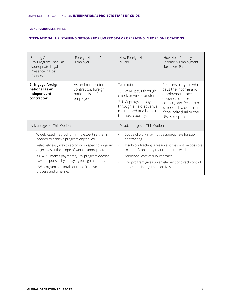| Staffing Option for<br>UW Program That Has<br>Appropriate Legal<br>Presence in Host<br>Country         | Foreign National's<br>Employer                                             | How Foreign National<br>is Paid                                                                                                                                   | How Host Country<br>Income & Employment<br>Taxes Are Paid                                                                                                                                 |  |
|--------------------------------------------------------------------------------------------------------|----------------------------------------------------------------------------|-------------------------------------------------------------------------------------------------------------------------------------------------------------------|-------------------------------------------------------------------------------------------------------------------------------------------------------------------------------------------|--|
| 2. Engage foreign<br>national as an<br>independent<br>contractor.                                      | As an independent<br>contractor, foreign<br>national is self-<br>employed. | Two options:<br>1. UW AP pays through<br>check or wire transfer.<br>2. UW program pays<br>through a field advance<br>maintained at a bank in<br>the host country. | Responsibility for who<br>pays the income and<br>employment taxes<br>depends on host<br>country law. Research<br>is needed to determine<br>if the individual or the<br>UW is responsible. |  |
| Advantages of This Option                                                                              |                                                                            |                                                                                                                                                                   | Disadvantages of This Option                                                                                                                                                              |  |
| Widely used method for hiring expertise that is<br>needed to achieve program objectives.               |                                                                            | Scope of work may not be appropriate for sub-<br>$\bullet$<br>contracting.                                                                                        |                                                                                                                                                                                           |  |
| Relatively easy way to accomplish specific program<br>objectives, if the scope of work is appropriate. |                                                                            | If sub-contracting is feasible, it may not be possible<br>$\bullet$<br>to identify an entity that can do the work.                                                |                                                                                                                                                                                           |  |
| $\bullet$<br>have responsibility of paying foreign national.                                           | If UW AP makes payments, UW program doesn't                                | Additional cost of sub-contract.<br>$\ddot{\phantom{0}}$                                                                                                          |                                                                                                                                                                                           |  |
| UW program has total control of contracting<br>process and timeline.                                   |                                                                            | UW program gives up an element of direct control<br>$\bullet$<br>in accomplishing its objectives.                                                                 |                                                                                                                                                                                           |  |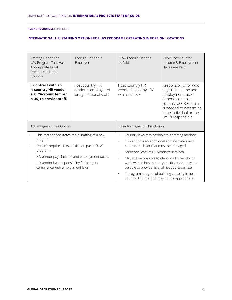| Staffing Option for<br>UW Program That Has<br>Appropriate Legal<br>Presence in Host<br>Country                                                                                                                                                                                                            | Foreign National's<br>Employer                                      | How Foreign National<br>is Paid                                                                                                                                                                                                                                                                                                                                                                                                                      | How Host Country<br>Income & Employment<br>Taxes Are Paid                                                                                                                                 |
|-----------------------------------------------------------------------------------------------------------------------------------------------------------------------------------------------------------------------------------------------------------------------------------------------------------|---------------------------------------------------------------------|------------------------------------------------------------------------------------------------------------------------------------------------------------------------------------------------------------------------------------------------------------------------------------------------------------------------------------------------------------------------------------------------------------------------------------------------------|-------------------------------------------------------------------------------------------------------------------------------------------------------------------------------------------|
| 3. Contract with an<br>in-country HR vendor<br>(e.g., "Account Temps"<br>in US) to provide staff.                                                                                                                                                                                                         | Host country HR<br>vendor is employer of<br>foreign national staff. | Host country HR<br>vendor is paid by UW<br>wire or check.                                                                                                                                                                                                                                                                                                                                                                                            | Responsibility for who<br>pays the income and<br>employment taxes<br>depends on host<br>country law. Research<br>is needed to determine<br>if the individual or the<br>UW is responsible. |
| Advantages of This Option                                                                                                                                                                                                                                                                                 |                                                                     | Disadvantages of This Option                                                                                                                                                                                                                                                                                                                                                                                                                         |                                                                                                                                                                                           |
| This method facilitates rapid staffing of a new<br>$\bullet$<br>program.<br>Doesn't require HR expertise on part of UW<br>$\bullet$<br>program.<br>HR vendor pays income and employment taxes.<br>$\bullet$<br>HR vendor has responsibility for being in<br>$\bullet$<br>compliance with employment laws. |                                                                     | Country laws may prohibit this staffing method.<br>$\bullet$<br>HR vendor is an additional administrative and<br>$\bullet$<br>contractual layer that must be managed.<br>Additional cost of HR vendor's services.<br>$\bullet$<br>May not be possible to identify a HR vendor to<br>$\bullet$<br>work with in host country or HR vendor may not<br>be able to provide level of needed expertise.<br>If program has goal of building capacity in host |                                                                                                                                                                                           |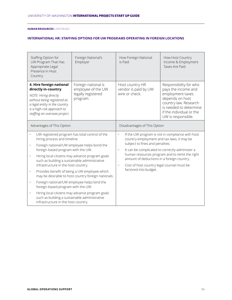| Staffing Option for<br>UW Program That Has<br>Appropriate Legal<br>Presence in Host<br>Country                                                                                                                                                                                                                                                                                 | Foreign National's<br>Employer                                                                                                                                                                                                                                                                              | How Foreign National<br>is Paid                                                                                                                                                                                                                                                                                                                                                       | How Host Country<br>Income & Employment<br>Taxes Are Paid                                                                                                                                 |
|--------------------------------------------------------------------------------------------------------------------------------------------------------------------------------------------------------------------------------------------------------------------------------------------------------------------------------------------------------------------------------|-------------------------------------------------------------------------------------------------------------------------------------------------------------------------------------------------------------------------------------------------------------------------------------------------------------|---------------------------------------------------------------------------------------------------------------------------------------------------------------------------------------------------------------------------------------------------------------------------------------------------------------------------------------------------------------------------------------|-------------------------------------------------------------------------------------------------------------------------------------------------------------------------------------------|
| 4. Hire foreign national<br>directly in-country.<br>NOTE: Hiring directly<br>without being registered as<br>a legal entity in the country<br>is a high-risk approach to<br>staffing an overseas project.                                                                                                                                                                       | Foreign national is<br>employee of the UW<br>legally registered<br>program.                                                                                                                                                                                                                                 | Host country HR<br>vendor is paid by UW<br>wire or check.                                                                                                                                                                                                                                                                                                                             | Responsibility for who<br>pays the income and<br>employment taxes<br>depends on host<br>country law. Research<br>is needed to determine<br>if the individual or the<br>UW is responsible. |
| Advantages of This Option                                                                                                                                                                                                                                                                                                                                                      |                                                                                                                                                                                                                                                                                                             | Disadvantages of This Option                                                                                                                                                                                                                                                                                                                                                          |                                                                                                                                                                                           |
| hiring process and timeline.<br>foreign-based program with the UW.<br>$\bullet$<br>such as building a sustainable administrative<br>infrastructure in the host country.<br>$\bullet$<br>Foreign national/UW employee helps bind the<br>foreign-based program with the UW.<br>$\bullet$<br>such as building a sustainable administrative<br>infrastructure in the host country. | UW registered program has total control of the<br>Foreign national/UW employee helps bond the<br>Hiring local citizens may advance program goals<br>Provides benefit of being a UW employee which<br>may be desirable to host country foreign nationals.<br>Hiring local citizens may advance program goals | If the UW program is not in compliance with host<br>country employment and tax laws, it may be<br>subject to fines and penalties.<br>It can be complicated to correctly administer a<br>$\bullet$<br>human resources program and to remit the right<br>amount of deductions in a foreign country.<br>Cost of host country legal counsel must be<br>$\bullet$<br>factored into budget. |                                                                                                                                                                                           |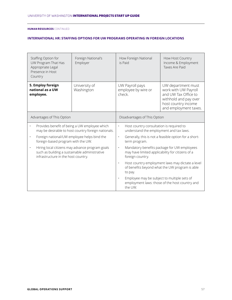| Staffing Option for<br>UW Program That Has<br>Appropriate Legal<br>Presence in Host<br>Country                                                       | Foreign National's<br>Employer | How Foreign National<br>is Paid                                                                                                  | How Host Country<br>Income & Employment<br>Taxes Are Paid                                                                                   |
|------------------------------------------------------------------------------------------------------------------------------------------------------|--------------------------------|----------------------------------------------------------------------------------------------------------------------------------|---------------------------------------------------------------------------------------------------------------------------------------------|
| 5. Employ foreign<br>national as a UW<br>employee.                                                                                                   | University of<br>Washington    | UW Payroll pays<br>employee by wire or<br>check.                                                                                 | UW department must<br>work with UW Payroll<br>and UW Tax Office to<br>withhold and pay over<br>host country income<br>and employment taxes. |
| Advantages of This Option                                                                                                                            |                                | Disadvantages of This Option                                                                                                     |                                                                                                                                             |
| Provides benefit of being a UW employee which<br>may be desirable to host country foreign nationals.                                                 |                                | Host country consultation is required to<br>$\bullet$<br>understand the employment and tax laws.                                 |                                                                                                                                             |
| Foreign national/UW employee helps bind the<br>$\bullet$<br>foreign-based program with the UW.                                                       |                                | Generally, this is not a feasible option for a short-<br>$\bullet$<br>term program.                                              |                                                                                                                                             |
| Hiring local citizens may advance program goals<br>$\bullet$<br>such as building a sustainable administrative<br>infrastructure in the host country. |                                | Mandatory benefits package for UW employees<br>$\bullet$<br>may have limited applicability for citizens of a<br>foreign country. |                                                                                                                                             |
|                                                                                                                                                      |                                | Host country employment laws may dictate a level<br>$\cdot$<br>of benefits beyond what the UW program is able<br>to pay.         |                                                                                                                                             |
|                                                                                                                                                      |                                | Employee may be subject to multiple sets of<br>$\bullet$<br>the UW.                                                              | employment laws: those of the host country and                                                                                              |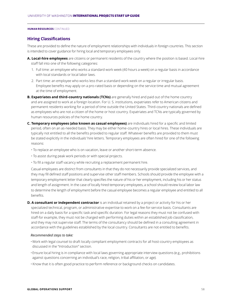### **Hiring Classifications**

These are provided to define the nature of employment relationships with individuals in foreign countries. This section is intended to cover guidance for hiring local and temporary employees only.

- **A. Local-hire employees** are citizens or permanent residents of the country where the position is based. Local-hire staff fall into one of the following categories:
	- 1. Full time: an employee who works a standard work week (40 hours a week) on a regular basis in accordance with local standards or local labor laws.
	- 2. Part time: an employee who works less than a standard work week on a regular or irregular basis. Employee benefits may apply on a pro-rated basis or depending on the service time and mutual agreement at the time of employment.
- **B. Expatriates and third-country nationals (TCNs)** are generally hired and paid out of the home country and are assigned to work at a foreign location. For U. S. institutions, expatriates refer to American citizens and permanent residents working for a period of time outside the United States. Third-country nationals are defined as employees who are not a citizen of the home or host country. Expatriates and TCNs are typically governed by human resources policies of the home country.
- **C. Temporary employees (also known as casual employees)** are individuals hired for a specific and limited period, often on an as-needed basis. They may be either home-country hires or local hires. These individuals are typically not entitled to all the benefits provided to regular staff. Whatever benefits are provided to them must be stated explicitly in the individuals' hire letters. Temporary employees are often hired for one of the following reasons:
	- To replace an employee who is on vacation, leave or another short-term absence.
	- To assist during peak work periods or with special projects.
	- To fill a regular staff vacancy while recruiting a replacement permanent hire.

Casual employees are distinct from consultants in that they do not necessarily provide specialized services, and they may fill defined staff positions and supervise other staff members. Schools should provide the employee with a temporary employment letter that clearly specifies the nature of his or her employment, including his or her status and length of assignment. In the case of locally hired temporary employees, a school should review local labor law to determine the length of employment before the casual employee becomes a regular employee and entitled to all benefits.

**D. A consultant or independent contractor** is an individual retained by a project or activity for his or her specialized technical, program, or administrative expertise to work on a fee-for-service basis. Consultants are hired on a daily basis for a specific task and specific duration. For legal reasons they must not be confused with staff-for example, they must not be charged with performing duties within an established job classification, and they may not supervise staff. The terms of the consultancy should be defined in a consulting agreement in accordance with the guidelines established by the local country. Consultants are not entitled to benefits.

### *Recommended steps to take:*

- •Work with legal counsel to draft locally compliant employment contracts for all host-country employees as discussed in the "Introduction" section.
- •Ensure local hiring is in compliance with local laws governing appropriate interview questions (e.g., prohibitions against questions concerning an individual's race, religion, tribal affiliation, or age).
- Know that it is often good practice to perform reference or background checks on candidates.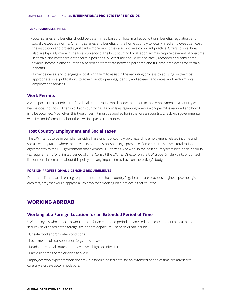- •Local salaries and benefits should be determined based on local market conditions, benefits regulation, and socially expected norms. Offering salaries and benefits of the home country to locally hired employees can cost the institution and project significantly more, and it may also not be a compliant practice. Offers to local hires also are typically made in the local currency of the host country. Local labor law may require payment of overtime in certain circumstances or for certain positions. All overtime should be accurately recorded and considered taxable income. Some countries also don't differentiate between part-time and full-time employees for certain benefits.
- •It may be necessary to engage a local hiring firm to assist in the recruiting process by advising on the most appropriate local publications to advertise job openings, identify and screen candidates, and perform local employment services.

### **Work Permits**

A work permit is a generic term for a legal authorization which allows a person to take employment in a country where he/she does not hold citizenship. Each country has its own laws regarding when a work permit is required and how it is to be obtained. Most often this type of permit must be applied for in the foreign country. Check with governmental websites for information about the laws in a particular country.

### **Host Country Employment and Social Taxes**

The UW intends to be in compliance with all relevant host country laws regarding employment-related income and social security taxes, where the university has an established legal presence. Some countries have a totalization agreement with the U.S. government that exempts U.S. citizens who work in the host country from local social security tax requirements for a limited period of time. Consult the UW Tax Director on the UW Global Single Points of Contact list for more information about this policy and any impact it may have on the activity's budget.

### **FOREIGN PROFESSIONAL LICENSING REQUIREMENTS**

Determine if there are licensing requirements in the host country (e.g., health care provider, engineer, psychologist, architect, etc.) that would apply to a UW employee working on a project in that country.

### **WORKING ABROAD**

### **Working at a Foreign Location for an Extended Period of Time**

UW employees who expect to work abroad for an extended period are advised to research potential health and security risks posed at the foreign site prior to departure. These risks can include:

- Unsafe food and/or water conditions
- Local means of transportation (e.g., taxis) to avoid
- Roads or regional routes that may have a high security risk
- Particular areas of major cities to avoid

Employees who expect to work and stay in a foreign-based hotel for an extended period of time are advised to carefully evaluate accommodations.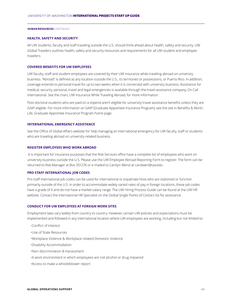### **HEALTH, SAFETY AND SECURITY**

All UW students, faculty and staff traveling outside the U.S. should think ahead about health, safety and security. UW Global Travelers outlines health, safety and security resources and requirements for all UW student and employee travelers.

### **COVERED BENEFITS FOR UW EMPLOYEES**

UW faculty, staff and student employees are covered by their UW insurance while traveling abroad on university business. "Abroad" is defined as any location outside the U.S., its territories or possessions, or Puerto Rico. In addition, coverage extends to personal travel for up to two weeks when it is connected with university business. Assistance for medical, security, personal, travel and legal emergencies is available through the travel assistance company, On Call International. See the chart, UW Insurance While Traveling Abroad, for more information.

Post-doctoral students who are paid on a stipend aren't eligible for university travel assistance benefits unless they are GAIP-eligible. For more information on GAIP (Graduate Appointee Insurance Program), see the site in Benefits & Work/ Life, Graduate Appointee Insurance Program home page.

### **INTERNATIONAL EMERGENCY ASSISTANCE**

See the Office of Global Affairs website for help managing an international emergency for UW faculty, staff or students who are traveling abroad on university-related business.

### **REGISTER EMPLOYEES WHO WORK ABROAD**

 It is important for insurance purposes that the Risk Services office have a complete list of employees who work on university business outside the U.S. Please use the UW Employee Abroad Reporting Form to register. The form can be returned to Risk Manager at Box 351276 or e-mailed to Carolyn Wenzl at carolwen@uw.edu.

### **PRO STAFF INTERNATIONAL JOB CODES**

Pro staff international job codes can be used for international or expatriate hires who are stationed or function primarily outside of the U.S. In order to accommodate widely varied rates of pay in foreign locations, these job codes have a grade of X and do not have a market salary range. The UW Hiring Process Guide can be found at the UW HR website. Contact the International HR Specialist on the Global Single Points of Contact list for assistance.

### **CONDUCT FOR UW EMPLOYEES AT FOREIGN WORK SITES**

Employment laws vary widely from country to country. However, certain UW policies and expectations must be implemented and followed in any international location where UW employees are working, including but not limited to:

- •Conflict of Interest
- •Use of State Resources
- •Workplace Violence & Workplace-related Domestic Violence
- •Disability Accommodation
- •Non-discrimination & Harassment
- •A work environment in which employees are not alcohol or drug impaired
- •Access to make a whistleblower report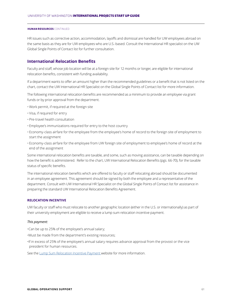HR issues such as corrective action, accommodation, layoffs and dismissal are handled for UW employees abroad on the same basis as they are for UW employees who are U.S.-based. Consult the International HR specialist on the UW Global Single Points of Contact list for further consultation.

### **International Relocation Benefits**

Faculty and staff, whose job location will be at a foreign site for 12 months or longer, are eligible for international relocation benefits, consistent with funding availability.

If a department wants to offer an amount higher than the recommended guidelines or a benefit that is not listed on the chart, contact the UW International HR Specialist on the Global Single Points of Contact list for more information.

The following international relocation benefits are recommended as a minimum to provide an employee via grant funds or by prior approval from the department.

- Work permit, if required at the foreign site
- Visa, if required for entry
- Pre-travel health consultation
- Employee's immunizations required for entry to the host country
- Economy-class airfare for the employee from the employee's home of record to the foreign site of employment to start the assignment
- Economy-class airfare for the employee from UW foreign site of employment to employee's home of record at the end of the assignment

Some international relocation benefits are taxable, and some, such as moving assistance, can be taxable depending on how the benefit is administered. Refer to the chart, UW International Relocation Benefits (pgs. 66-70), for the taxable status of specific benefits.

The international relocation benefits which are offered to faculty or staff relocating abroad should be documented in an employee agreement. This agreement should be signed by both the employee and a representative of the department. Consult with UW International HR Specialist on the Global Single Points of Contact list for assistance in preparing the standard UW International Relocation Benefits Agreement.

### **RELOCATION INCENTIVE**

UW faculty or staff who must relocate to another geographic location (either in the U.S. or internationally) as part of their university employment are eligible to receive a lump sum relocation incentive payment.

### *This payment:*

•Can be up to 25% of the employee's annual salary;

- •Must be made from the department's existing resources;
- •If in excess of 25% of the employee's annual salary requires advance approval from the provost or the vice president for human resources.

See the Lump Sum Relocation Incentive Payment website for more information.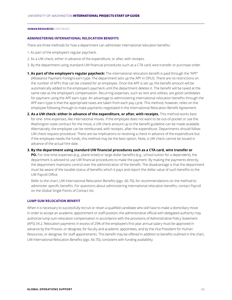### **ADMINISTERING INTERNATIONAL RELOCATION BENEFITS**

There are three methods for how a department can administer international relocation benefits:

- 1. As part of the employee's regular paycheck.
- 2. As a UW check, either in advance of the expenditure, or after, with receipts.
- 3. By the department using standard UW financial procedures such as a CTA card, wire transfer or purchase order.
- **1. As part of the employee's regular paycheck:** The international relocation benefit is paid through the "APF" (Allowance Payment Foreign) earn type. The department sets up the APF in OPUS. There are no restrictions on the number of APFs that can be created for an employee. Once the APF is set up, the benefit amount will be automatically added to the employee's paycheck until the department deletes it. The benefit will be taxed at the same rate as the employee's compensation. Recurring expenses, such as rent and utilities, are good candidates for payment using the APF earn-type. An advantage to administering international relocation benefits through the APF earn-type is that the appropriate taxes are taken from each pay cycle. This method, however, relies on the employee following through to make payments negotiated in the International Relocation Benefit Agreement.
- 2. As a UW check: either in advance of the expenditure, or after, with receipts. This method works best for one- time expenses, like international moves. If the employee does not want to be out-of-pocket or use the Washington state contract for the move, a UW check amount up to the benefit guideline can be made available. Alternatively, the employee can be reimbursed, with receipts, after the expenditure. Departments should follow UW check request procedure. There are tax implications to receiving a check in advance of the expenditure but if the employee needs the funds, this method may be the best option. Note, a UW check cannot be issued in advance of the actual hire date.
- **3. By the department using standard UW financial procedures such as a CTA card, wire transfer or PO.** For one-time expenses (e.g., plane ticket) or large dollar benefits (e.g., school tuition for a dependent), the department is advised to use UW financial procedures to make the payment. By making the payments directly, the department maintains control over the administration of the benefit. The disadvantage is that the department must be aware of the taxable status of benefits which it pays and report the dollar value of such benefits to the UW Payroll Office.
	- Refer to the chart, UW International Relocation Benefits (pgs. 66-70), for recommendations on the method to administer specific benefits. For questions about administering international relocation benefits, contact Payroll on the Global Single Points of Contact list.

### **LUMP SUM RELOCATION BENEFIT**

When it is necessary to successfully recruit or retain a qualified candidate who will have to make a domiciliary move in order to accept an academic appointment or staff position, the administrative official with delegated authority may authorize lump sum relocation compensation in accordance with the provisions of Administrative Policy Statement (APS) 34.2. Relocation payments in excess of 25% of the employee's first year annual salary must be approved in advance by the Provost, or designee, for faculty and academic appointees, and by the Vice President for Human Resources, or designee, for staff appointments. This benefit may be offered in addition to benefits outlined in the chart, UW International Relocation Benefits (pgs. 66-70), consistent with funding availability.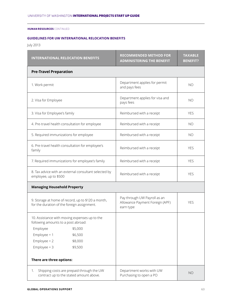### **GUIDELINES FOR UW INTERNATIONAL RELOCATION BENEFITS**

July 2013

| <b>INTERNATIONAL RELOCATION BENEFITS</b>                                                          | <b>RECOMMENDED METHOD FOR</b><br><b>ADMINISTERING THE BENEFIT</b>            | <b>TAXABLE</b><br><b>BENEFIT?</b> |
|---------------------------------------------------------------------------------------------------|------------------------------------------------------------------------------|-----------------------------------|
| <b>Pre-Travel Preparation</b>                                                                     |                                                                              |                                   |
| 1. Work permit                                                                                    | Department applies for permit<br>and pays fees                               | <b>NO</b>                         |
| 2. Visa for Employee                                                                              | Department applies for visa and<br>pays fees                                 | <b>NO</b>                         |
| 3. Visa for Employee's family                                                                     | Reimbursed with a receipt                                                    | <b>YES</b>                        |
| 4. Pre-travel health consultation for employee                                                    | Reimbursed with a receipt                                                    | <b>NO</b>                         |
| 5. Required immunizations for employee                                                            | Reimbursed with a receipt                                                    | <b>NO</b>                         |
| 6. Pre-travel health consultation for employee's<br>family                                        | Reimbursed with a receipt                                                    | <b>YES</b>                        |
| 7. Required immunizations for employee's family                                                   | Reimbursed with a receipt                                                    | <b>YES</b>                        |
| 8. Tax advice with an external consultant selected by<br>employee, up to \$500                    | Reimbursed with a receipt                                                    | <b>YES</b>                        |
| <b>Managing Household Property</b>                                                                |                                                                              |                                   |
| 9. Storage at home of record, up to \$120 a month,<br>for the duration of the foreign assignment. | Pay through UW Payroll as an<br>Allowance Payment Foreign (APF)<br>earn type | <b>YES</b>                        |
| 10. Assistance with moving expenses up to the<br>following amounts to a post abroad:              |                                                                              |                                   |
| Employee<br>\$5,000                                                                               |                                                                              |                                   |
| Employee $+1$<br>\$6,500                                                                          |                                                                              |                                   |
| $Employee + 2$<br>\$8,000                                                                         |                                                                              |                                   |
| $Employee + 3$<br>\$9,500                                                                         |                                                                              |                                   |
| There are three options:                                                                          |                                                                              |                                   |
| Shipping costs are prepaid through the UW<br>1.<br>contract up to the stated amount above.        | Department works with UW<br>Purchasing to open a PO                          | <b>NO</b>                         |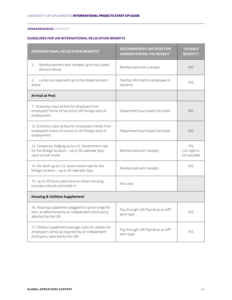### **GUIDELINES FOR UW INTERNATIONAL RELOCATION BENEFITS**

| <b>INTERNATIONAL RELOCATION BENEFITS</b>                                                                                                       | <b>RECOMMENDED METHOD FOR</b><br><b>ADMINISTERING THE BENEFIT</b> | <b>TAXABLE</b><br><b>BENEFIT?</b>           |
|------------------------------------------------------------------------------------------------------------------------------------------------|-------------------------------------------------------------------|---------------------------------------------|
| Reimbursement with receipts up to the stated<br>2.<br>amount above.                                                                            | Reimbursed with a receipt                                         | <b>NO</b>                                   |
| Lump sum payment up to the stated amount<br>3.<br>above.                                                                                       | Paid by UW check to employee in<br>advance                        | <b>YES</b>                                  |
| <b>Arrival at Post</b>                                                                                                                         |                                                                   |                                             |
| 11. Economy-class airfare for employee from<br>employee's home of record to UW foreign post of<br>employment.                                  | Department purchases the ticket                                   | <b>NO</b>                                   |
| 12. Economy-class airfare for employee's family from<br>employee's home of record to UW foreign post of<br>employment.                         | Department purchases the ticket                                   | NO.                                         |
| 13. Temporary lodging up to U.S. Government rate<br>for the foreign location-up to 30 calendar days<br>upon arrival onsite.                    | Reimbursed with receipts                                          | <b>YES</b><br>(1st night is<br>not taxable) |
| 14. Per diem up to U.S. Government rate for the<br>foreign location-up to 30 calendar days.                                                    | Reimbursed with receipts                                          | <b>YES</b>                                  |
| 15. Up to 40 hours paid leave to obtain housing,<br>evaluate schools and settle in.                                                            | (No cost)                                                         |                                             |
| <b>Housing &amp; Utilities Supplement</b>                                                                                                      |                                                                   |                                             |
| 16. Housing supplement pegged to a price range for<br>rent, as determined by an independent third-party<br>selected by the UW.                 | Pay through UW Payroll as an APF<br>earn type                     | <b>YES</b>                                  |
| 17. Utilities supplement-average costs for utilities for<br>employee's family as reported by an independent<br>third-party selected by the UW. | Pay through UW Payroll as an APF<br>earn type                     | <b>YES</b>                                  |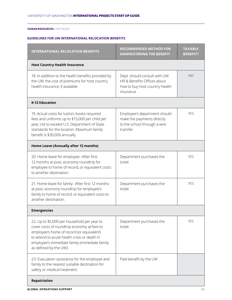### **GUIDELINES FOR UW INTERNATIONAL RELOCATION BENEFITS**

| <b>INTERNATIONAL RELOCATION BENEFITS</b>                                                                                                                                                                                                                           | <b>RECOMMENDED METHOD FOR</b><br><b>ADMINISTERING THE BENEFIT</b>                                          | <b>TAXABLE</b><br><b>BENEFIT?</b> |  |  |  |
|--------------------------------------------------------------------------------------------------------------------------------------------------------------------------------------------------------------------------------------------------------------------|------------------------------------------------------------------------------------------------------------|-----------------------------------|--|--|--|
| <b>Host Country Health Insurance</b>                                                                                                                                                                                                                               |                                                                                                            |                                   |  |  |  |
| 18. In addition to the health benefits provided by<br>the UW, the cost of premiums for host country<br>health insurance, if available.                                                                                                                             | Dept. should consult with UW<br>HR & Benefits Offices about<br>how to buy host country health<br>insurance | NO                                |  |  |  |
| <b>K-12 Education</b>                                                                                                                                                                                                                                              |                                                                                                            |                                   |  |  |  |
| 19. Actual costs for tuition, books required<br>fees and uniforms up to \$15,000 per child per<br>year, not to exceed U.S. Department of State<br>standards for the location. Maximum family<br>benefit is \$30,000 annually.                                      | Employee's department should<br>make the payments directly<br>to the school through a wire<br>transfer     | <b>YES</b>                        |  |  |  |
| Home Leave (Annually after 12 months)                                                                                                                                                                                                                              |                                                                                                            |                                   |  |  |  |
| 20. Home leave for employee--After first<br>12 months at post, economy roundtrip for<br>employee to home of record, or equivalent costs<br>to another destination.                                                                                                 | Department purchases the<br>ticket                                                                         | <b>YES</b>                        |  |  |  |
| 21. Home leave for family--After first 12 months<br>at post, economy roundtrip for employee's<br>family to home of record, or equivalent costs to<br>another destination.                                                                                          | Department purchases the<br>ticket                                                                         | <b>YES</b>                        |  |  |  |
| <b>Emergencies</b>                                                                                                                                                                                                                                                 |                                                                                                            |                                   |  |  |  |
| 22. Up to \$5,000 per household per year to<br>cover costs of roundtrip economy airfare to<br>employee's home of record (or equivalent)<br>to attend to acute health crisis or death in<br>employee's immediate family (immediate family<br>as defined by the UW). | Department purchases the<br>ticket                                                                         | <b>YES</b>                        |  |  |  |
| 23. Evacuation assistance for the employee and<br>family to the nearest suitable destination for<br>safety or medical treatment.                                                                                                                                   | Paid benefit by the UW                                                                                     |                                   |  |  |  |
| Repatriation                                                                                                                                                                                                                                                       |                                                                                                            |                                   |  |  |  |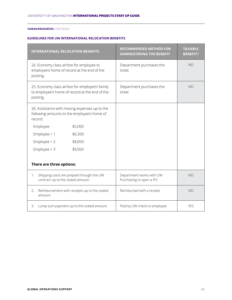### **GUIDELINES FOR UW INTERNATIONAL RELOCATION BENEFITS**

|                                                                                                               | <b>INTERNATIONAL RELOCATION BENEFITS</b> |                                              | <b>RECOMMENDED METHOD FOR</b><br><b>ADMINISTERING THE BENEFIT</b> | <b>TAXABLE</b><br><b>BENEFIT?</b> |
|---------------------------------------------------------------------------------------------------------------|------------------------------------------|----------------------------------------------|-------------------------------------------------------------------|-----------------------------------|
| 24. Economy class airfare for employee to<br>employee's home of record at the end of the<br>posting.          |                                          |                                              | Department purchases the<br>ticket                                | <b>NO</b>                         |
| 25. Economy class airfare for employee's family<br>to employee's home of record at the end of the<br>posting. |                                          |                                              | Department purchases the<br>ticket                                | <b>NO</b>                         |
| 26. Assistance with moving expenses up to the<br>following amounts to the employee's home of<br>record:       |                                          |                                              |                                                                   |                                   |
|                                                                                                               | Employee                                 | \$5,000                                      |                                                                   |                                   |
|                                                                                                               | Employee $+1$                            | \$6,500                                      |                                                                   |                                   |
|                                                                                                               | $Employee + 2$                           | \$8,000                                      |                                                                   |                                   |
|                                                                                                               | $Employee + 3$                           | \$9,500                                      |                                                                   |                                   |
|                                                                                                               | There are three options:                 |                                              |                                                                   |                                   |
| 1.                                                                                                            | contract up to the stated amount.        | Shipping costs are prepaid through the UW    | Department works with UW<br>Purchasing to open a PO               | <b>NO</b>                         |
| 2.                                                                                                            | amount.                                  | Reimbursement with receipts up to the stated | Reimbursed with a receipt                                         | <b>NO</b>                         |
| Lump sum payment up to the stated amount.<br>3.                                                               |                                          |                                              | Paid by UW check to employee                                      | <b>YES</b>                        |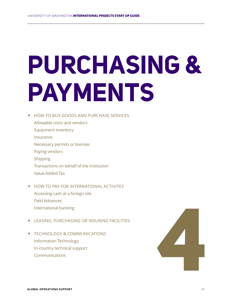### **PURCHASING & PAYMENTS**

### → HOW TO BUY GOODS AND PURCHASE SERVICES

- Allowable costs and vendors Equipment inventory Insurance
- Necessary permits or licenses
- Paying vendors
- Shipping
- Transactions on behalf of the institution
- Value Added Tax
- → HOW TO PAY FOR INTERNATIONAL ACTIVITES Accessing cash at a foreign site Field Advances International banking
- → LEASING, PURCHASING OR INSURING FACILITIES
- → TECHNOLOGY & COMMUNICATIONS Information Technology In-country technical support

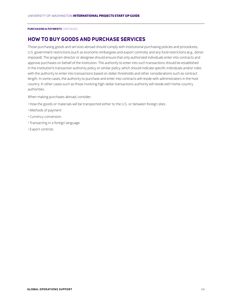### **HOW TO BUY GOODS AND PURCHASE SERVICES**

Those purchasing goods and services abroad should comply with institutional purchasing policies and procedures, U.S. government restrictions (such as economic embargoes and export controls), and any fund restrictions (e.g., donor imposed). The program director or designee should ensure that only authorized individuals enter into contracts and approve purchases on behalf of the institution. The authority to enter into such transactions should be established in the institution's transaction authority policy or similar policy, which should indicate specific individuals and/or roles with the authority to enter into transactions based on dollar thresholds and other considerations such as contract length. In some cases, the authority to purchase and enter into contracts will reside with administrators in the host country. In other cases-such as those involving high-dollar transactions-authority will reside with home-country authorities.

When making purchases abroad, consider:

- How the goods or materials will be transported either to the U.S. or between foreign sites
- Methods of payment
- Currency conversion
- Transacting in a foreign language
- Export controls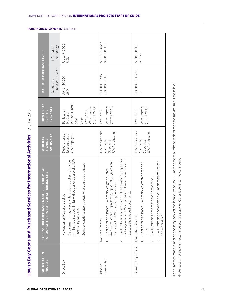| .<br>!<br>.                                     |
|-------------------------------------------------|
|                                                 |
| -------                                         |
|                                                 |
| w to Buy Goods and Purchased Services for Intel |
|                                                 |
|                                                 |

| <b>PURCHASING &amp; PAYMENTS CONTINUED</b>                           |                                                                                               |                                 |                                                                                                                                                                                                                                    |                                                                                                                                                                                                                                                                                                                                                                    |                                                                                                                                                                                                                                                                                          |
|----------------------------------------------------------------------|-----------------------------------------------------------------------------------------------|---------------------------------|------------------------------------------------------------------------------------------------------------------------------------------------------------------------------------------------------------------------------------|--------------------------------------------------------------------------------------------------------------------------------------------------------------------------------------------------------------------------------------------------------------------------------------------------------------------------------------------------------------------|------------------------------------------------------------------------------------------------------------------------------------------------------------------------------------------------------------------------------------------------------------------------------------------|
|                                                                      |                                                                                               | Information<br>Technology       | Up to \$10,000<br>SD                                                                                                                                                                                                               | $$10,000 - up to$<br>\$100,000 USD                                                                                                                                                                                                                                                                                                                                 | \$100,000 USD<br>and up                                                                                                                                                                                                                                                                  |
|                                                                      | MAXIMUM PURCHASE LEVEL 1                                                                      | Purchased Services<br>Goods and | Up to \$10,000<br><b>USD</b>                                                                                                                                                                                                       | $$10,000 - up to$<br>\$100,000 USD                                                                                                                                                                                                                                                                                                                                 | \$100,000 USD and<br>$\frac{1}{2}$                                                                                                                                                                                                                                                       |
| October 2013                                                         | <b>HOW TO PAY</b><br>FOR THE                                                                  | PURCHASE                        | Personal credit<br>Wire Transfer<br>(from UW AP)<br>Bank card:<br>UW Check<br>ProCard<br>Cash<br>Card                                                                                                                              | Wire Transfer<br>(from UW AP)<br>UW Check                                                                                                                                                                                                                                                                                                                          | Wire Transfer<br>(from UW AP)<br>UW Check                                                                                                                                                                                                                                                |
|                                                                      | <b>WHO HAS</b><br><b>SIGNING</b>                                                              | <b>AUTHORITY</b>                | Department or<br>UW employee<br>foreign-based                                                                                                                                                                                      | UW International<br><b>UW Purchasing</b><br>Contracts<br>Specialist,                                                                                                                                                                                                                                                                                               | UW International<br><b>UW Purchasing</b><br>Contracts<br>Specialist,                                                                                                                                                                                                                     |
| How to Buy Goods and Purchased Services for International Activities | E IN US FOR USE AT<br>FOREIGN SITE OR PURCHASED AT FOREIGN SITE<br>PROCESS FOR PURCHASES MADI |                                 | within the direct buy limits without prior approval of UW<br>Departments may place orders with suppliers of choice<br>Some exceptions apply about what can be purchased.<br>No quotes or bids are required<br>Purchasing Services. | UW Purchasing buyer, in consultation with the dept and/<br>or foreign-based UW employee, will select a vendor and<br>(minimum of three is preferred, if possible). Quotes are<br>Dept or foreign-based UW employee gets quotes<br>forwarded to UW Purchasing Services.<br>execute the needed documents.<br>Two-step Process:<br>$\overline{\phantom{0}}$<br>$\sim$ | aluation team will select<br>Dept or foreign-based UW employee creates scope of<br>competition.<br>UW Purchasing advertises the<br>UW Purchasing coordinates ev<br>the winning bid. <sup>2</sup><br>Three-step Process:<br>work.<br>$\overline{\phantom{0}}$<br>$\dot{\infty}$<br>$\sim$ |
|                                                                      | <b>SOLICITATION</b><br>PROCESS                                                                |                                 | Direct Buy                                                                                                                                                                                                                         | Competition<br>Informal                                                                                                                                                                                                                                                                                                                                            | Formal Competition                                                                                                                                                                                                                                                                       |

For purchases made in a foreign country, convert the local currency to USD at the time of purchase to determine the maximum purchase level 1For purchases made in a foreign country, convert the local currency to USD at the time of purchase to determine the maximum purchase level <sup>2</sup>Note, cost is not the only factor in selecting a supplier. Other factors can be considered. 2Note, cost is not the only factor in selecting a supplier. Other factors can be considered.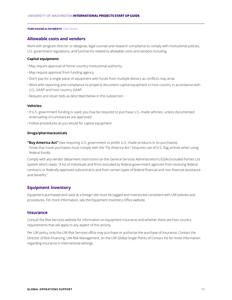### **Allowable costs and vendors**

Work with program director or designee, legal counsel and research compliance to comply with institutional policies, U.S. government regulations, and fund terms related to allowable costs and vendors including:

### **Capital equipment:**

- May require approval of home-country institutional authority.
- May require approval from funding agency.
- Don't pay for a single piece of equipment with funds from multiple donors as conflicts may arise.
- Work with reporting and compliance to properly document capital equipment in host country in accordance with U.S. GAAP and host-country GAAP.
- Request and retain bids as described below in this subsection.

### **Vehicles:**

- •If U.S. government funding is used, you may be required to purchase U.S.-made vehicles, unless documented extenuating circumstances are approved.
- Follow procedures as you would for capital equipment.

### **Drugs/pharmaceuticals**

**"Buy America Act"** (law requiring U.S. government to prefer U.S.-made products in its purchases). Know that travel purchases must comply with the "Fly America Act." (requires use of U.S. flag airlines when using federal funds)

Comply with any vendor debarment restrictions on the General Services Administration's (GSA) Excluded Parties List System which reads: "A list of individuals and firms excluded by federal government agencies from receiving federal contracts or federally approved subcontracts and from certain types of federal financial and non-financial assistance and benefits."

### **Equipment Inventory**

Equipment purchased and used at a foreign site must be tagged and inventoried consistent with UW policies and procedures. For more information, see the Equipment Inventory Office website.

### **Insurance**

Consult the Risk Services website for information on equipment insurance and whether there are host country requirements that will apply to any aspect of this activity.

Per UW policy, only the UW Risk Services office may purchase or authorize the purchase of insurance. Contact the Director of Risk Financing, UW Risk Management, on the UW Global Single Points of Contact list for more information regarding insurance in international settings.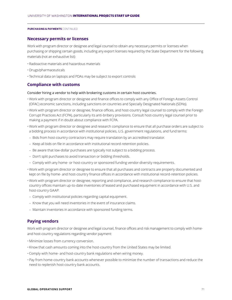### **Necessary permits or licenses**

Work with program director or designee and legal counsel to obtain any necessary permits or licenses when purchasing or shipping certain goods, including any export licenses required by the State Department for the following materials (not an exhaustive list):

- Radioactive materials and hazardous materials
- Drugs/pharmaceuticals
- Technical data on laptops and PDAs may be subject to export controls

### **Compliance with customs**

### Consider hiring a vendor to help with brokering customs in certain host countries.

- Work with program director or designee and finance offices to comply with any Office of Foreign Assets Control (OFAC) economic sanctions, including sanctions on countries and Specially Designated Nationals (SDNs).
- Work with program director or designee, finance offices, and host-country legal counsel to comply with the Foreign Corrupt Practices Act (FCPA), particularly its anti-bribery provisions. Consult host-country legal counsel prior to making a payment if in doubt about compliance with FCPA.
- Work with program director or designee and research compliance to ensure that all purchase orders are subject to a bidding process in accordance with institutional policies, U.S. government regulations, and fund terms:
- Bids from host-country contractors may require translation by an accredited translator.
- Keep all bids on file in accordance with institutional record-retention policies.
- Be aware that low-dollar purchases are typically not subject to a bidding process.
- Don't split purchases to avoid transaction or bidding thresholds.
- Comply with any home- or host-country or sponsored funding vendor-diversity requirements.
- Work with program director or designee to ensure that all purchases and contracts are properly documented and kept on file by home- and host-country finance offices in accordance with institutional record-retention policies.
- Work with program director or designee, reporting and compliance, and research compliance to ensure that hostcountry offices maintain up-to-date inventories of leased and purchased equipment in accordance with U.S. and host-country GAAP:
- Comply with institutional policies regarding capital equipment.
- Know that you will need inventories in the event of insurance claims.
- Maintain inventories in accordance with sponsored funding terms.

### **Paying vendors**

Work with program director or designee and legal counsel, finance offices and risk management to comply with homeand host-country regulations regarding vendor payment:

- Minimize losses from currency conversion.
- Know that cash amounts coming into the host-country from the United States may be limited.
- Comply with home- and host-country bank regulations when wiring money.
- Pay from home-country bank accounts whenever possible to minimize the number of transactions and reduce the need to replenish host-country bank accounts.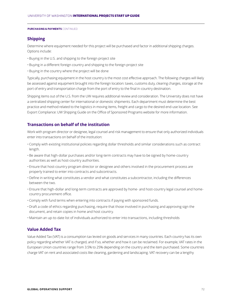### **Shipping**

Determine where equipment needed for this project will be purchased and factor in additional shipping charges. Options include:

- Buying in the U.S. and shipping to the foreign project site
- Buying in a different foreign country and shipping to the foreign project site
- Buying in the country where the project will be done

Typically, purchasing equipment in the host country is the most cost effective approach. The following charges will likely be assessed against equipment brought into the foreign location: taxes, customs duty, clearing charges, storage at the port of entry and transportation charge from the port of entry to the final in-country destination.

Shipping items out of the U.S. from the UW requires additional review and consideration. The University does not have a centralized shipping center for international or domestic shipments. Each department must determine the best practice and method related to the logistics in moving items, freight and cargo to the desired end-use location. See Export Compliance: UW Shipping Guide on the Office of Sponsored Programs website for more information.

### **Transactions on behalf of the institution**

Work with program director or designee, legal counsel and risk management to ensure that only authorized individuals enter into transactions on behalf of the institution:

- Comply with existing institutional policies regarding dollar thresholds and similar considerations such as contract length.
- Be aware that high-dollar purchases and/or long-term contracts may have to be signed by home-country authorities as well as host-country authorities.
- Ensure that host-country program director or designee and others involved in the procurement process are properly trained to enter into contracts and subcontracts.
- Define in writing what constitutes a vendor and what constitutes a subcontractor, including the differences between the two.
- Ensure that high-dollar and long-term contracts are approved by home- and host-country legal counsel and homecountry procurement office.
- Comply with fund terms when entering into contracts if paying with sponsored funds.
- Draft a code of ethics regarding purchasing, require that those involved in purchasing and approving sign the document, and retain copies in home and host country.
- Maintain an up-to-date list of individuals authorized to enter into transactions, including thresholds

### **Value Added Tax**

Value Added Tax (VAT) is a consumption tax levied on goods and services in many countries. Each country has its own policy regarding whether VAT is charged, and if so, whether and how it can be reclaimed. For example, VAT rates in the European Union countries range from 3.5% to 25% depending on the country and the item purchased. Some countries charge VAT on rent and associated costs like cleaning, gardening and landscaping. VAT recovery can be a lengthy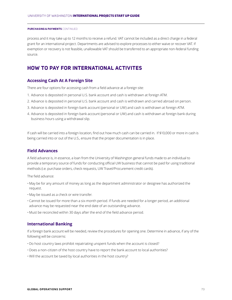process and it may take up to 12 months to receive a refund. VAT cannot be included as a direct charge in a federal grant for an international project. Departments are advised to explore processes to either waive or recover VAT. If exemption or recovery is not feasible, unallowable VAT should be transferred to an appropriate non-federal funding source.

# **HOW TO PAY FOR INTERNATIONAL ACTIVITES**

#### **Accessing Cash At A Foreign Site**

There are four options for accessing cash from a field advance at a foreign site:

- 1. Advance is deposited in personal U.S. bank account and cash is withdrawn at foreign ATM.
- 2. Advance is deposited in personal U.S. bank account and cash is withdrawn and carried abroad on person.
- 3. Advance is deposited in foreign bank account (personal or UW) and cash is withdrawn at foreign ATM.
- 4. Advance is deposited in foreign bank account (personal or UW) and cash is withdrawn at foreign bank during business hours using a withdrawal slip.

If cash will be carried into a foreign location, find out how much cash can be carried in. If \$10,000 or more in cash is being carried into or out of the U.S., ensure that the proper documentation is in place.

## **Field Advances**

A field advance is, in essence, a loan from the University of Washington general funds made to an individual to provide a temporary source of funds for conducting official UW business that cannot be paid for using traditional methods (i.e. purchase orders, check requests, UW Travel/Procurement credit cards).

The field advance:

- May be for any amount of money as long as the department administrator or designee has authorized the request.
- May be issued as a check or wire transfer.
- Cannot be issued for more than a six-month period. If funds are needed for a longer period, an additional advance may be requested near the end date of an outstanding advance.
- Must be reconciled within 30 days after the end of the field advance period.

#### **International Banking**

If a foreign bank account will be needed, review the procedures for opening one. Determine in advance, if any of the following will be concerns:

- Do host country laws prohibit repatriating unspent funds when the account is closed?
- Does a non-citizen of the host country have to report the bank account to local authorities?
- Will the account be taxed by local authorities in the host country?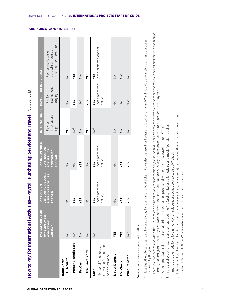|                                                                         | <b>PAY SALARIES FOR</b>                   |                                                         | <b>PAY INDEPENDENT</b>                            |                                    |                                        |                                                                       |
|-------------------------------------------------------------------------|-------------------------------------------|---------------------------------------------------------|---------------------------------------------------|------------------------------------|----------------------------------------|-----------------------------------------------------------------------|
|                                                                         |                                           | PAY FOREIGN                                             |                                                   |                                    | INTERNATIONAL TRAVEL - FOR INDIVIDUALS |                                                                       |
|                                                                         | <b>UW EMPLOYEES</b><br>WHO WORK<br>ABROAD | <b>VENDOR FOR GOODS</b><br>& SERVICES FOR USE<br>ABROAD | FOR SERVICES<br>CONTRACTOR<br>PERFORMED<br>ABROAD | international<br>Pay for<br>flight | international<br>lodging<br>Pay for    | based on per diem rates)<br>abroad (reimbursed<br>Pay for meals while |
| CTA card*<br><b>Bank Cards</b>                                          | $\frac{1}{2}$                             | $\frac{1}{2}$                                           | $\leq$                                            | YES                                | $\bar{\mathbb{X}}$                     | $\leq$                                                                |
| Personal credit card                                                    | $\stackrel{\triangle}{\geq}$              | YES                                                     | $\frac{1}{2}$                                     | $NA^2$                             | ΥES                                    | ΥES                                                                   |
| ProCard                                                                 | $\frac{1}{2}$                             | YES                                                     | YES                                               | $\frac{1}{2}$                      | NA <sup>3</sup>                        | NA <sup>3</sup>                                                       |
| UW Travel card                                                          | $\not\leq$                                | $\leq$                                                  | $\frac{1}{2}$                                     | YES                                | YЕS                                    | YЕS                                                                   |
| Cash                                                                    | $\not\leq$                                | YES                                                     | YES                                               | $NA^2$                             | YES                                    | YES                                                                   |
| converted from per diem<br>(Personal funds or cash<br>or field advance) |                                           | (not a preferred<br>option)                             | (not a preferred<br>option)                       |                                    | (not a preferred<br>option)            | (not a preferred option)                                              |
| Direct Deposit                                                          | YES                                       | $\frac{1}{2}$                                           | $\frac{1}{2}$                                     | $\not\leq$                         | $\frac{1}{2}$                          | $\not\leq$                                                            |
| <b>UW Check</b>                                                         | YES                                       | <b>YES4</b>                                             | YES <sup>4</sup>                                  | $\frac{1}{2}$                      | NA <sub>5</sub>                        | $\mathbb{A}^5$                                                        |
| Wire Transfer                                                           | $\bigotimes^6$                            | YES                                                     | YES                                               | $\frac{1}{2}$                      | NA <sub>5</sub>                        | NA <sup>5</sup>                                                       |
| MA = not available as a payment method                                  |                                           |                                                         |                                                   |                                    |                                        |                                                                       |

- Note that the CTA card can also be used to pay for bus, rail and boat tickets. It can also be used for flights and lodging for non-UW individuals traveling for business purposes, Note that the CTA card can also be used to pay for bus, rail and boat tickets. It can also be used for flights and lodging for non-UW individuals traveling for business purposes, if allowed by the grant. if allowed by the grant. \*
- There are two exceptions when the CTA card can be used to pay for international group lodging-for UW employees when five or more rooms are booked and for student groups There are two exceptions when the CTA card can be used to pay for international group lodging—for UW employees when five or more rooms are booked and for student groups (undergrad and graduate) of any size. Note, however, that international hotels usually require an actual card to be presented for payment. (undergrad and graduate) of any size. Note, however, that international hotels usually require an actual card to be presented for payment.  $\overline{\phantom{0}}$
- Washington State rules require that airline tickets must be purchased with either a UW travel card or a CTA card. 2 Washington State rules require that airline tickets must be purchased with either a UW travel card or a CTA card.  $\sim$
- If the cardholder is hosting an event abroad, the ProCard can be used for lodging and meals (per diem applies). 3 If the cardholder is hosting an event abroad, the ProCard can be used for lodging and meals (per diem applies).  $\infty$
- 4 It may be problematic for a foreign vendor or independent contractor to cash a UW check. It may be problematic for a foreign vendor or independent contractor to cash a UW check.
- This method can be used if lodging or food for a group event (e.g., conference) was secured through a purchase order. This method can be used if lodging or food for a group event (e.g., conference) was secured through a purchase order.  $\sqrt{2}$
- Contact UW Payroll Office. Wire transfers are used in limited circumstances. Contact UW Payroll Office. Wire transfers are used in limited circumstances.  $\circ$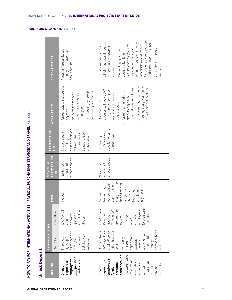| <b>Direct Deposit</b>                                                                                                                                                                                           |                                                                                                                                                                                                                  |                                                                                                                                                         |                                                                                                                                                            |                                            | HOW TO PAY FOR INTERNATIONAL ACTIVITIES—PAYROLL, PURCHASING, SERVICES AND TRAVEL CONTINUED                       |                                                                                                                                                                                                                                                                               |                                                                                                                                                                                                                                                                                                                                                              |
|-----------------------------------------------------------------------------------------------------------------------------------------------------------------------------------------------------------------|------------------------------------------------------------------------------------------------------------------------------------------------------------------------------------------------------------------|---------------------------------------------------------------------------------------------------------------------------------------------------------|------------------------------------------------------------------------------------------------------------------------------------------------------------|--------------------------------------------|------------------------------------------------------------------------------------------------------------------|-------------------------------------------------------------------------------------------------------------------------------------------------------------------------------------------------------------------------------------------------------------------------------|--------------------------------------------------------------------------------------------------------------------------------------------------------------------------------------------------------------------------------------------------------------------------------------------------------------------------------------------------------------|
| METHOD                                                                                                                                                                                                          | <b>RESPONSIBILITIES</b>                                                                                                                                                                                          |                                                                                                                                                         | <b>COST</b>                                                                                                                                                | <b>MAXIMUM</b>                             | TRANSACTION                                                                                                      |                                                                                                                                                                                                                                                                               |                                                                                                                                                                                                                                                                                                                                                              |
|                                                                                                                                                                                                                 | Dept/UW                                                                                                                                                                                                          | UW Office                                                                                                                                               |                                                                                                                                                            | TRANSACTION<br>LIMIT                       | TIME)                                                                                                            | ADVANTAGES                                                                                                                                                                                                                                                                    | DISADVANTAGES                                                                                                                                                                                                                                                                                                                                                |
| bank account<br>U.S. personal<br>employee's<br>deposit to<br><b>Direct</b>                                                                                                                                      | direct deposit<br>Employee<br>Self-Service<br>signs up for<br>Employee<br>through<br>website.                                                                                                                    | about direct<br>UW Payroll<br>questions<br>answers<br>deposit.<br>Office                                                                                | No cost                                                                                                                                                    | direct deposit<br>No limit on<br>amount of | based employee<br>Direct deposit<br>process as for<br>Seattle-based<br>follows same<br>employees<br>for foreign- | Fastest way to receive UW<br>U.S. banking system has<br>customer protections<br>No extra fee for dept<br>to pay foreign-based<br>employee<br>paycheck                                                                                                                         | employee to have a U.S.<br>Requires foreign-based<br>bank account.                                                                                                                                                                                                                                                                                           |
| personal<br>bank account<br>UW works with<br>employee's<br>Travelex, an<br>internation-<br>al finance<br>deposit to<br>to wire pay<br>company,<br>checks to<br>accounts.<br>foreign<br><b>Direct</b><br>foreign | UW Payroll and<br>paycheck to be<br>prwire@uw for<br>Dept contacts<br>nitial Travelex<br>with the net<br>dept emails<br>employee's<br>amount of<br>Every pay<br>prwire@<br>uw.edu<br>period,<br>setup.<br>wired. | UW Accounts<br>foreign bank<br>Travelex of<br>the amount<br>employee's<br>amount to<br>account.<br>Travelex<br>Payable<br>notifies<br>to wire.<br>wires | charged to the<br>departmental<br>period which<br>can be either<br>employee's<br>fee per pay<br>deducted<br>paycheck<br>budget or<br>from the<br>\$25 wire | direct deposit<br>No limit on<br>amount of | days for wires to<br>to 10 business<br>be processed<br>Can take up                                               | Employee may incur fewer<br>banking charges and fees<br>than if paid by UW check.<br>foreign-based employee.<br>foreign-based employee<br>who doesn't have a U.S.<br>electronically pay a UW<br>Faster payment than a<br>check to pay a UW<br>Only method to<br>bank account. | for the wire to be deposited<br>in the employee's account.<br>which may result in delays<br>multiple banks which may<br>regulations, foreign wires<br>prolong how long it takes<br>This is a manual process<br>if there's a slowdown at<br>Cost of twice monthly<br>Depending upon the<br>may be sent through<br>country's banking<br>any step.<br>wire fee. |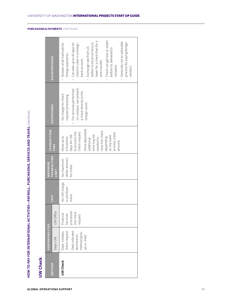|                 |                                                                                                     |                                                            |                                     |                                          | HOW TO PAY FOR INTERNATIONAL ACTIVITIES—PAYROLL, PURCHASING, SERVICES AND TRAVEL CONTINUED                                                                                                                           |                                                                                                                                                 |                                                                                                                                                                                                                                                                                                                                                                                                 |
|-----------------|-----------------------------------------------------------------------------------------------------|------------------------------------------------------------|-------------------------------------|------------------------------------------|----------------------------------------------------------------------------------------------------------------------------------------------------------------------------------------------------------------------|-------------------------------------------------------------------------------------------------------------------------------------------------|-------------------------------------------------------------------------------------------------------------------------------------------------------------------------------------------------------------------------------------------------------------------------------------------------------------------------------------------------------------------------------------------------|
| <b>UW Check</b> |                                                                                                     |                                                            |                                     |                                          |                                                                                                                                                                                                                      |                                                                                                                                                 |                                                                                                                                                                                                                                                                                                                                                                                                 |
|                 | <b>RESPONSIBILITIES</b>                                                                             |                                                            |                                     | MAXIMUM                                  | <b>TRANSACTION</b>                                                                                                                                                                                                   |                                                                                                                                                 |                                                                                                                                                                                                                                                                                                                                                                                                 |
| METHOD          | Dept./UW                                                                                            | UW Office                                                  | <b>COST</b>                         | TRANSACTION<br>LIMIT                     | TIME                                                                                                                                                                                                                 | <b>ADVANTAGES</b>                                                                                                                               | DISADVANTAGES                                                                                                                                                                                                                                                                                                                                                                                   |
| <b>UW Check</b> | Dept indicates<br>check request<br>Dept. initiates<br>method (pick-<br>distribution<br>up vs. mail) | processes<br>the check<br>Financial<br>Services<br>request | No UW charge<br>to produce<br>check | dollar amount<br>No maximum<br>for check | Once deposited,<br>clear the check<br>check request.<br>to process the<br>and the check<br>time may be<br>days for UW<br>on the bank<br>depending<br>Allow up to<br>4 business<br>needed to<br>additional<br>amount. | on campus, can present<br>For services performed<br>a check directly to the<br>• No charge for check<br>request processing.<br>foreign visitor. | Check can get lost or stolen<br>lower for a check than for a<br>· Generally not an advisable<br>practice for paying foreign<br>Can take up to 45 days for<br>· Slowest of all methods for<br>dollars to local currency is<br>check to clear in a foreign<br>Exchange rate from US<br>before it's delivered to<br>foreign payments.<br>bank account.<br>wire transfer.<br>recipient.<br>vendors. |
|                 |                                                                                                     |                                                            |                                     |                                          |                                                                                                                                                                                                                      |                                                                                                                                                 |                                                                                                                                                                                                                                                                                                                                                                                                 |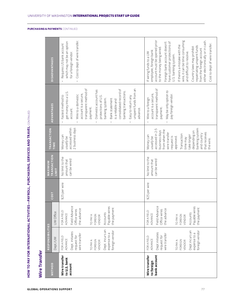| Wire Transfer                               | HOW TO PAY FOR INTERNATIONAL ACTIVITIES                                                                                                                                |                                                                                                                                                     |               |                                                | —PAYROLL, PURCHASING, SERVICES AND TRAVEL CONTINUED                                                                                                                                                                                               |                                                                                                                                                                                                                                                                                                                                                                  |                                                                                                                                                                                                                                                                                                                                                                                                                                                                     |
|---------------------------------------------|------------------------------------------------------------------------------------------------------------------------------------------------------------------------|-----------------------------------------------------------------------------------------------------------------------------------------------------|---------------|------------------------------------------------|---------------------------------------------------------------------------------------------------------------------------------------------------------------------------------------------------------------------------------------------------|------------------------------------------------------------------------------------------------------------------------------------------------------------------------------------------------------------------------------------------------------------------------------------------------------------------------------------------------------------------|---------------------------------------------------------------------------------------------------------------------------------------------------------------------------------------------------------------------------------------------------------------------------------------------------------------------------------------------------------------------------------------------------------------------------------------------------------------------|
| <b>METHOD</b>                               | RESPONSIBILITIES<br>Dept./UW                                                                                                                                           | UW Office                                                                                                                                           | <b>COST</b>   | TRANSACTION<br><b>MAXIMUM</b><br>LIMIT         | TRANSACTION<br>TIME                                                                                                                                                                                                                               | <b>ADVANTAGES</b>                                                                                                                                                                                                                                                                                                                                                | DISADVANTAGES                                                                                                                                                                                                                                                                                                                                                                                                                                                       |
| Wire transfer<br>to U.S. bank<br>account    | Dept. incurs an<br>foreign vendor<br>Dept. initiates<br>expense to a<br>wire transfer<br>request for<br>FOR A FIELD<br><b>ADVANCE</b><br>FOREIGN<br>TO PAY A<br>VENDOR | Field Advance<br>Payable wires<br>the payment<br>the advance<br>Office wires<br>FOR A FIELD<br>Accounts<br>ADVANCE<br>FOREIGN<br>TO PAY A<br>VENDOR | \$25 per wire | No limit to the<br>can be wired<br>amount that | 2 business days<br>accessed within<br>Money can<br>usually be                                                                                                                                                                                     | unspent funds from an<br>transparent method of<br>consolidated record of<br>Domestic account has<br>banking transactions.<br>get money into a U.S.<br>account is a secure,<br>Wire to a domestic<br>Fastest method to<br>Easy to return any<br>protections of U.S.<br>banking system.<br>Bank statement<br>is a reliable and<br>payment.<br>advance.<br>account. | Cost to dept of wire transfer.<br>which may not be an option<br>Requires US bank account<br>for a foreign vendor.                                                                                                                                                                                                                                                                                                                                                   |
| bank account<br>Wire transfer<br>to foreign | Dept incurs an<br>foreign vendor<br>Dept initiates<br>expense to a<br>wire transfer<br>request for<br>FOR A FIELD<br>ADVANCE<br>FOREIGN<br>TO PAY A<br>VENDOR          | Field Advance<br>Payable wires<br>the payment<br>the advance<br>Office wires<br>FOR A FIELD<br>Accounts<br>ADVANCE<br>FOREIGN<br>TO PAY A<br>VENDOR | \$25 per wire | No limit to the<br>can be wired<br>amount that | banking system<br>accessed in 2-5<br>from when the<br>business days<br>depending on<br>that receives<br>wire transfer<br>and country<br>Transaction<br>take longer<br>Money can<br>request is<br>approved.<br>usually be<br>time may<br>the wire. | transparent method of<br>May be only option to<br>account is a secure,<br>pay foreign vendor.<br>Wire to a foreign<br>payment.                                                                                                                                                                                                                                   | account must be opened prior<br>either electronically or in cash.<br>wire, it can be time consuming<br>have customer protections of<br>Foreign bank account doesn't<br>Cost to dept of wire transfer.<br>If there's a mistake with the<br>repatriating unspent funds<br>Country laws may prohibit<br>to the money being wired<br>from the foreign account<br>employee, foreign bank<br>If wiring funds to a UW<br>and difficult to resolve.<br>U.S. banking system. |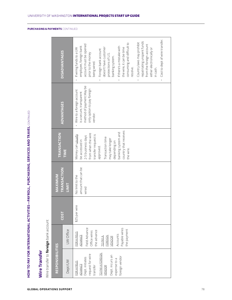|                                                                                                                                                                     |                                                                                                                                                            |               | HOW TO PAY FOR INTERNATIONAL ACTIVITIES—PAYROLL, PURCHASING, SERVICES AND TRAVEL CONTINUED |                                                                                                                                                                                                                                              |                                                                                                                             |                                                                                                                                                                                                                                                                                                                                                                                                                                                                                  |
|---------------------------------------------------------------------------------------------------------------------------------------------------------------------|------------------------------------------------------------------------------------------------------------------------------------------------------------|---------------|--------------------------------------------------------------------------------------------|----------------------------------------------------------------------------------------------------------------------------------------------------------------------------------------------------------------------------------------------|-----------------------------------------------------------------------------------------------------------------------------|----------------------------------------------------------------------------------------------------------------------------------------------------------------------------------------------------------------------------------------------------------------------------------------------------------------------------------------------------------------------------------------------------------------------------------------------------------------------------------|
| Wire Transfer                                                                                                                                                       |                                                                                                                                                            |               |                                                                                            |                                                                                                                                                                                                                                              |                                                                                                                             |                                                                                                                                                                                                                                                                                                                                                                                                                                                                                  |
| Wire transfer to foreign bank account                                                                                                                               |                                                                                                                                                            |               |                                                                                            |                                                                                                                                                                                                                                              |                                                                                                                             |                                                                                                                                                                                                                                                                                                                                                                                                                                                                                  |
| RESPONSIBILITIES                                                                                                                                                    |                                                                                                                                                            |               | <b>MAXIMUM</b>                                                                             | TRANSACTION                                                                                                                                                                                                                                  |                                                                                                                             |                                                                                                                                                                                                                                                                                                                                                                                                                                                                                  |
| Dept/UW                                                                                                                                                             | UW Office                                                                                                                                                  | <b>COST</b>   | TRANSACTION<br>LIMIT                                                                       | TIME                                                                                                                                                                                                                                         | ADVANTAGES                                                                                                                  | DISADVANTAGES                                                                                                                                                                                                                                                                                                                                                                                                                                                                    |
| TO PAY A FOREIGN<br>request for wire<br>Dept. incurs an<br>foreign vendor<br>Dept. initiates<br>expense to a<br>FOR A FIELD<br><b>ADVANCE</b><br>transfer<br>VENDOR | Field Advance<br>Payable wires<br>the payment<br>the advance<br>Office wires<br>FOR A FIELD<br>Accounts<br><b>ADVANCE</b><br>FOREIGN<br>TO PAY A<br>VENDOR | \$25 per wire | amount that can be<br>No limit to the<br>wired                                             | country that receives<br>banking system and<br>from when the wire<br>Money can <u>usual</u> y<br>transfer request is<br>2-5 business days<br>Transaction time<br>may take longer<br>be accessed in<br>depending on<br>approved.<br>the wire. | method of payment. May be<br>only option to pay foreign<br>Wire to a foreign account<br>is a secure, transparent<br>vendor. | Cost to dept of wire transfer.<br>repatriating unspent funds<br>Country laws may prohibit<br>consuming and difficult to<br>account must be opened<br>from the foreign account<br>employee, foreign bank<br>If there's a mistake with<br>the wire, it can be time<br>doesn't have customer<br>If wiring funds to a UW<br>either electronically or<br>Foreign bank account<br>prior to the money<br>protections of U.S.<br>banking system.<br>being wired.<br>resolve.<br>in cash. |
|                                                                                                                                                                     |                                                                                                                                                            |               |                                                                                            |                                                                                                                                                                                                                                              |                                                                                                                             |                                                                                                                                                                                                                                                                                                                                                                                                                                                                                  |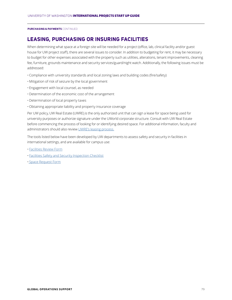# **LEASING, PURCHASING OR INSURING FACILITIES**

When determining what space at a foreign site will be needed for a project (office, lab, clinical facility and/or guest house for UW project staff), there are several issues to consider. In addition to budgeting for rent, it may be necessary to budget for other expenses associated with the property such as utilities, alterations, tenant improvements, cleaning fee, furniture, grounds maintenance and security services/guard/night watch. Additionally, the following issues must be addressed:

- Compliance with university standards and local zoning laws and building codes (fire/safety)
- Mitigation of risk of seizure by the local government
- Engagement with local counsel, as needed
- Determination of the economic cost of the arrangement
- Determination of local property taxes
- Obtaining appropriate liability and property insurance coverage

Per UW policy, UW Real Estate (UWRE) is the only authorized unit that can sign a lease for space being used for university purposes or authorize signature under the UWorld corporate structure. Consult with UW Real Estate before commencing the process of looking for or identifying desired space. For additional information, faculty and administrators should also review UWRE's leasing process.

The tools listed below have been developed by UW departments to assess safety and security in facilities in international settings, and are available for campus use:

- Facilities Review Form
- Facilities Safety and Security Inspection Checklist
- Space Request Form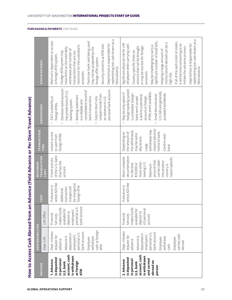|                                                                                                                                                                                                                                                      | How to Access Cash Abroad from an                                                                                                                                                                                                                                                                                                                                            |                                                                                                                                                                                                                     |                                                                                                                                                   |                                                                                                                                                                                                                                                        |                                                                                                                                                                                                                            | Advance (Field Advance or Per Diem Travel Advance)                                                                                                                                                                                                                                                                                                                                                                                                                                                                                                   |                                                                                                                                                                                                                                                                                                                                                                                                                                                                                                                                                                                                                                                                                                                                                                                                                                                                                                                                                                                              |
|------------------------------------------------------------------------------------------------------------------------------------------------------------------------------------------------------------------------------------------------------|------------------------------------------------------------------------------------------------------------------------------------------------------------------------------------------------------------------------------------------------------------------------------------------------------------------------------------------------------------------------------|---------------------------------------------------------------------------------------------------------------------------------------------------------------------------------------------------------------------|---------------------------------------------------------------------------------------------------------------------------------------------------|--------------------------------------------------------------------------------------------------------------------------------------------------------------------------------------------------------------------------------------------------------|----------------------------------------------------------------------------------------------------------------------------------------------------------------------------------------------------------------------------|------------------------------------------------------------------------------------------------------------------------------------------------------------------------------------------------------------------------------------------------------------------------------------------------------------------------------------------------------------------------------------------------------------------------------------------------------------------------------------------------------------------------------------------------------|----------------------------------------------------------------------------------------------------------------------------------------------------------------------------------------------------------------------------------------------------------------------------------------------------------------------------------------------------------------------------------------------------------------------------------------------------------------------------------------------------------------------------------------------------------------------------------------------------------------------------------------------------------------------------------------------------------------------------------------------------------------------------------------------------------------------------------------------------------------------------------------------------------------------------------------------------------------------------------------------|
|                                                                                                                                                                                                                                                      | RESPONSIBILITIES                                                                                                                                                                                                                                                                                                                                                             |                                                                                                                                                                                                                     |                                                                                                                                                   | MAXIMUM                                                                                                                                                                                                                                                | TRANSACTION                                                                                                                                                                                                                |                                                                                                                                                                                                                                                                                                                                                                                                                                                                                                                                                      |                                                                                                                                                                                                                                                                                                                                                                                                                                                                                                                                                                                                                                                                                                                                                                                                                                                                                                                                                                                              |
| METHOD                                                                                                                                                                                                                                               | Dept./UW                                                                                                                                                                                                                                                                                                                                                                     | UW Office                                                                                                                                                                                                           | <b>COST</b>                                                                                                                                       | <b>TRANSACTION</b><br>LIMIT                                                                                                                                                                                                                            | TIME                                                                                                                                                                                                                       | ADVANTAGES                                                                                                                                                                                                                                                                                                                                                                                                                                                                                                                                           | DISADVANTAGES                                                                                                                                                                                                                                                                                                                                                                                                                                                                                                                                                                                                                                                                                                                                                                                                                                                                                                                                                                                |
| account; cash<br>account; cash<br>is withdrawn<br>is withdrawn<br>is deposited<br>is deposited<br>and carried<br>in personal<br>2. Advance<br>in personal<br>1. Advance<br>abroad on<br>at foreign<br>U.S. bank<br>U.S. bank<br>person<br><b>ATM</b> | cash at foreign<br>Dept. initiates<br>Dept. initiates<br>bank account.<br>bank account<br>personal U.S.<br>personal U.S.<br>deposited in<br>deposited in<br>carries cash<br>employee's<br>employee's<br>request for<br>request for<br>Advance is<br>Advance is<br>withdraws<br>withdraws<br>Employee<br>Employee<br>Employee<br>advance.<br>advance<br>broad<br>cash<br>ATM. | bank account<br>personal U.S.<br>makes funds<br>makes funds<br>available for<br>US personal<br>available for<br>employee's<br>deposit to<br>deposit to<br>Financial<br>Financial<br>Services<br>Services<br>account | wired, \$25 fee<br>wired, \$25 fee<br>be charged at<br>If advance is<br>If advance is<br>foreign ATM<br>charges will<br>transaction<br>Additional | of the U.S. bank<br>documentation<br>Must complete<br>nation-specific.<br>Check policies<br>can be taken<br>amount that<br>into another<br>that has the<br>more when<br>leaving U.S.<br>\$10,000 or<br>to disclose<br>Maximum<br>country is<br>account | require advance<br>withdrawal may<br>the withdrawal,<br>notice to bank.<br>the amount of<br>Instant access<br>Depending on<br>may be same<br>foreign ATMs<br>Confirm with<br>to cash from<br>day access.<br>Large<br>bank. | Domestic bank account<br>personal bank account.<br>foreign banking system<br>consolidated record of<br>has protections of U.S.<br>U.S. bills are generally<br>ATMs aren't available.<br>May be only option if<br>accepted worldwide.<br>Small denomination<br>is unreliable, foreign<br>unspent funds from<br>a wire to a personal<br>Banking statement<br>account or foreign<br>24x7 availability at<br>bank won't accept<br>bank transactions<br>Easy to return any<br>an advance in U.S.<br>banking system.<br>is a reliable and<br>foreign ATMs. | Ъ<br>Б<br>Method is dependent on access<br>replenishing lost cash drawn as<br>replenishing lost cash drawn as<br>Particular bank card being used<br>significant number of small bills.<br>If all of the cash is lost or stolen,<br>money secure abroad can be a<br>Significant physical risk for UW<br>it will be time consuming to re-<br>Dept/school is responsible for<br>Dept/school is responsible for<br>employee when carrying cash.<br>Security concerns at ATM site.<br>restrictive for the custodian's<br>May be challenging to carry a<br>amount that can be brought<br>in may be too low for foreign<br>initiate the advance process.<br>have limits on the total daily<br>may not be accepted by the<br>withdrawal and number of<br>Keeping a large amount of<br>Country-specific limits on<br>Foreign ATM system may<br>transactions that are too<br>to foreign ATM system.<br>foreign ATM system.<br>field advance.<br>field advance.<br>purposes.<br>purposes.<br>high risk. |

UNIVERSITY OF WASHINGTON INTERNATIONAL PROJECTS START UP GUIDE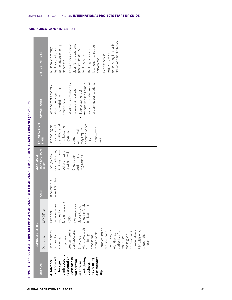| HOW TO ACCESS CASH ABROAD FROM AN ADVANCE (FIELD ADVANCE OR PER DIEM TRAVEL ADVANCE) CONTINUED<br>bank account<br>a withdrawal<br>at foreign<br>bank during<br>(personal or<br>UW); cash is<br>withdrawn<br>is deposited<br>hours using<br>4. Advance<br>in foreign<br>business<br><b>METHOD</b> |
|--------------------------------------------------------------------------------------------------------------------------------------------------------------------------------------------------------------------------------------------------------------------------------------------------|
|--------------------------------------------------------------------------------------------------------------------------------------------------------------------------------------------------------------------------------------------------------------------------------------------------|

UNIVERSITY OF WASHINGTON INTERNATIONAL PROJECTS START UP GUIDE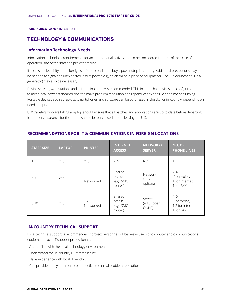# **TECHNOLOGY & COMMUNICATIONS**

## **Information Technology Needs**

Information technology requirements for an international activity should be considered in terms of the scale of operation, size of the staff and project timeline.

If access to electricity at the foreign site is not consistent, buy a power strip in-country. Additional precautions may be needed to signal the unexpected loss of power (e.g., an alarm on a piece of equipment). Back-up equipment (like a generator) may also be necessary.

Buying servers, workstations and printers in-country is recommended. This insures that devices are configured to meet local power standards and can make problem resolution and repairs less expensive and time consuming. Portable devices such as laptops, smartphones and software can be purchased in the U.S. or in-country, depending on need and pricing.

UW travelers who are taking a laptop should ensure that all patches and applications are up-to-date before departing. In addition, insurance for the laptop should be purchased before leaving the U.S.

| <b>STAFF SIZE</b> | <b>LAPTOP</b> | <b>PRINTER</b>       | <b>INTERNET</b><br><b>ACCESS</b>           | <b>NETWORK/</b><br><b>SERVER</b> | NO. OF<br><b>PHONE LINES</b>                              |
|-------------------|---------------|----------------------|--------------------------------------------|----------------------------------|-----------------------------------------------------------|
|                   | <b>YES</b>    | <b>YES</b>           | <b>YES</b>                                 | N <sub>O</sub>                   | 1                                                         |
| $2 - 5$           | <b>YES</b>    | Networked            | Shared<br>access<br>(e.g., SMC)<br>router) | Network<br>(server<br>optional)  | $2 - 4$<br>(2 for voice,<br>1 for Internet,<br>1 for FAX) |
| $6 - 10$          | <b>YES</b>    | $1 - 2$<br>Networked | Shared<br>access<br>(e.g., SMC)<br>router) | Server<br>(e.g., Cobalt<br>QUBE) | $4-6$<br>(3 for voice,<br>1-2 for Internet,<br>1 for FAX) |

# **RECOMMENDATIONS FOR IT & COMMUNICATIONS IN FOREIGN LOCATIONS**

## **IN-COUNTRY TECHNICAL SUPPORT**

Local technical support is recommended if project personnel will be heavy users of computer and communications equipment. Local IT support professionals:

- Are familiar with the local technology environment
- Understand the in-country IT infrastructure
- Have experience with local IT vendors
- Can provide timely and more cost effective technical problem resolution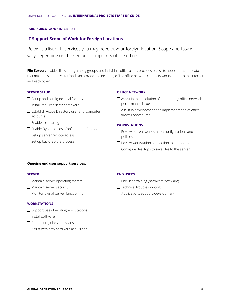### **IT Support Scope of Work for Foreign Locations**

Below is a list of IT services you may need at your foreign location. Scope and task will vary depending on the size and complexity of the office.

**File Server:** enables file sharing among groups and individual office users, provides access to applications and data that must be shared by staff and can provide secure storage. The office network connects workstations to the Internet and each other.

#### **SERVER SETUP**

- $\square$  Set up and configure local file server
- $\Box$  Install required server software
- $\square$  Establish Active Directory user and computer accounts
- $\square$  Enable file sharing
- □ Enable Dynamic Host Configuration Protocol
- $\square$  Set up server remote access
- $\square$  Set up back/restore process

#### **OFFICE NETWORK**

- $\Box$  Assist in the resolution of outstanding office network performance issues
- $\square$  Assist in development and implementation of office firewall procedures

#### **WORKSTATIONS**

- $\square$  Review current work station configurations and policies.
- $\square$  Review workstation connection to peripherals
- $\square$  Configure desktops to save files to the server

#### **Ongoing end user support services:**

#### **SERVER**

- $\square$  Maintain server operating system
- $\Box$  Maintain server security
- $\Box$  Monitor overall server functioning

#### **WORKSTATIONS**

- $\square$  Support use of existing workstations
- $\square$  Install software
- $\Box$  Conduct regular virus scans
- $\square$  Assist with new hardware acquisition

#### **END USERS**

- $\square$  End user training (hardware/software)
- $\square$  Technical troubleshooting
- Applications support/development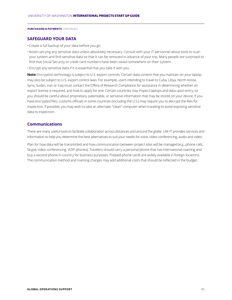#### **SAFEGUARD YOUR DATA**

- Create a full backup of your data before you go.
- Avoid carrying any sensitive data unless absolutely necessary. Consult with your IT personnel about tools to scan your system and find sensitive data so that it can be removed in advance of your trip. Many people are surprised to find that Social Security or credit card numbers have been saved somewhere on their system.
- Encrypt any sensitive data if it is essential that you take it with you.

**Note:** Encryption technology is subject to U.S. export controls. Certain data content that you maintain on your laptop may also be subject to U.S. export control laws. For example, users intending to travel to Cuba, Libya, North Korea, Syria, Sudan, Iran or Iraq must contact the Office of Research Compliance for assistance in determining whether an export license is required, and how to apply for one. Certain countries may inspect laptops and data upon entry, so you should be careful about proprietary, patentable, or sensitive information that may be stored on your device. If you have encrypted files, customs officials in some countries (including the U.S.) may require you to decrypt the files for inspection. If possible, you may wish to take an alternate, "clean" computer when traveling to avoid exposing sensitive data to inspection.

#### **Communications**

There are many useful tools to facilitate collaboration across distances and around the globe. UW-IT provides services and information to help you determine the best alternatives to suit your needs for voice, video conferencing, audio and video.

Plan for how data will be transmitted and how communication between project sites will be managed (e.g., phone calls, Skype, video conferencing, VOIP phones). Travelers should carry a personal phone that has international roaming and buy a second phone in-country for business purposes. Prepaid phone cards are widely available in foreign locations. The communication method and roaming charges may add additional costs that should be reflected in the budget.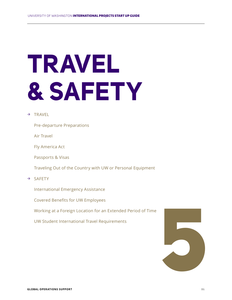# **TRAVEL & SAFETY**

- → TRAVEL
	- Pre-departure Preparations
	- Air Travel
	- Fly America Act
	- Passports & Visas
	- Traveling Out of the Country with UW or Personal Equipment
- → SAFETY
	- International Emergency Assistance
	- Covered Benefits for UW Employees
	- Working at a Foreign Location for an Extended Period of Time
	-

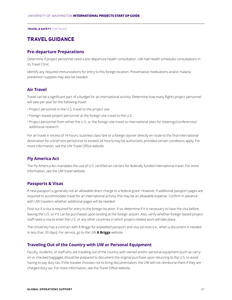# **TRAVEL GUIDANCE**

#### **Pre-departure Preparations**

Determine if project personnel need a pre-departure health consultation. UW Hall Health schedules consultations in its Travel Clinic.

Identify any required immunizations for entry to this foreign location. Preventative medications and/or malaria prevention supplies may also be needed.

# **Air Travel**

Travel can be a significant part of a budget for an international activity. Determine how many flights project personnel will take per year for the following travel:

- Project personnel in the U.S. travel to the project site
- Foreign-based project personnel at the foreign site travel to the U.S.
- Project personnel from either the U.S. or the foreign site travel to international sites for meetings/conferences/ additional research

For air travel in excess of 14 hours, business class fare or a foreign layover directly en route to the final international destination for a brief rest period (not to exceed 24 hours) may be authorized, provided certain conditions apply. For more information, see the UW Travel Office website.

## **Fly America Act**

The Fly America Act mandates the use of U.S. certified air carriers for federally funded international travel. For more information, see the UW travel website.

### **Passports & Visas**

A new passport is generally not an allowable direct charge to a federal grant. However, if additional passport pages are required to accommodate travel for an international activity, this may be an allowable expense. Confirm in advance with UW travelers whether additional pages will be needed.

Find out if a visa is required for entry to the foreign location. If so, determine if it is necessary to have the visa before leaving the U.S. or if it can be purchased upon landing at the foreign airport. Also, verify whether foreign-based project staff need a visa to enter the U.S. or any other countries in which project-related work will take place.

The University has a contract with A Briggs for expedited passport and visa services (i.e., when a document is needed in less than 30 days). For service, go to the UW **A Briggs** website.

### **Traveling Out of the Country with UW or Personal Equipment**

Faculty, students, or staff who are traveling out of the country with owned and/or personal equipment (such as carryon or checked baggage), should be prepared to document the original purchase upon returning to the U.S. to avoid having to pay duty tax. If the traveler chooses not to bring documentation, the UW will not reimburse them if they are charged duty tax. For more information, see the Travel Office website.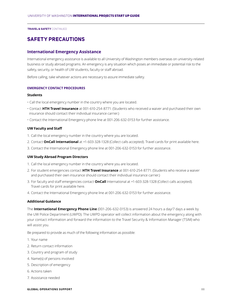# **SAFETY PRECAUTIONS**

#### **International Emergency Assistance**

International emergency assistance is available to all University of Washington members overseas on university-related business or study abroad programs. An emergency is any situation which poses an immediate or potential risk to the safety, security, or health of UW students, faculty or staff abroad.

Before calling, take whatever actions are necessary to assure immediate safety.

#### **EMERGENCY CONTACT PROCEDURES**

#### **Students**

- Call the local emergency number in the country where you are located.
- Contact **HTH Travel Insurance** at 001-610-254-8771. (Students who received a waiver and purchased their own insurance should contact their individual insurance carrier.)
- Contact the International Emergency phone line at 001-206-632-0153 for further assistance.

#### **UW Faculty and Staff**

- 1. Call the local emergency number in the country where you are located.
- 2. Contact **OnCall International** at +1-603-328-1328 (Collect calls accepted). Travel cards for print available here.
- 3. Contact the International Emergency phone line at 001-206-632-0153 for further assistance.

#### **UW Study Abroad Program Directors**

- 1. Call the local emergency number in the country where you are located.
- 2. For student emergencies contact **HTH Travel Insurance** at 001-610-254-8771. (Students who receive a waiver and purchased their own insurance should contact their individual insurance carrier.)
- 3. For faculty and staff emergencies contact **OnCall** International at +1-603-328-1328 (Collect calls accepted). Travel cards for print available here.
- 4. Contact the International Emergency phone line at 001-206-632-0153 for further assistance.

#### **Additional Guidance**

The **International Emergency Phone Line** (001-206-632-0153) is answered 24 hours a day/7 days a week by the UW Police Department (UWPD). The UWPD operator will collect information about the emergency along with your contact information and forward the information to the Travel Security & Information Manager (TSIM) who will assist you.

Be prepared to provide as much of the following information as possible:

- 1. Your name
- 2. Return contact information
- 3. Country and program of study
- 4. Name(s) of persons involved
- 5. Description of emergency
- 6. Actions taken
- 7. Assistance needed

#### **GLOBAL OPERATIONS SUPPORT** 88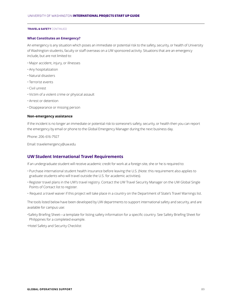#### **What Constitutes an Emergency?**

An emergency is any situation which poses an immediate or potential risk to the safety, security, or health of University of Washington students, faculty or staff overseas on a UW sponsored activity. Situations that are an emergency include, but are not limited to:

- Major accident, injury, or illnesses
- Any hospitalization
- Natural disasters
- Terrorist events
- Civil unrest
- Victim of a violent crime or physical assault
- Arrest or detention
- Disappearance or missing person

#### **Non-emergency assistance**

If the incident is no longer an immediate or potential risk to someone's safety, security, or health then you can report the emergency by email or phone to the Global Emergency Manager during the next business day.

Phone: 206-616-7927

Email: travelemergency@uw.edu

## **UW Student International Travel Requirements**

If an undergraduate student will receive academic credit for work at a foreign site, she or he is required to:

- Purchase international student health insurance before leaving the U.S. (Note: this requirement also applies to graduate students who will travel outside the U.S. for academic activities).
- Register travel plans in the UW's travel registry. Contact the UW Travel Security Manager on the UW Global Single Points of Contact list to register.
- Request a travel waiver if this project will take place in a country on the Department of State's Travel Warnings list.

The tools listed below have been developed by UW departments to support international safety and security, and are available for campus use:

•Safety Briefing Sheet—a template for listing safety information for a specific country. See Safety Briefing Sheet for Philippines for a completed example.

•Hotel Safety and Security Checklist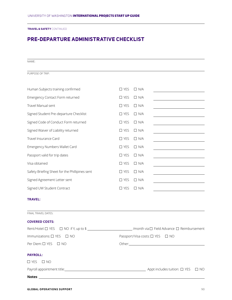# **PRE-DEPARTURE ADMINISTRATIVE CHECKLIST**

NAME:

PURPOSE OF TRIP:

| Human Subjects training confirmed              | $\Box$ YES    | $\Box$ N/A |  |
|------------------------------------------------|---------------|------------|--|
| Emergency Contact Form returned                | $\Box$ YES    | $\Box$ N/A |  |
| Travel Manual sent                             | $\Box$ YES    | $\Box$ N/A |  |
| Signed Student Pre-departure Checklist         | $\Box$ YES    | $\Box$ N/A |  |
| Signed Code of Conduct Form returned           | $\Box$ YES    | $\Box$ N/A |  |
| Signed Waiver of Liability returned            | $\Box$ YES    | $\Box$ N/A |  |
| Travel Insurance Card                          | $\Box$ YES    | $\Box$ N/A |  |
| Emergency Numbers Wallet Card                  | $\Box$ YES    | $\Box$ N/A |  |
| Passport valid for trip dates                  | $\Box$ YES    | $\Box$ N/A |  |
| Visa obtained                                  | $\Box$ YES    | $\Box$ N/A |  |
| Safety Briefing Sheet for the Phillipines sent | $\Box$ YES    | $\Box$ N/A |  |
| Signed Agreement Letter sent                   | $\square$ YES | $\Box$ N/A |  |
| Signed UW Student Contract                     | $\Box$ YES    | $\Box$ N/A |  |
|                                                |               |            |  |

#### **TRAVEL:**

FINAL TRAVEL DATES:

| <b>COVERED COSTS:</b>                                                                                         |                                 |
|---------------------------------------------------------------------------------------------------------------|---------------------------------|
| Rent/Hotel: □ YES □ NO if Y, up to \$ _____________________________/month via □ Field Advance □ Reimbursement |                                 |
| Immunizations: □ YES □ NO                                                                                     | Passport/Visa costs: □ YES □ NO |
| Per Diem: □ YES □ NO                                                                                          |                                 |
| <b>PAYROLL:</b>                                                                                               |                                 |
| $\Box$ YES $\Box$ NO                                                                                          |                                 |
|                                                                                                               |                                 |
|                                                                                                               |                                 |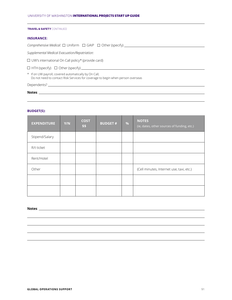#### **INSURANCE:**

*Comprehensive Medical*: Uniform GAIP Other (specify)

*Supplemental Medical Evacuation/Repatriation:*

UW's international On Call policy\* (provide card)

 $\Box$  HTH (specify)  $\Box$  Other (specify) \_\_

\* If on UW payroll, covered automatically by On Call; Do not need to contact Risk Services for coverage to begin when person overseas

Dependents?

**Notes**:

#### **BUDGET(S):**

| <b>EXPENDITURE</b> | Y/N | <b>COST</b><br>\$S | <b>BUDGET#</b> | $\frac{9}{6}$ | <b>NOTES</b><br>(ie, dates, other sources of funding, etc.) |
|--------------------|-----|--------------------|----------------|---------------|-------------------------------------------------------------|
| Stipend/Salary     |     |                    |                |               |                                                             |
| R/t ticket         |     |                    |                |               |                                                             |
| Rent/Hotel         |     |                    |                |               |                                                             |
| Other              |     |                    |                |               | (Cell minutes, Internet use, taxi, etc.)                    |
|                    |     |                    |                |               |                                                             |
|                    |     |                    |                |               |                                                             |

**Notes**: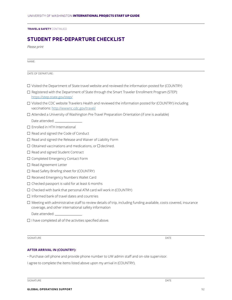# **STUDENT PRE-DEPARTURE CHECKLIST**

*Please print*

NAME:

DATE OF DEPARTURE:

- $\Box$  Visited the Department of State travel website and reviewed the information posted for (COUNTRY)
- $\square$  Registered with the Department of State through the Smart Traveler Enrollment Program (STEP): https://step.state.gov/step/
- Visited the CDC website Travelers Health and reviewed the information posted for (COUNTRY) including vaccinations: http://wwwnc.cdc.gov/travel/
- Attended a University of Washington Pre-Travel Preparation Orientation (if one is available)

Date attended:

- $\square$  Enrolled in HTH International
- $\Box$  Read and signed the Code of Conduct
- $\square$  Read and signed the Release and Waiver of Liability Form
- $\Box$  Obtained vaccinations and medications, or  $\Box$  declined.
- $\square$  Read and signed Student Contract
- $\square$  Completed Emergency Contact Form
- □ Read Agreement Letter
- $\Box$  Read Safety Briefing sheet for (COUNTRY)
- □ Received Emergency Numbers Wallet Card
- $\Box$  Checked passport is valid for at least 6 months
- $\Box$  Checked with bank that personal ATM card will work in (COUNTRY)
- $\Box$  Informed bank of travel dates and countries
- $\Box$  Meeting with administrative staff to review details of trip, including funding available, costs covered, insurance coverage, and other international safety information
	- Date attended:
- $\square$  I have completed all of the activities specified above.

SIGNATURE DATE DESCRIPTION OF SERVICES AND LOCAL CONTRACT OF SERVICES AND DRIVING ON A SERVICE OF DATE OF SERVICES

#### **AFTER ARRIVAL IN (COUNTRY):**

• Purchase cell phone and provide phone number to UW admin staff and on-site supervisor.

I agree to complete the items listed above upon my arrival in (COUNTRY).

SIGNATURE DATE DESCRIPTION OF SERVICES AND LOCAL CONTRACT OF SERVICES AND DESCRIPTION OF DATE OF SALES AND LOCAL CONTRACT OF DATE OF SALES AND LOCAL CONTRACT OF DATE OF SALES AND LOCAL CONTRACT OF DATE OF SALES AND LOCAL C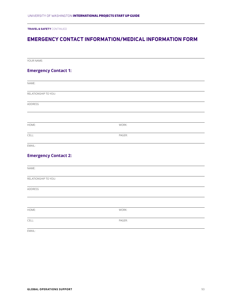# **EMERGENCY CONTACT INFORMATION/MEDICAL INFORMATION FORM**

| YOUR NAME:                  |        |  |
|-----------------------------|--------|--|
| <b>Emergency Contact 1:</b> |        |  |
| NAME:                       |        |  |
| RELATIONSHIP TO YOU:        |        |  |
| ADDRESS                     |        |  |
|                             |        |  |
| HOME:                       | WORK:  |  |
| CELL:                       | PAGER: |  |
| EMAIL:                      |        |  |
| <b>Emergency Contact 2:</b> |        |  |
| NAME:                       |        |  |
| RELATIONSHIP TO YOU:        |        |  |
| ADDRESS                     |        |  |
|                             |        |  |
| HOME:                       | WORK:  |  |
| CELL:                       | PAGER: |  |
| EMAIL:                      |        |  |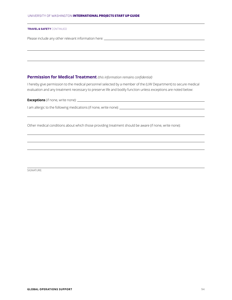#### UNIVERSITY OF WASHINGTON INTERNATIONAL PROJECTS START UP GUIDE

#### **TR AVEL & SAFETY** CONTINUED

Please include any other relevant information here: \_\_\_\_\_\_\_\_\_\_\_\_\_\_\_\_\_\_\_\_\_\_\_\_\_\_\_\_

#### **Permission for Medical Treatment** *(this information remains confidential)*

I hereby give permission to the medical personnel selected by a member of the (UW Department) to secure medical evaluation and any treatment necessary to preserve life and bodily function unless exceptions are noted below:

**Exceptions** (if none, write none): \_\_\_\_\_

I am allergic to the following medications (if none, write none):

Other medical conditions about which those providing treatment should be aware (if none, write none):

SIGNATURE: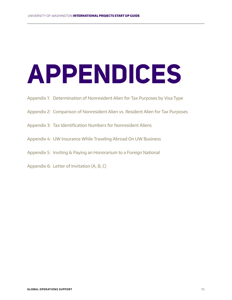# **APPENDICES**

- Appendix 1: Determination of Nonresident Alien for Tax Purposes by Visa Type
- Appendix 2: Comparison of Nonresident Alien vs. Resident Alien for Tax Purposes
- Appendix 3: Tax Identification Numbers for Nonresident Aliens
- Appendix 4: UW Insurance While Traveling Abroad On UW Business
- Appendix 5: Inviting & Paying an Honorarium to a Foreign National
- Appendix 6: Letter of Invitation (A, B, C)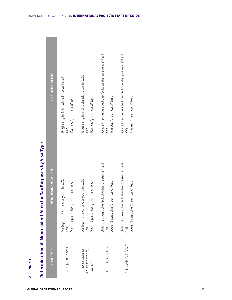| <b>APPENDIX1</b>                                    |                                                                                                            |                                                                                                              |
|-----------------------------------------------------|------------------------------------------------------------------------------------------------------------|--------------------------------------------------------------------------------------------------------------|
|                                                     | Determination of Nonresident Alien for Tax Purposes by Visa Type                                           |                                                                                                              |
| <b>VISATYPE</b>                                     | <b>NONRESIDENT ALIEN</b>                                                                                   | <b>RESIDENT ALIEN</b>                                                                                        |
| F-1 & J-1 students                                  | During first 5 calendar years in U.S.<br>"green card" test<br>Doesn't pass the<br>QND                      | Beginning in 6th calendar year in U.S.<br>Passes "green card" test<br>$\widetilde{\mathcal{E}}$              |
| J-1 non-students<br>(i.e. researchers,<br>teachers) | During first 2 calendar years in U.S.<br>"green card" test<br>Doesn't pass the<br>$\overline{2}$           | Beginning in 3rd calendar year in U.S.<br>Passes "green card" test<br>õ                                      |
| H-1B, TN, O-1, E-3                                  | e "substantial presence" test<br>"green card" test<br>Jntil they pass th<br>Doesn't pass the<br>AND        | Once they've passed the "substantial presence" test<br>Passes "green card" test<br>$\frac{\alpha}{\alpha}$   |
| B-1, VWB, B-2, VWT                                  | e "substantial presence" test<br>"green card" test<br>Until they pass th<br>Doesn't pass the<br><b>AND</b> | Once they've passed the "substantial presence" test<br>Passes "green card" test<br>$\widetilde{\mathcal{C}}$ |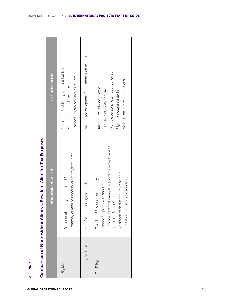| Comparison of Nonresident Alien vs. Resident Alien for Tax Purposes | <b>RESIDENT ALIEN</b><br><b>NONRESIDENT ALIEN</b> | Permanent Resident (green card holder)<br>· Company organized under U.S. law<br>Meets "substantial presence test"<br>· Company organized under laws of foreign country<br>· Resident of country other than U.S. | No-limited exceptions for resident alien teachers<br>oreign nationals<br>Yes-for some t | Multiple personal exemptions allowed<br>No limits on itemized deductions<br>Eligible for standard deduction<br>- Taxed on worldwide income<br>Can file jointly with spouse<br>Only one personal exemption allowed - except Canada,<br>No standard deduction - except India<br>· Limitations to itemized deductions<br>Taxed on U.S. source income only<br>Cannot file jointly with spouse<br>Mexico or South Korea |
|---------------------------------------------------------------------|---------------------------------------------------|-----------------------------------------------------------------------------------------------------------------------------------------------------------------------------------------------------------------|-----------------------------------------------------------------------------------------|--------------------------------------------------------------------------------------------------------------------------------------------------------------------------------------------------------------------------------------------------------------------------------------------------------------------------------------------------------------------------------------------------------------------|
|                                                                     |                                                   |                                                                                                                                                                                                                 | Tax Treaty Available                                                                    |                                                                                                                                                                                                                                                                                                                                                                                                                    |
| <b>APPENDIX2</b>                                                    |                                                   | Eligible                                                                                                                                                                                                        |                                                                                         | Tax Filing                                                                                                                                                                                                                                                                                                                                                                                                         |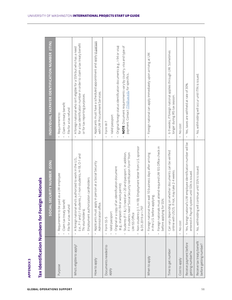| <b>APPENDIX3</b>                                     |                                                                                                                                                                                                                                                                                                                                                                 |                                                                                                                                                                                                                    |
|------------------------------------------------------|-----------------------------------------------------------------------------------------------------------------------------------------------------------------------------------------------------------------------------------------------------------------------------------------------------------------------------------------------------------------|--------------------------------------------------------------------------------------------------------------------------------------------------------------------------------------------------------------------|
| Tax Identification Numbers for Forei                 | gn Nationals                                                                                                                                                                                                                                                                                                                                                    |                                                                                                                                                                                                                    |
|                                                      | SECURITY NUMBER (SSN)<br>SOCIAL                                                                                                                                                                                                                                                                                                                                 | INDIVIDUAL TAXPAYER IDENTIFICATION NUMBER (ITIN)                                                                                                                                                                   |
| Purpose                                              | baid as a UW employee<br>Claim tax treaty benefit<br>File for a tax refund<br>Requirement to be                                                                                                                                                                                                                                                                 | Claim tax treaty benefit<br>File for a tax refund<br>Requirement to:                                                                                                                                               |
| Who's eligible to apply?                             | (i.e., F-1 and J-1 students, J-1 non-students, H-1B, O-1 and<br>TN visa holders).<br>A foreign national who's authorized to work in the U.S.,<br>Employment authorization cardholders                                                                                                                                                                           | for a tax identification number in order to claim a tax treaty benefit<br>A foreign national who isn't eligible for a SSN but who has a need<br>or for tax reporting purposes.                                     |
| How to apply                                         | Applicants must apply in person at a Social Security<br>Administration office.                                                                                                                                                                                                                                                                                  | Applicants must have a scheduled appointment and apply in person<br>with UW Procurement Services.<br>$\bullet$                                                                                                     |
| Documents needed to<br>Aldde                         | Non-students (J-1, H-1B): Employment letter from U.S. sponsor<br>Students (F-1 & J-1) need an I-20 and passport. In addition,<br>F-1 students need "Social Security Verification Form" from<br>an identification document<br>(e.g., stamped I-94 or work permit)<br>Original or a copy of<br>& DS 2019 or 1-797<br>Valid passport<br>UW ISS Office<br>Form SS-5 | Original foreign status identification documents (e.g., I-94 or visa)<br>NOTE: Document requirements vary by country, visa and type of<br>payment. Contact ITIN@uw.edu for specifics<br>Valid passport<br>Form W-7 |
| When to apply                                        | Foreign nationals must attend required UW ISS Office check-in<br>Foreign national must wait 10 business days after arriving<br>in the U.S. before applying<br>before applying for SSN.                                                                                                                                                                          | Foreign national can apply immediately upon arriving at UW.<br>$\ddot{\phantom{a}}$                                                                                                                                |
| Time to get number                                   | on whether documents can be verified<br>not, may take 2-4 weeks.<br>Can vary depending<br>online with USCIS. If                                                                                                                                                                                                                                                 | 6-9 weeks, if foreign national applies through UW. Sometimes<br>longer during IRS tax season.                                                                                                                      |
| Cost to apply                                        | No cost                                                                                                                                                                                                                                                                                                                                                         | No cost                                                                                                                                                                                                            |
| Receive payment before<br>getting number?w           | 's UW employee identification number will be<br>entered in Payroll system until SSN is issued.<br>Yes, foreign national                                                                                                                                                                                                                                         | Yes, taxes are withheld at rate of 30%.<br>$\ddot{\phantom{0}}$                                                                                                                                                    |
| Receive tax treaty benefit<br>before getting number? | continue until SSN is issued.<br>No, withholding will                                                                                                                                                                                                                                                                                                           | No, withholding will occur until ITIN is issued.                                                                                                                                                                   |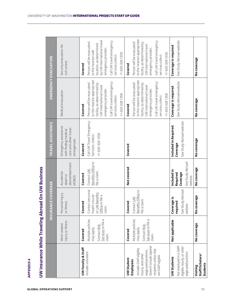| ٠ |  |
|---|--|
|   |  |
|   |  |
|   |  |
|   |  |
|   |  |

| <b>APPENDIX4</b>                                                                                                                                             |                                                                                      |                                                                                           |                                                     |                                                                                      |                                                                                                                                                                                                                     |                                                                                                                                                                                                                     |
|--------------------------------------------------------------------------------------------------------------------------------------------------------------|--------------------------------------------------------------------------------------|-------------------------------------------------------------------------------------------|-----------------------------------------------------|--------------------------------------------------------------------------------------|---------------------------------------------------------------------------------------------------------------------------------------------------------------------------------------------------------------------|---------------------------------------------------------------------------------------------------------------------------------------------------------------------------------------------------------------------|
| <b>UW Insurance While Traveling Abroad On UW Business</b>                                                                                                    |                                                                                      |                                                                                           |                                                     |                                                                                      |                                                                                                                                                                                                                     |                                                                                                                                                                                                                     |
|                                                                                                                                                              |                                                                                      | <b>INSURANCE COVERAGE</b>                                                                 |                                                     | <b>TRAVEL ASSISTANCE</b>                                                             | <b>EMERGENCY EVACUATION</b>                                                                                                                                                                                         |                                                                                                                                                                                                                     |
|                                                                                                                                                              | injury or illness<br>Work-related                                                    | Personal injury<br>or illness                                                             | dismemberment<br>Accidental<br>death or<br>(AD&D)   | Emergency assistance<br>care and other travel<br>with finding medical<br>emergencies | Medical evacuation                                                                                                                                                                                                  | Security evacuation for<br>civil unrest                                                                                                                                                                             |
| UW Faculty & Staff                                                                                                                                           | Covered                                                                              | Covered                                                                                   | Covered                                             | Covered                                                                              | Covered                                                                                                                                                                                                             | Covered                                                                                                                                                                                                             |
| Includes volunteers                                                                                                                                          | Multiple policies<br>Services to file a<br>Contact Risk<br>Mdde <i>Kew</i><br>claim. | ct personal<br>or UW Benefits<br>health insurer<br>to file a<br>Conta<br>Office<br>claim. | Benefits Office to<br>Contact UW<br>file a claim.   | Call UW Travel Emergency<br>$+1 - 603 - 328 - 1358$<br>Services, collect:            | to the nearest appropriate<br>Call UW travel emergency<br>Person will be evacuated<br>facility, as determined by<br>UW international travel<br>emergency provider.<br>$+1 - 603 - 328 - 1358$<br>services, collect: | by UW international travel<br>Call UW travel emergency<br>Person will be evacuated<br>location, as determined<br>emergency provider.<br>to the nearest safe<br>$+1 - 603 - 328 - 1358$<br>services, collect:        |
| UW Student                                                                                                                                                   | Covered                                                                              | ر<br>و<br>Cover                                                                           | Not covered                                         | Covered                                                                              | Covered                                                                                                                                                                                                             | Covered                                                                                                                                                                                                             |
| Doesn't include stipend<br>Includes GAIP-eligible,<br>recipients unless they<br>wage-paid positions.<br>hourly, and other<br>are GAIP eligible.<br>Employees | Multiple policies<br>Services to file a<br>Contact Risk<br>Mdde Kew<br>claim.        | Benefits Office to<br>Contact UW<br>file a claim.                                         |                                                     |                                                                                      | to the nearest appropriate<br>Call UW travel emergency<br>Person will be evacuated<br>facility, as determined by<br>UW international travel<br>emergency provider.<br>$+1 - 603 - 328 - 1358$<br>services, collect: | to the nearest appropriate<br>Call UW travel emergency<br>Person will be evacuated<br>facility, as determined by<br>JW international travel<br>emergency provider.<br>$+1 - 603 - 328 - 1358$<br>services, collect: |
| <b>UW Students</b>                                                                                                                                           | Not applicable                                                                       | Coverage is                                                                               | Included in                                         | Included in Required                                                                 | Coverage is required                                                                                                                                                                                                | Coverage is required                                                                                                                                                                                                |
| Not employed in a GAIP-<br>eligible, hourly, or other<br>wage-paid position.                                                                                 |                                                                                      | See Study Abroad<br>required<br>$\sigma$<br>website                                       | See Study Abroad<br>Coverage<br>Required<br>website | See Study Abroad website<br>Coverage                                                 | See Study Abroad website                                                                                                                                                                                            | See Study Abroad website                                                                                                                                                                                            |
| Staff/Scholars/<br>Students<br>Visiting                                                                                                                      | No coverage                                                                          | No coverage                                                                               | No coverage                                         | No coverage                                                                          | No coverage                                                                                                                                                                                                         | No coverage                                                                                                                                                                                                         |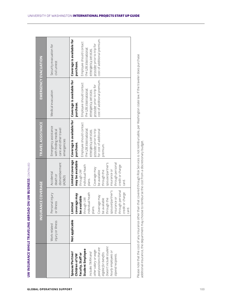|                                                                                                                                                                                                                                                         |                                   | <b>INSURANCE COVERAGE</b>                                                                                                                                                                                                  |                                                                                                                                                                                                                      | TRAVEL ASSISTANCE                                                                                                                                                                                          |                                                                                                                                                 | <b>EMERGENCY EVACUATION</b>                                                                                                                                                  |  |
|---------------------------------------------------------------------------------------------------------------------------------------------------------------------------------------------------------------------------------------------------------|-----------------------------------|----------------------------------------------------------------------------------------------------------------------------------------------------------------------------------------------------------------------------|----------------------------------------------------------------------------------------------------------------------------------------------------------------------------------------------------------------------|------------------------------------------------------------------------------------------------------------------------------------------------------------------------------------------------------------|-------------------------------------------------------------------------------------------------------------------------------------------------|------------------------------------------------------------------------------------------------------------------------------------------------------------------------------|--|
|                                                                                                                                                                                                                                                         |                                   |                                                                                                                                                                                                                            |                                                                                                                                                                                                                      |                                                                                                                                                                                                            |                                                                                                                                                 |                                                                                                                                                                              |  |
|                                                                                                                                                                                                                                                         | injury or illness<br>Work-related | Personal injury<br>or illness                                                                                                                                                                                              | dismemberment<br>Accidental<br>death or<br>(AD&D)                                                                                                                                                                    | Emergency assistance<br>care and other travel<br>with finding medical<br>emergencies                                                                                                                       | Medical evacuation                                                                                                                              | Security evacuation for<br>civil unrest                                                                                                                                      |  |
| Doesn't include student<br>paid positions that are<br>Student Employee<br>other salary or wage-<br>hourly employees or<br>Includes TA/RA and<br>eligible for benefits.<br>Spouse/Partner/<br>Faculty, Staff or<br>stipend recipients.<br>Children of UW | Not applicable                    | through personal<br>spouse/partner's<br>individual heath<br>or charge<br>coverage may<br>Coverage may<br>be available<br>insurance or<br>through the<br>through UW<br>be available<br>Limited<br>plans.<br>credit<br>card. | Limited coverage<br>may be available<br>through personal<br>spouse/partner's<br>credit or charge<br>individual heath<br>Coverage may<br>through UW<br>insurance or<br>through the<br>be available<br>plans.<br>card. | Coverage is available for   Coverage is available for<br>Employee should contact<br>the UW international<br>provider prior to trip<br>for cost of additional<br>emergency services<br>purchase.<br>premum. | cost of additional premium.<br>Employee should contact<br>provider prior to trip for<br>the UW international<br>emergency services<br>purchase. | cost of additional premium.<br>Coverage is available for<br>Employee should contact<br>provider prior to trip for<br>the UW international<br>emergency services<br>purchase. |  |

additional insurance, the department may choose to reimburse the cost from a discretionary budget.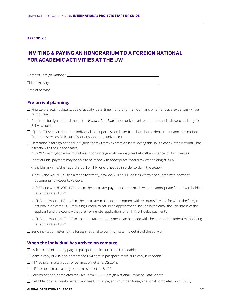#### **APPENDIX 5**

# **INVITING & PAYING AN HONORARIUM TO A FOREIGN NATIONAL FOR ACADEMIC ACTIVITIES AT THE UW**

Name of Foreign National:

Title of Activity:

Date of Activity:

## **Pre-arrival planning:**

- $\Box$  Finalize the activity details: title of activity; date; time; honorarium amount and whether travel expenses will be reimbursed.
- Confirm if foreign national meets the *Honorarium Rule* (if not, only travel reimbursement is allowed and only for B-1 visa holders).
- If J-1 or F-1 scholar, direct the individual to get permission letter from both home department and International Students Services Office (at UW or at sponsoring university).
- $\square$  Determine if foreign national is eligible for tax treaty exemption by following this link to check if their country has a treaty with the United States:

http://f2.washington.edu/fm/globalsupport/foreign-national-payments-tax#Importance\_of\_Tax\_Treaties

•If not eligible, payment may be able to be made with appropriate federal tax withholding at 30%.

•If eligible, ask if he/she has a U.S. SSN or ITIN (one is needed in order to claim the treaty):

- > If YES and would LIKE to claim the tax treaty, provide SSN or ITIN on 8233 form and submit with payment documents to Accounts Payable.
- > If YES and would NOT LIKE to claim the tax treaty, payment can be made with the appropriate federal withholding tax at the rate of 30%.
- > If NO and would LIKE to claim the tax treaty, make an appointment with Accounts Payable for when the foreign national is on campus. E-mail itin@uw.edu to set up an appointment. Include in the email the visa status of the applicant and the country they are from. (note: application for an ITIN will delay payment).
- > If NO and would NOT LIKE to claim the tax treaty, payment can be made with the appropriate federal withholding tax at the rate of 30%.
- $\Box$  Send invittation letter to the foreign national to communicate the details of the activity.

## **When the individual has arrived on campus:**

- $\Box$  Make a copy of identity page in passport (make sure copy is readable).
- $\Box$  Make a copy of visa and/or stamped I-94 card in passport (make sure copy is readable).
- $\Box$  If J-1 scholar, make a copy of permission letter & DS 2019.
- □ If F-1 scholar, make a copy of permission letter & I-20.
- Foreign national completes the UW Form 1007, "Foreign National Payment Data Sheet."
- If eligible for a tax treaty benefit and has U.S. Taxpayer ID number, foreign national completes Form 8233,

#### **GLOBAL OPERATIONS SUPPORT** 101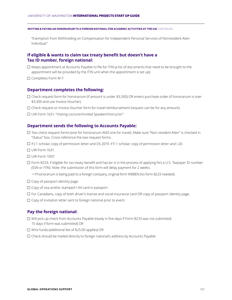**INVITING & PAYING AN HONOR ARIUM TO A FOREIGN NATIONAL FOR ACADEMIC ACTIVITIES AT THE UW** CONTINUED

"Exemption from Withholding on Compensation for Independent Personal Services of Nonresident Alien Individual."

## **If eligible & wants to claim tax treaty benefit but doesn't have a Tax ID number, foreign national:**

- $\Box$  Keeps appointment at Accounts Payable to file for ITIN (a list of documents that need to be brought to the appointment will be provided by the ITIN unit when the appointment is set up).
- $\square$  Completes Form W-7.

#### **Department completes the following:**

- $\Box$  Check request form for honorarium (if amount is under \$3,300) OR enters purchase order (if honorarium is over \$3,300 and use Invoice Voucher).
- $\Box$  Check request or Invoice Voucher form for travel reimbursement (request can be for any amount).
- □ UW Form 1631, "Visiting Lecturer/Invited Speaker/Instructor"

#### **Department sends the following to Accounts Payable:**

- Two check request forms (one for honorarium AND one for travel). Make sure "Non-resident Alien" is checked in "Status" box. Cross-reference the two request forms.
- If J-1 scholar, copy of permission letter and DS 2019. If F-1 scholar, copy of permission letter and I-20.
- $\Box$  UW Form 1631.
- $\Box$  UW Form 1007.
- $\Box$  Form 8233, if eligible for tax treaty benefit and has (or is in the process of applying for) a U.S. Taxpayer ID number (SSN or ITIN). Note: the submission of this form will delay payment for 2 weeks.

> If honorarium is being paid to a foreign company, original form W8BEN (no form 8233 needed).

- $\Box$  Copy of passport identity page.
- $\Box$  Copy of visa and/or stamped I-94 card in passport.
- $\Box$  For Canadians, copy of both driver's license and social insurance card OR copy of passport identity page.
- $\Box$  Copy of invitation letter sent to foreign national prior to event.

### **Pay the foreign national:**

- $\Box$  Will pick up check from Accounts Payable (ready in five days if Form 8233 was not submitted; 15 days if form was submitted) OR
- $\Box$  Wire funds (additional fee of \$25.00 applies) OR
- Check should be mailed directly to foreign national's address by Accounts Payable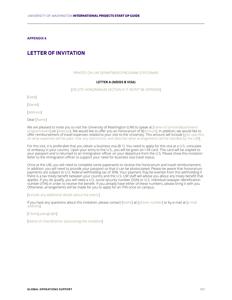**APPENDIX 6**

# **LETTER OF INVITATION**

#### PRINTED ON UW DEPARTMENT/PROGRAM STATIONARY

#### **LETTER A (NEEDS B VISA)**

#### [DELETE HONORARIUM SECTION IF IT WON'T BE OFFERED]

[Date]

[Name]

[Address]

Dear [Name]

We are pleased to invite you to visit the University of Washington (UW) to speak at [name of school/department/ program/event] on [dates(s)]. We would like to offer you an honorarium of \$[amount]. In addition, we would like to offer reimbursement of travel expenses related to your visit to the University. This amount will include [give specifics on what expenses will be paid; note any restrictions; and describe what arrangements will be handled by the UW].

For this visit, it is preferable that you obtain a business visa (B-1). You need to apply for this visa at a U.S. consulate or embassy in your country. Upon your entry to the U.S., you will be given an I-94 card. This card will be stapled to your passport and is returned to an immigration officer on your departure from the U.S. Please show this invitation letter to the immigration officer to support your need for business visa travel status.

Once at the UW, you will need to complete some paperwork to receive the honorarium and travel reimbursement. In addition, you will need to provide your passport so that it can be photocopied. Please be aware that honorarium payments are subject to U.S. federal withholding tax of 30%. Your payment may be exempt from this withholding if there is a tax treaty benefit between your country and the U.S. UW staff will advise you about any treaty benefit that applies. If you do qualify, you will need a U.S. social security number (SSN) or U.S. individual taxpayer identification number (ITIN) in order to receive the benefit. If you already have either of these numbers, please bring it with you. Otherwise, arrangements will be made for you to apply for an ITIN once on campus.

[Include any additional details about the event.]

If you have any questions about this invitation, please contact [Name] at [phone number] or by e-mail at [e-mail address].

[Closing paragraph]

[Name of chair/director sponsoring the invitation]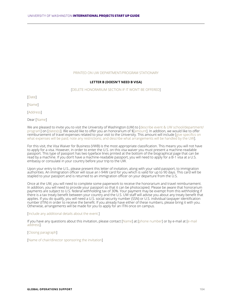#### PRINTED ON UW DEPARTMENT/PROGRAM STATIONARY

#### **LETTER B (DOESN'T NEED B VISA)**

#### [DELETE HONORARIUM SECTION IF IT WON'T BE OFFERED]

[Date]

[Name]

[Address]

Dear [Name]

We are pleased to invite you to visit the University of Washington (UW) to [describe event & UW school/department/ program] on [dates(s)]. We would like to offer you an honorarium of \$[amount]. In addition, we would like to offer reimbursement of travel expenses related to your visit to the University. This amount will include [give specifics on what expenses will be paid; note any restrictions; and describe what arrangements will be handled by the UW].

For this visit, the Visa Waiver for Business (VWB) is the most appropriate classification. This means you will not have to apply for a visa. However, in order to enter the U.S. on this visa waiver you must present a machine-readable passport. This type of passport has two typeface lines printed at the bottom of the biographical page that can be read by a machine. If you don't have a machine-readable passport, you will need to apply for a B-1 visa at a U.S. embassy or consulate in your country before your trip to the UW.

Upon your entry to the U.S., please present this letter of invitation, along with your valid passport, to immigration authorities. An immigration officer will issue an I-94W card for you which is valid for up to 90 days. This card will be stapled to your passport and is returned to an immigration officer on your departure from the U.S.

Once at the UW, you will need to complete some paperwork to receive the honorarium and travel reimbursement. In addition, you will need to provide your passport so that it can be photocopied. Please be aware that honorarium payments are subject to U.S. federal withholding tax of 30%. Your payment may be exempt from this withholding if there is a tax treaty benefit between your country and the U.S. UW staff will advise you about any treaty benefit that applies. If you do qualify, you will need a U.S. social security number (SSN) or U.S. individual taxpayer identification number (ITIN) in order to receive the benefit. If you already have either of these numbers, please bring it with you. Otherwise, arrangements will be made for you to apply for an ITIN once on campus.

#### [Include any additional details about the event.]

If you have any questions about this invitation, please contact [Name] at [phone number] or by e-mail at [e-mail address].

[Closing paragraph]

[Name of chair/director sponsoring the invitation]